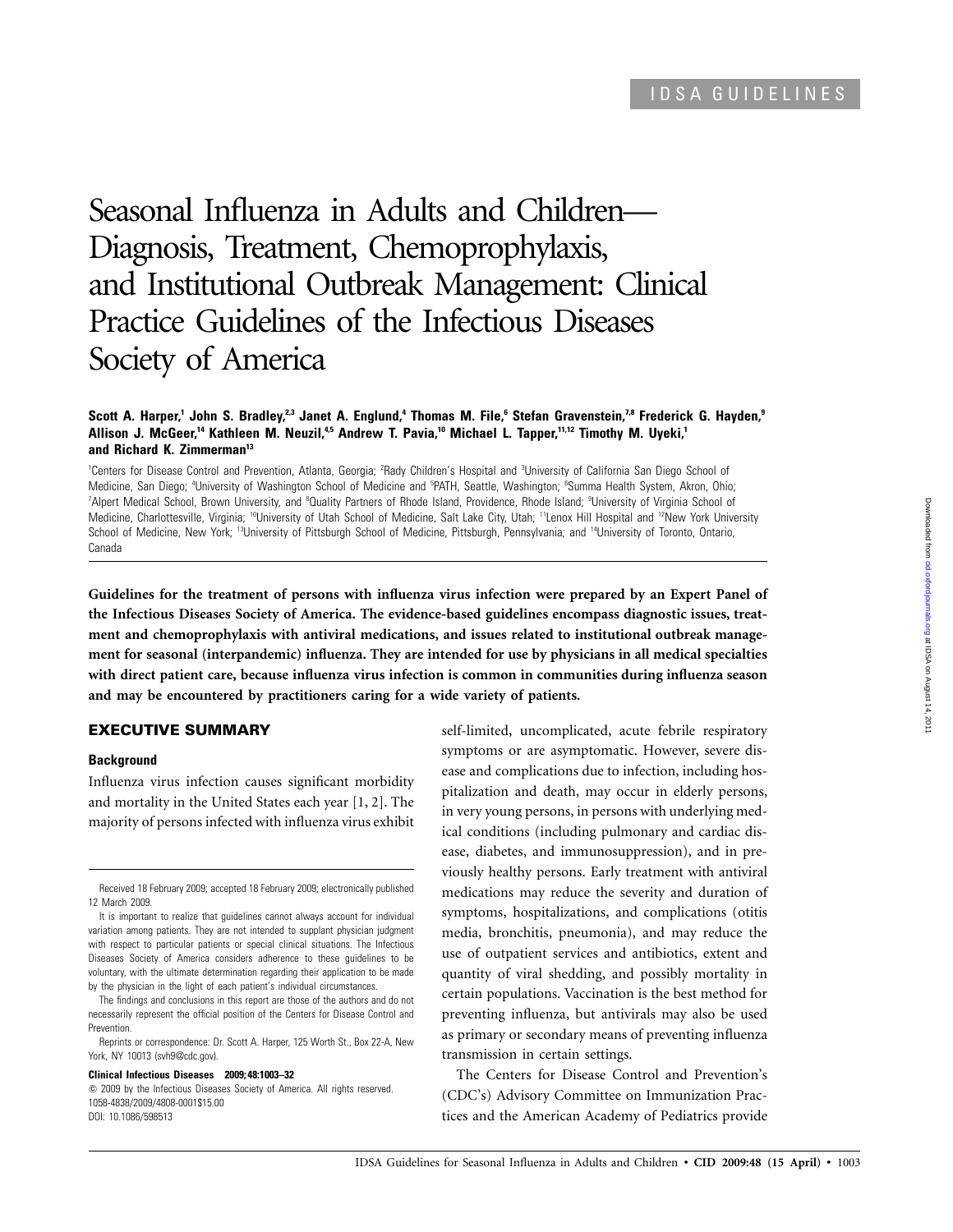# Seasonal Influenza in Adults and Children— Diagnosis, Treatment, Chemoprophylaxis, and Institutional Outbreak Management: Clinical Practice Guidelines of the Infectious Diseases Society of America

## Scott A. Harper,<sup>1</sup> John S. Bradley,<sup>23</sup> Janet A. Englund,<sup>4</sup> Thomas M. File,<sup>6</sup> Stefan Gravenstein,<sup>7,8</sup> Frederick G. Hayden,<sup>9</sup> **Allison J. McGeer,14 Kathleen M. Neuzil,4,5 Andrew T. Pavia,10 Michael L. Tapper,11,12 Timothy M. Uyeki,1 and Richard K. Zimmerman13**

<sup>1</sup>Centers for Disease Control and Prevention, Atlanta, Georgia; <sup>2</sup>Rady Children's Hospital and <sup>3</sup>University of California San Diego School of Medicine, San Diego; <sup>4</sup>University of Washington School of Medicine and <sup>s</sup>PATH, Seattle, Washington; <sup>6</sup>Summa Health System, Akron, Ohio; <sup>7</sup>Alpert Medical School, Brown University, and <sup>8</sup>Quality Partners of Rhode Island, Providence, Rhode Island; <sup>9</sup>University of Virginia School of Medicine, Charlottesville, Virginia; <sup>10</sup>University of Utah School of Medicine, Salt Lake City, Utah; <sup>11</sup>Lenox Hill Hospital and <sup>12</sup>New York University School of Medicine, New York; <sup>13</sup>University of Pittsburgh School of Medicine, Pittsburgh, Pennsylvania; and <sup>14</sup>University of Toronto, Ontario, Canada

**Guidelines for the treatment of persons with influenza virus infection were prepared by an Expert Panel of the Infectious Diseases Society of America. The evidence-based guidelines encompass diagnostic issues, treatment and chemoprophylaxis with antiviral medications, and issues related to institutional outbreak management for seasonal (interpandemic) influenza. They are intended for use by physicians in all medical specialties with direct patient care, because influenza virus infection is common in communities during influenza season and may be encountered by practitioners caring for a wide variety of patients.**

## **EXECUTIVE SUMMARY**

#### **Background**

Influenza virus infection causes significant morbidity and mortality in the United States each year [1, 2]. The majority of persons infected with influenza virus exhibit

The findings and conclusions in this report are those of the authors and do not necessarily represent the official position of the Centers for Disease Control and Prevention.

#### **Clinical Infectious Diseases 2009; 48:1003–32**

 $\odot$  2009 by the Infectious Diseases Society of America. All rights reserved. 1058-4838/2009/4808-0001\$15.00 DOI: 10.1086/598513

self-limited, uncomplicated, acute febrile respiratory symptoms or are asymptomatic. However, severe disease and complications due to infection, including hospitalization and death, may occur in elderly persons, in very young persons, in persons with underlying medical conditions (including pulmonary and cardiac disease, diabetes, and immunosuppression), and in previously healthy persons. Early treatment with antiviral medications may reduce the severity and duration of symptoms, hospitalizations, and complications (otitis media, bronchitis, pneumonia), and may reduce the use of outpatient services and antibiotics, extent and quantity of viral shedding, and possibly mortality in certain populations. Vaccination is the best method for preventing influenza, but antivirals may also be used as primary or secondary means of preventing influenza transmission in certain settings.

The Centers for Disease Control and Prevention's (CDC's) Advisory Committee on Immunization Practices and the American Academy of Pediatrics provide

Received 18 February 2009; accepted 18 February 2009; electronically published 12 March 2009.

It is important to realize that guidelines cannot always account for individual variation among patients. They are not intended to supplant physician judgment with respect to particular patients or special clinical situations. The Infectious Diseases Society of America considers adherence to these guidelines to be voluntary, with the ultimate determination regarding their application to be made by the physician in the light of each patient's individual circumstances.

Reprints or correspondence: Dr. Scott A. Harper, 125 Worth St., Box 22-A, New York, NY 10013 (svh9@cdc.gov).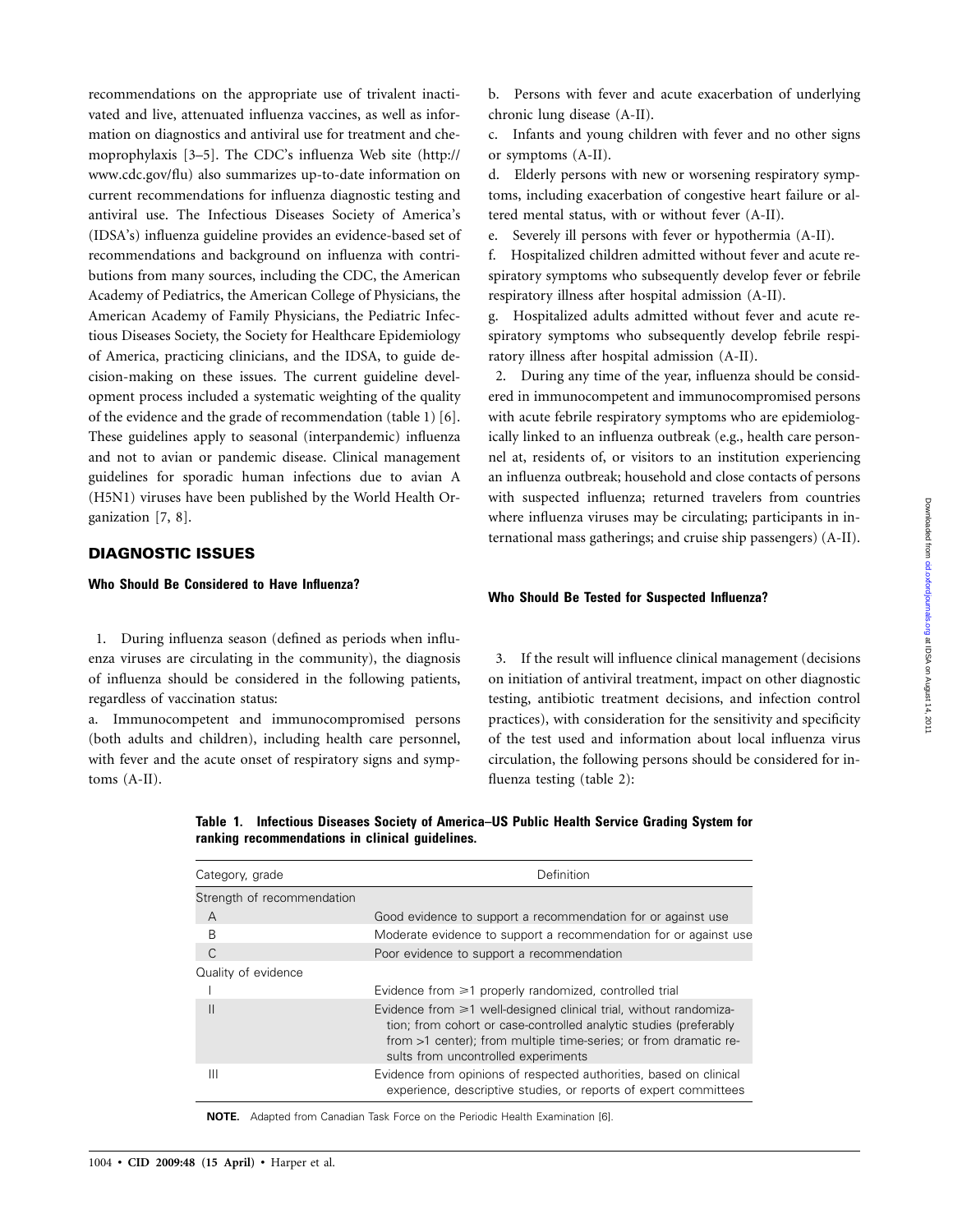recommendations on the appropriate use of trivalent inactivated and live, attenuated influenza vaccines, as well as information on diagnostics and antiviral use for treatment and chemoprophylaxis [3–5]. The CDC's influenza Web site (http:// www.cdc.gov/flu) also summarizes up-to-date information on current recommendations for influenza diagnostic testing and antiviral use. The Infectious Diseases Society of America's (IDSA's) influenza guideline provides an evidence-based set of recommendations and background on influenza with contributions from many sources, including the CDC, the American Academy of Pediatrics, the American College of Physicians, the American Academy of Family Physicians, the Pediatric Infectious Diseases Society, the Society for Healthcare Epidemiology of America, practicing clinicians, and the IDSA, to guide decision-making on these issues. The current guideline development process included a systematic weighting of the quality of the evidence and the grade of recommendation (table 1) [6]. These guidelines apply to seasonal (interpandemic) influenza and not to avian or pandemic disease. Clinical management guidelines for sporadic human infections due to avian A (H5N1) viruses have been published by the World Health Organization [7, 8].

## **DIAGNOSTIC ISSUES**

#### **Who Should Be Considered to Have Influenza?**

1. During influenza season (defined as periods when influenza viruses are circulating in the community), the diagnosis of influenza should be considered in the following patients, regardless of vaccination status:

a. Immunocompetent and immunocompromised persons (both adults and children), including health care personnel, with fever and the acute onset of respiratory signs and symptoms (A-II).

b. Persons with fever and acute exacerbation of underlying chronic lung disease (A-II).

c. Infants and young children with fever and no other signs or symptoms (A-II).

d. Elderly persons with new or worsening respiratory symptoms, including exacerbation of congestive heart failure or altered mental status, with or without fever (A-II).

e. Severely ill persons with fever or hypothermia (A-II).

f. Hospitalized children admitted without fever and acute respiratory symptoms who subsequently develop fever or febrile respiratory illness after hospital admission (A-II).

g. Hospitalized adults admitted without fever and acute respiratory symptoms who subsequently develop febrile respiratory illness after hospital admission (A-II).

2. During any time of the year, influenza should be considered in immunocompetent and immunocompromised persons with acute febrile respiratory symptoms who are epidemiologically linked to an influenza outbreak (e.g., health care personnel at, residents of, or visitors to an institution experiencing an influenza outbreak; household and close contacts of persons with suspected influenza; returned travelers from countries where influenza viruses may be circulating; participants in international mass gatherings; and cruise ship passengers) (A-II).

#### **Who Should Be Tested for Suspected Influenza?**

3. If the result will influence clinical management (decisions on initiation of antiviral treatment, impact on other diagnostic testing, antibiotic treatment decisions, and infection control practices), with consideration for the sensitivity and specificity of the test used and information about local influenza virus circulation, the following persons should be considered for influenza testing (table 2):

**Table 1. Infectious Diseases Society of America–US Public Health Service Grading System for ranking recommendations in clinical guidelines.**

| Category, grade            | Definition                                                                                                                                                                                                                                              |  |
|----------------------------|---------------------------------------------------------------------------------------------------------------------------------------------------------------------------------------------------------------------------------------------------------|--|
| Strength of recommendation |                                                                                                                                                                                                                                                         |  |
| A                          | Good evidence to support a recommendation for or against use                                                                                                                                                                                            |  |
| B                          | Moderate evidence to support a recommendation for or against use                                                                                                                                                                                        |  |
| C                          | Poor evidence to support a recommendation                                                                                                                                                                                                               |  |
| Quality of evidence        |                                                                                                                                                                                                                                                         |  |
|                            | Evidence from $\geq 1$ properly randomized, controlled trial                                                                                                                                                                                            |  |
| Ш                          | Evidence from $\geq 1$ well-designed clinical trial, without randomiza-<br>tion; from cohort or case-controlled analytic studies (preferably<br>from >1 center); from multiple time-series; or from dramatic re-<br>sults from uncontrolled experiments |  |
| Ш                          | Evidence from opinions of respected authorities, based on clinical<br>experience, descriptive studies, or reports of expert committees                                                                                                                  |  |

**NOTE.** Adapted from Canadian Task Force on the Periodic Health Examination [6].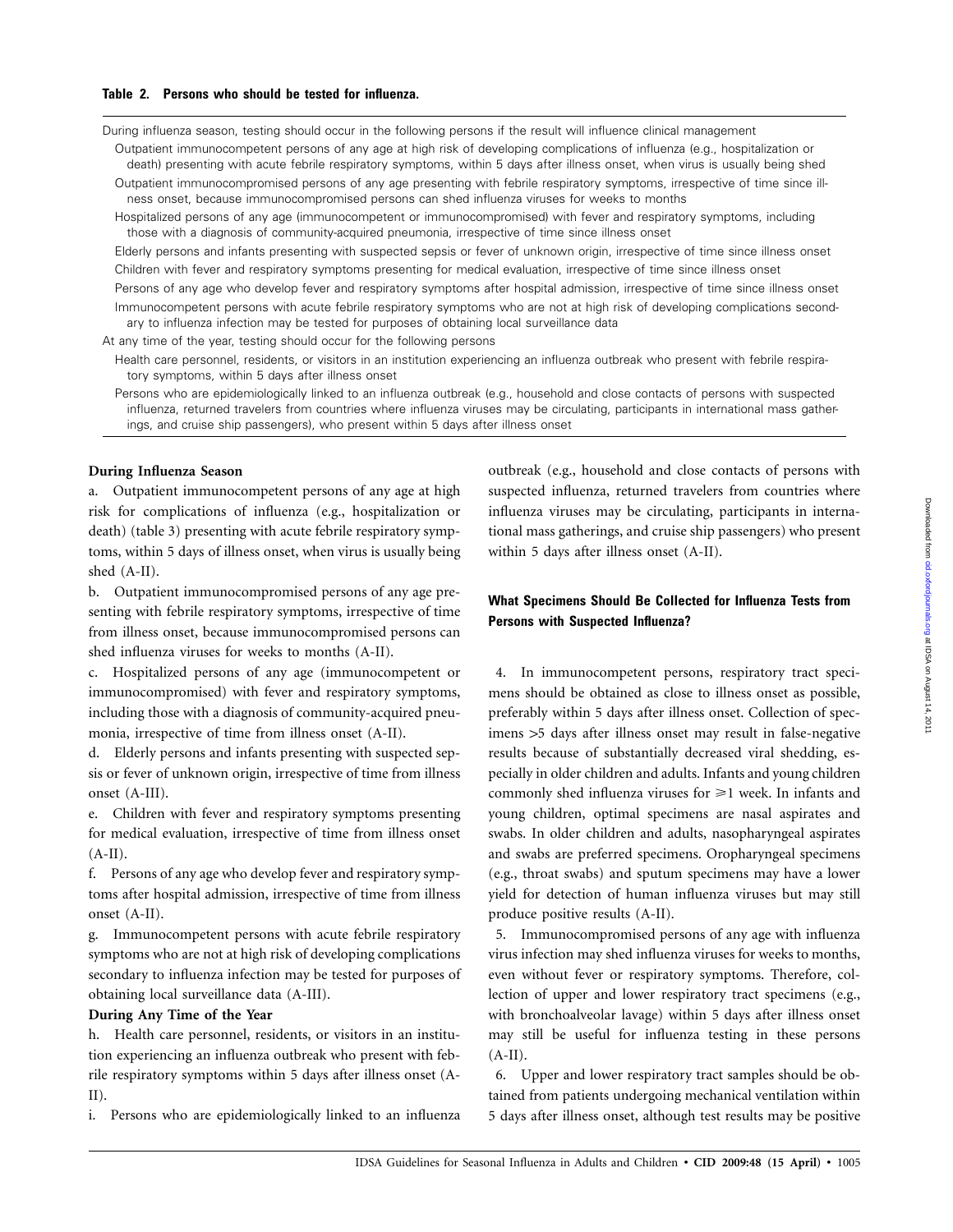## **Table 2. Persons who should be tested for influenza.**

During influenza season, testing should occur in the following persons if the result will influence clinical management

Outpatient immunocompetent persons of any age at high risk of developing complications of influenza (e.g., hospitalization or death) presenting with acute febrile respiratory symptoms, within 5 days after illness onset, when virus is usually being shed

Outpatient immunocompromised persons of any age presenting with febrile respiratory symptoms, irrespective of time since illness onset, because immunocompromised persons can shed influenza viruses for weeks to months

Hospitalized persons of any age (immunocompetent or immunocompromised) with fever and respiratory symptoms, including those with a diagnosis of community-acquired pneumonia, irrespective of time since illness onset

Elderly persons and infants presenting with suspected sepsis or fever of unknown origin, irrespective of time since illness onset Children with fever and respiratory symptoms presenting for medical evaluation, irrespective of time since illness onset

Persons of any age who develop fever and respiratory symptoms after hospital admission, irrespective of time since illness onset Immunocompetent persons with acute febrile respiratory symptoms who are not at high risk of developing complications secondary to influenza infection may be tested for purposes of obtaining local surveillance data

At any time of the year, testing should occur for the following persons

Health care personnel, residents, or visitors in an institution experiencing an influenza outbreak who present with febrile respiratory symptoms, within 5 days after illness onset

Persons who are epidemiologically linked to an influenza outbreak (e.g., household and close contacts of persons with suspected influenza, returned travelers from countries where influenza viruses may be circulating, participants in international mass gatherings, and cruise ship passengers), who present within 5 days after illness onset

#### **During Influenza Season**

Outpatient immunocompetent persons of any age at high risk for complications of influenza (e.g., hospitalization or death) (table 3) presenting with acute febrile respiratory symptoms, within 5 days of illness onset, when virus is usually being shed (A-II).

b. Outpatient immunocompromised persons of any age presenting with febrile respiratory symptoms, irrespective of time from illness onset, because immunocompromised persons can shed influenza viruses for weeks to months (A-II).

c. Hospitalized persons of any age (immunocompetent or immunocompromised) with fever and respiratory symptoms, including those with a diagnosis of community-acquired pneumonia, irrespective of time from illness onset (A-II).

d. Elderly persons and infants presenting with suspected sepsis or fever of unknown origin, irrespective of time from illness onset (A-III).

e. Children with fever and respiratory symptoms presenting for medical evaluation, irrespective of time from illness onset  $(A-II).$ 

f. Persons of any age who develop fever and respiratory symptoms after hospital admission, irrespective of time from illness onset (A-II).

g. Immunocompetent persons with acute febrile respiratory symptoms who are not at high risk of developing complications secondary to influenza infection may be tested for purposes of obtaining local surveillance data (A-III).

#### **During Any Time of the Year**

h. Health care personnel, residents, or visitors in an institution experiencing an influenza outbreak who present with febrile respiratory symptoms within 5 days after illness onset (A-II).

i. Persons who are epidemiologically linked to an influenza

outbreak (e.g., household and close contacts of persons with suspected influenza, returned travelers from countries where influenza viruses may be circulating, participants in international mass gatherings, and cruise ship passengers) who present within 5 days after illness onset (A-II).

## **What Specimens Should Be Collected for Influenza Tests from Persons with Suspected Influenza?**

4. In immunocompetent persons, respiratory tract specimens should be obtained as close to illness onset as possible, preferably within 5 days after illness onset. Collection of specimens >5 days after illness onset may result in false-negative results because of substantially decreased viral shedding, especially in older children and adults. Infants and young children commonly shed influenza viruses for  $\geq 1$  week. In infants and young children, optimal specimens are nasal aspirates and swabs. In older children and adults, nasopharyngeal aspirates and swabs are preferred specimens. Oropharyngeal specimens (e.g., throat swabs) and sputum specimens may have a lower yield for detection of human influenza viruses but may still produce positive results (A-II).

5. Immunocompromised persons of any age with influenza virus infection may shed influenza viruses for weeks to months, even without fever or respiratory symptoms. Therefore, collection of upper and lower respiratory tract specimens (e.g., with bronchoalveolar lavage) within 5 days after illness onset may still be useful for influenza testing in these persons  $(A-II).$ 

6. Upper and lower respiratory tract samples should be obtained from patients undergoing mechanical ventilation within 5 days after illness onset, although test results may be positive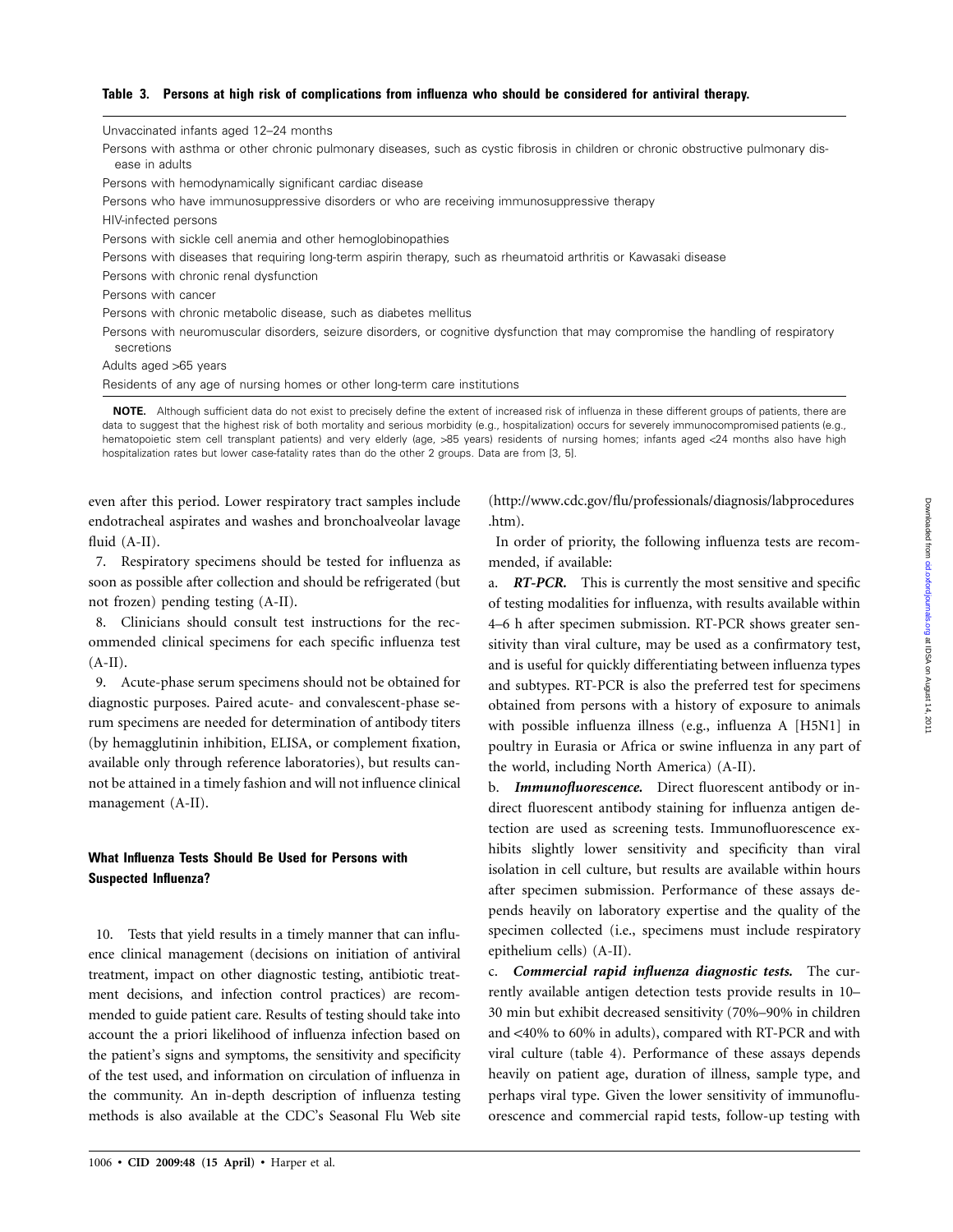## **Table 3. Persons at high risk of complications from influenza who should be considered for antiviral therapy.**

Unvaccinated infants aged 12–24 months

Persons with asthma or other chronic pulmonary diseases, such as cystic fibrosis in children or chronic obstructive pulmonary disease in adults

Persons with hemodynamically significant cardiac disease

Persons who have immunosuppressive disorders or who are receiving immunosuppressive therapy

HIV-infected persons

Persons with sickle cell anemia and other hemoglobinopathies

Persons with diseases that requiring long-term aspirin therapy, such as rheumatoid arthritis or Kawasaki disease

Persons with chronic renal dysfunction

Persons with cancer

Persons with chronic metabolic disease, such as diabetes mellitus

Persons with neuromuscular disorders, seizure disorders, or cognitive dysfunction that may compromise the handling of respiratory secretions

Adults aged >65 years

Residents of any age of nursing homes or other long-term care institutions

**NOTE.** Although sufficient data do not exist to precisely define the extent of increased risk of influenza in these different groups of patients, there are data to suggest that the highest risk of both mortality and serious morbidity (e.g., hospitalization) occurs for severely immunocompromised patients (e.g., hematopoietic stem cell transplant patients) and very elderly (age, >85 years) residents of nursing homes; infants aged <24 months also have high hospitalization rates but lower case-fatality rates than do the other 2 groups. Data are from [3, 5].

even after this period. Lower respiratory tract samples include endotracheal aspirates and washes and bronchoalveolar lavage fluid (A-II).

7. Respiratory specimens should be tested for influenza as soon as possible after collection and should be refrigerated (but not frozen) pending testing (A-II).

8. Clinicians should consult test instructions for the recommended clinical specimens for each specific influenza test  $(A-II).$ 

9. Acute-phase serum specimens should not be obtained for diagnostic purposes. Paired acute- and convalescent-phase serum specimens are needed for determination of antibody titers (by hemagglutinin inhibition, ELISA, or complement fixation, available only through reference laboratories), but results cannot be attained in a timely fashion and will not influence clinical management (A-II).

## **What Influenza Tests Should Be Used for Persons with Suspected Influenza?**

10. Tests that yield results in a timely manner that can influence clinical management (decisions on initiation of antiviral treatment, impact on other diagnostic testing, antibiotic treatment decisions, and infection control practices) are recommended to guide patient care. Results of testing should take into account the a priori likelihood of influenza infection based on the patient's signs and symptoms, the sensitivity and specificity of the test used, and information on circulation of influenza in the community. An in-depth description of influenza testing methods is also available at the CDC's Seasonal Flu Web site (http://www.cdc.gov/flu/professionals/diagnosis/labprocedures .htm).

In order of priority, the following influenza tests are recommended, if available:

a. *RT-PCR.* This is currently the most sensitive and specific of testing modalities for influenza, with results available within 4–6 h after specimen submission. RT-PCR shows greater sensitivity than viral culture, may be used as a confirmatory test, and is useful for quickly differentiating between influenza types and subtypes. RT-PCR is also the preferred test for specimens obtained from persons with a history of exposure to animals with possible influenza illness (e.g., influenza A [H5N1] in poultry in Eurasia or Africa or swine influenza in any part of the world, including North America) (A-II).

b. *Immunofluorescence.* Direct fluorescent antibody or indirect fluorescent antibody staining for influenza antigen detection are used as screening tests. Immunofluorescence exhibits slightly lower sensitivity and specificity than viral isolation in cell culture, but results are available within hours after specimen submission. Performance of these assays depends heavily on laboratory expertise and the quality of the specimen collected (i.e., specimens must include respiratory epithelium cells) (A-II).

c. *Commercial rapid influenza diagnostic tests.* The currently available antigen detection tests provide results in 10– 30 min but exhibit decreased sensitivity (70%–90% in children and <40% to 60% in adults), compared with RT-PCR and with viral culture (table 4). Performance of these assays depends heavily on patient age, duration of illness, sample type, and perhaps viral type. Given the lower sensitivity of immunofluorescence and commercial rapid tests, follow-up testing with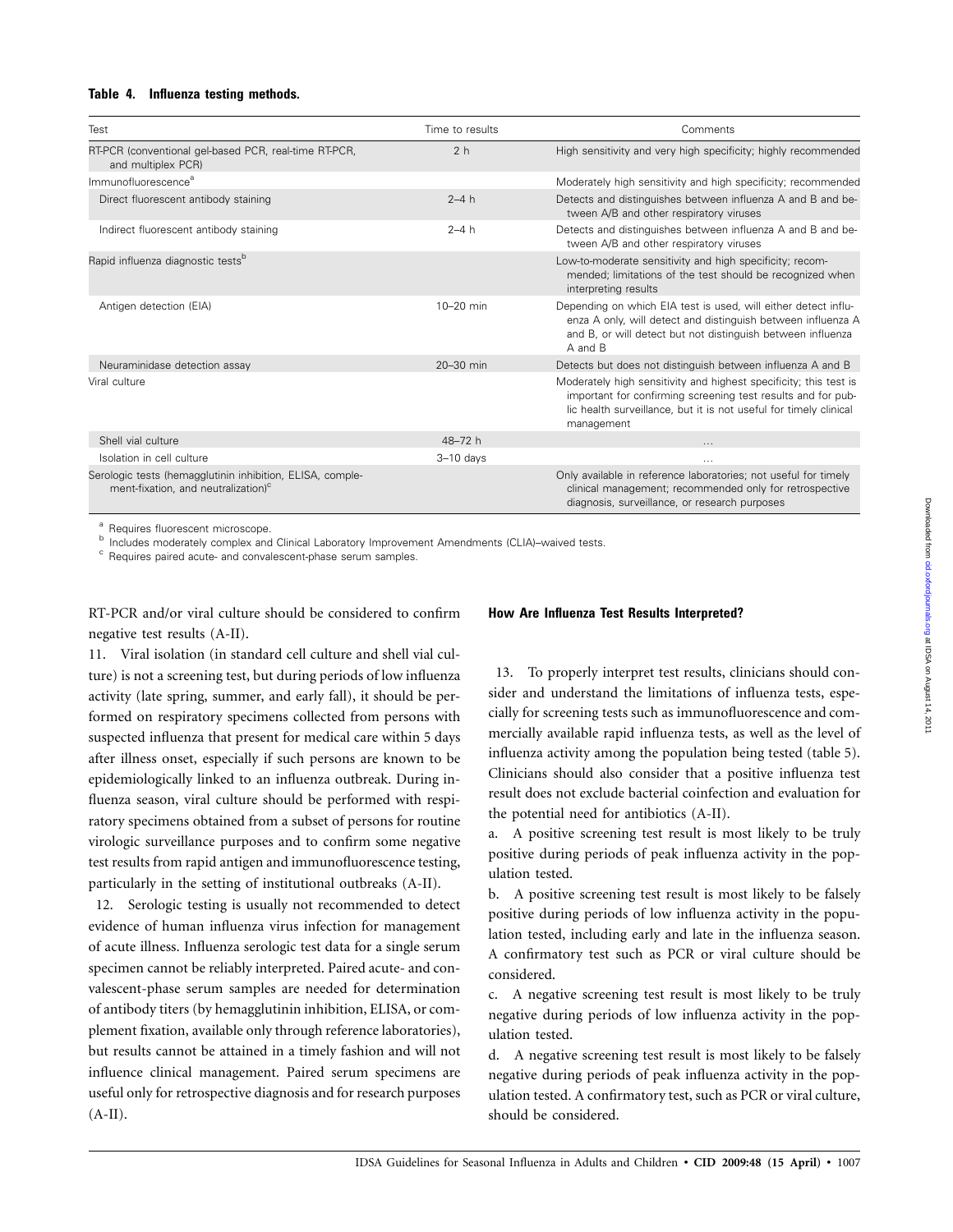#### **Table 4. Influenza testing methods.**

| Test                                                                                                         | Time to results | Comments                                                                                                                                                                                                             |
|--------------------------------------------------------------------------------------------------------------|-----------------|----------------------------------------------------------------------------------------------------------------------------------------------------------------------------------------------------------------------|
| RT-PCR (conventional gel-based PCR, real-time RT-PCR,<br>and multiplex PCR)                                  | 2 <sub>h</sub>  | High sensitivity and very high specificity; highly recommended                                                                                                                                                       |
| Immunofluorescence <sup>a</sup>                                                                              |                 | Moderately high sensitivity and high specificity; recommended                                                                                                                                                        |
| Direct fluorescent antibody staining                                                                         | $2-4h$          | Detects and distinguishes between influenza A and B and be-<br>tween A/B and other respiratory viruses                                                                                                               |
| Indirect fluorescent antibody staining                                                                       | $2-4h$          | Detects and distinguishes between influenza A and B and be-<br>tween A/B and other respiratory viruses                                                                                                               |
| Rapid influenza diagnostic tests <sup>b</sup>                                                                |                 | Low-to-moderate sensitivity and high specificity; recom-<br>mended; limitations of the test should be recognized when<br>interpreting results                                                                        |
| Antigen detection (EIA)                                                                                      | $10 - 20$ min   | Depending on which EIA test is used, will either detect influ-<br>enza A only, will detect and distinguish between influenza A<br>and B, or will detect but not distinguish between influenza<br>A and B             |
| Neuraminidase detection assay                                                                                | 20-30 min       | Detects but does not distinguish between influenza A and B                                                                                                                                                           |
| Viral culture                                                                                                |                 | Moderately high sensitivity and highest specificity; this test is<br>important for confirming screening test results and for pub-<br>lic health surveillance, but it is not useful for timely clinical<br>management |
| Shell vial culture                                                                                           | 48-72 h         |                                                                                                                                                                                                                      |
| Isolation in cell culture                                                                                    | $3-10$ days     | $\cdots$                                                                                                                                                                                                             |
| Serologic tests (hemagglutinin inhibition, ELISA, comple-<br>ment-fixation, and neutralization) <sup>c</sup> |                 | Only available in reference laboratories; not useful for timely<br>clinical management; recommended only for retrospective<br>diagnosis, surveillance, or research purposes                                          |

a Requires fluorescent microscope.<br>
b Includes moderately complex and Clinical Laboratory Improvement Amendments (CLIA)–waived tests.<br>
c Requires paired acute- and convalescent-phase serum samples.

RT-PCR and/or viral culture should be considered to confirm negative test results (A-II).

11. Viral isolation (in standard cell culture and shell vial culture) is not a screening test, but during periods of low influenza activity (late spring, summer, and early fall), it should be performed on respiratory specimens collected from persons with suspected influenza that present for medical care within 5 days after illness onset, especially if such persons are known to be epidemiologically linked to an influenza outbreak. During influenza season, viral culture should be performed with respiratory specimens obtained from a subset of persons for routine virologic surveillance purposes and to confirm some negative test results from rapid antigen and immunofluorescence testing, particularly in the setting of institutional outbreaks (A-II).

12. Serologic testing is usually not recommended to detect evidence of human influenza virus infection for management of acute illness. Influenza serologic test data for a single serum specimen cannot be reliably interpreted. Paired acute- and convalescent-phase serum samples are needed for determination of antibody titers (by hemagglutinin inhibition, ELISA, or complement fixation, available only through reference laboratories), but results cannot be attained in a timely fashion and will not influence clinical management. Paired serum specimens are useful only for retrospective diagnosis and for research purposes  $(A-II).$ 

## **How Are Influenza Test Results Interpreted?**

13. To properly interpret test results, clinicians should consider and understand the limitations of influenza tests, especially for screening tests such as immunofluorescence and commercially available rapid influenza tests, as well as the level of influenza activity among the population being tested (table 5). Clinicians should also consider that a positive influenza test result does not exclude bacterial coinfection and evaluation for the potential need for antibiotics (A-II).

a. A positive screening test result is most likely to be truly positive during periods of peak influenza activity in the population tested.

b. A positive screening test result is most likely to be falsely positive during periods of low influenza activity in the population tested, including early and late in the influenza season. A confirmatory test such as PCR or viral culture should be considered.

c. A negative screening test result is most likely to be truly negative during periods of low influenza activity in the population tested.

d. A negative screening test result is most likely to be falsely negative during periods of peak influenza activity in the population tested. A confirmatory test, such as PCR or viral culture, should be considered.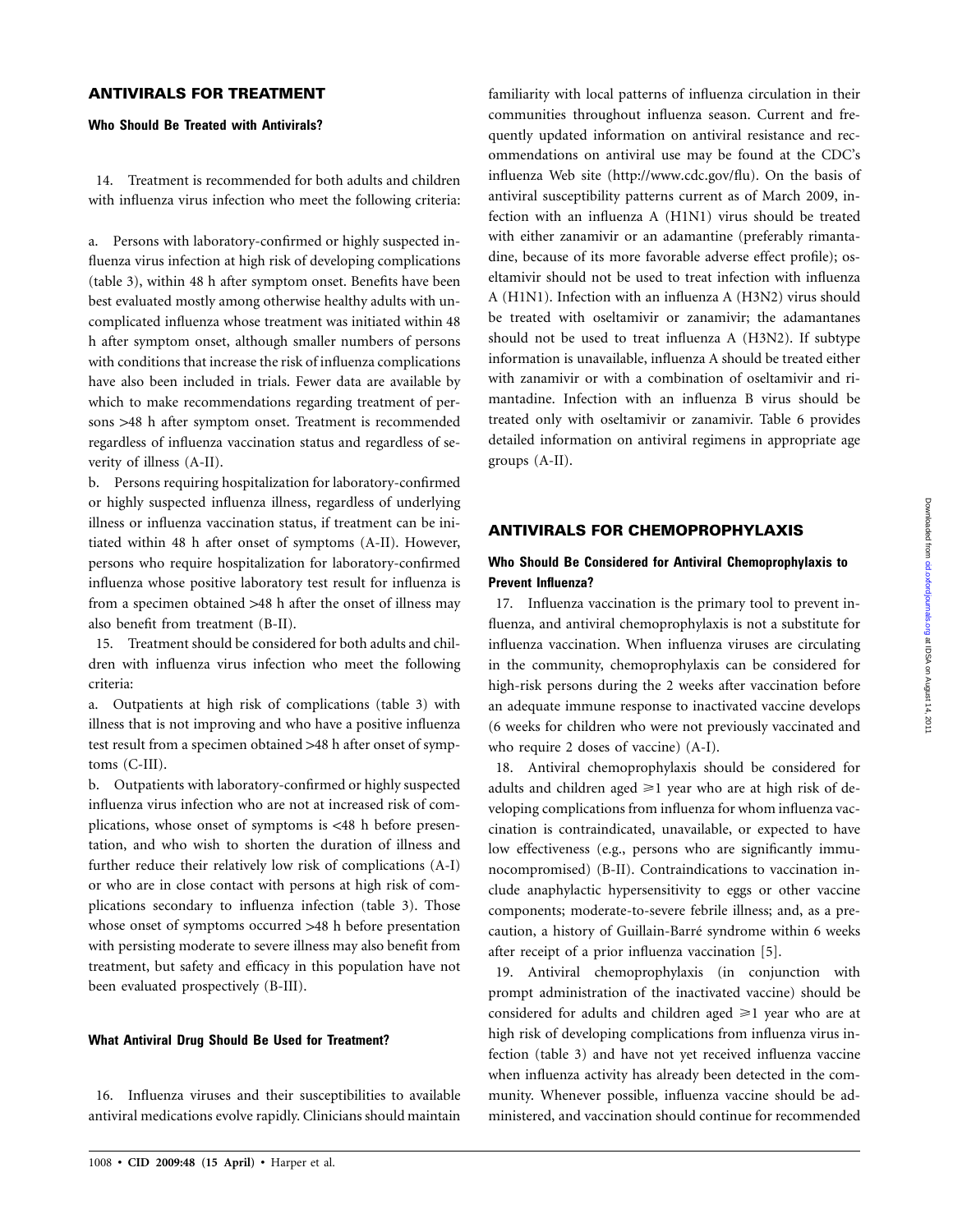## **ANTIVIRALS FOR TREATMENT**

#### **Who Should Be Treated with Antivirals?**

14. Treatment is recommended for both adults and children with influenza virus infection who meet the following criteria:

a. Persons with laboratory-confirmed or highly suspected influenza virus infection at high risk of developing complications (table 3), within 48 h after symptom onset. Benefits have been best evaluated mostly among otherwise healthy adults with uncomplicated influenza whose treatment was initiated within 48 h after symptom onset, although smaller numbers of persons with conditions that increase the risk of influenza complications have also been included in trials. Fewer data are available by which to make recommendations regarding treatment of persons >48 h after symptom onset. Treatment is recommended regardless of influenza vaccination status and regardless of severity of illness (A-II).

b. Persons requiring hospitalization for laboratory-confirmed or highly suspected influenza illness, regardless of underlying illness or influenza vaccination status, if treatment can be initiated within 48 h after onset of symptoms (A-II). However, persons who require hospitalization for laboratory-confirmed influenza whose positive laboratory test result for influenza is from a specimen obtained >48 h after the onset of illness may also benefit from treatment (B-II).

15. Treatment should be considered for both adults and children with influenza virus infection who meet the following criteria:

a. Outpatients at high risk of complications (table 3) with illness that is not improving and who have a positive influenza test result from a specimen obtained >48 h after onset of symptoms (C-III).

b. Outpatients with laboratory-confirmed or highly suspected influenza virus infection who are not at increased risk of complications, whose onset of symptoms is  $<48$  h before presentation, and who wish to shorten the duration of illness and further reduce their relatively low risk of complications (A-I) or who are in close contact with persons at high risk of complications secondary to influenza infection (table 3). Those whose onset of symptoms occurred >48 h before presentation with persisting moderate to severe illness may also benefit from treatment, but safety and efficacy in this population have not been evaluated prospectively (B-III).

#### **What Antiviral Drug Should Be Used for Treatment?**

16. Influenza viruses and their susceptibilities to available antiviral medications evolve rapidly. Clinicians should maintain

familiarity with local patterns of influenza circulation in their communities throughout influenza season. Current and frequently updated information on antiviral resistance and recommendations on antiviral use may be found at the CDC's influenza Web site (http://www.cdc.gov/flu). On the basis of antiviral susceptibility patterns current as of March 2009, infection with an influenza A (H1N1) virus should be treated with either zanamivir or an adamantine (preferably rimantadine, because of its more favorable adverse effect profile); oseltamivir should not be used to treat infection with influenza A (H1N1). Infection with an influenza A (H3N2) virus should be treated with oseltamivir or zanamivir; the adamantanes should not be used to treat influenza A (H3N2). If subtype information is unavailable, influenza A should be treated either with zanamivir or with a combination of oseltamivir and rimantadine. Infection with an influenza B virus should be treated only with oseltamivir or zanamivir. Table 6 provides detailed information on antiviral regimens in appropriate age groups (A-II).

## **ANTIVIRALS FOR CHEMOPROPHYLAXIS**

## **Who Should Be Considered for Antiviral Chemoprophylaxis to Prevent Influenza?**

17. Influenza vaccination is the primary tool to prevent influenza, and antiviral chemoprophylaxis is not a substitute for influenza vaccination. When influenza viruses are circulating in the community, chemoprophylaxis can be considered for high-risk persons during the 2 weeks after vaccination before an adequate immune response to inactivated vaccine develops (6 weeks for children who were not previously vaccinated and who require 2 doses of vaccine) (A-I).

18. Antiviral chemoprophylaxis should be considered for adults and children aged  $\geq 1$  year who are at high risk of developing complications from influenza for whom influenza vaccination is contraindicated, unavailable, or expected to have low effectiveness (e.g., persons who are significantly immunocompromised) (B-II). Contraindications to vaccination include anaphylactic hypersensitivity to eggs or other vaccine components; moderate-to-severe febrile illness; and, as a precaution, a history of Guillain-Barré syndrome within 6 weeks after receipt of a prior influenza vaccination [5].

19. Antiviral chemoprophylaxis (in conjunction with prompt administration of the inactivated vaccine) should be considered for adults and children aged  $\geq 1$  year who are at high risk of developing complications from influenza virus infection (table 3) and have not yet received influenza vaccine when influenza activity has already been detected in the community. Whenever possible, influenza vaccine should be administered, and vaccination should continue for recommended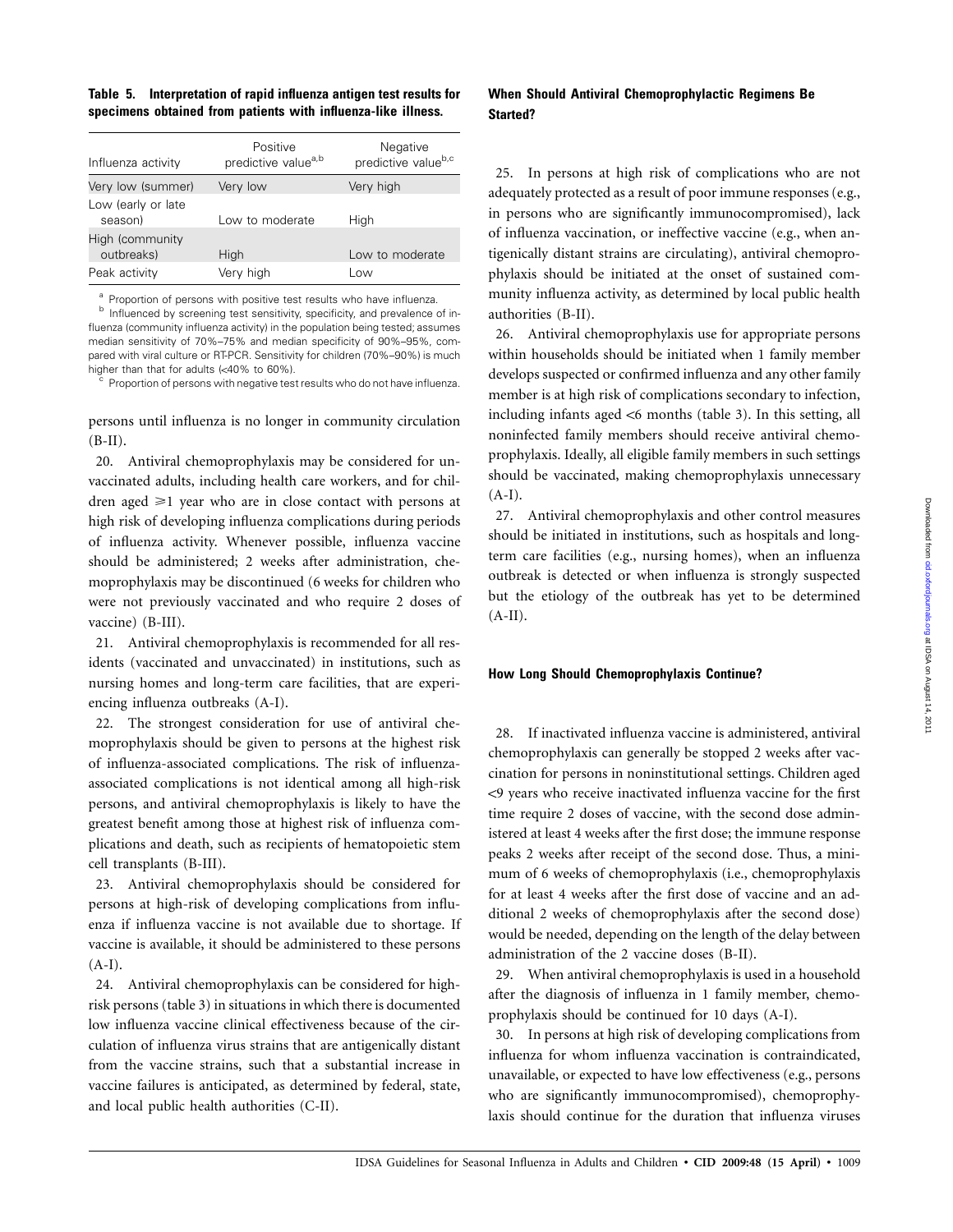## **Table 5. Interpretation of rapid influenza antigen test results for specimens obtained from patients with influenza-like illness.**

| Influenza activity            | Positive<br>predictive value <sup>a,b</sup> | Negative<br>predictive valueb,c |
|-------------------------------|---------------------------------------------|---------------------------------|
|                               |                                             |                                 |
| Very low (summer)             | Very low                                    | Very high                       |
| Low (early or late<br>season) | Low to moderate                             | High                            |
| High (community<br>outbreaks) | High                                        | Low to moderate                 |
| Peak activity                 | Very high                                   | Low                             |

 $\alpha$  Proportion of persons with positive test results who have influenza.<br>b Influenced by screening test sensitivity, specificity, and prevalence of influenza (community influenza activity) in the population being tested; assumes median sensitivity of 70%–75% and median specificity of 90%–95%, compared with viral culture or RT-PCR. Sensitivity for children (70%–90%) is much higher than that for adults ( $\leq 40\%$  to 60%).<br><sup>c</sup> Proportion of persons with negative test results who do not have influenza.

persons until influenza is no longer in community circulation  $(B-II).$ 

20. Antiviral chemoprophylaxis may be considered for unvaccinated adults, including health care workers, and for children aged  $\geq 1$  year who are in close contact with persons at high risk of developing influenza complications during periods of influenza activity. Whenever possible, influenza vaccine should be administered; 2 weeks after administration, chemoprophylaxis may be discontinued (6 weeks for children who were not previously vaccinated and who require 2 doses of vaccine) (B-III).

21. Antiviral chemoprophylaxis is recommended for all residents (vaccinated and unvaccinated) in institutions, such as nursing homes and long-term care facilities, that are experiencing influenza outbreaks (A-I).

22. The strongest consideration for use of antiviral chemoprophylaxis should be given to persons at the highest risk of influenza-associated complications. The risk of influenzaassociated complications is not identical among all high-risk persons, and antiviral chemoprophylaxis is likely to have the greatest benefit among those at highest risk of influenza complications and death, such as recipients of hematopoietic stem cell transplants (B-III).

23. Antiviral chemoprophylaxis should be considered for persons at high-risk of developing complications from influenza if influenza vaccine is not available due to shortage. If vaccine is available, it should be administered to these persons  $(A-I).$ 

24. Antiviral chemoprophylaxis can be considered for highrisk persons (table 3) in situations in which there is documented low influenza vaccine clinical effectiveness because of the circulation of influenza virus strains that are antigenically distant from the vaccine strains, such that a substantial increase in vaccine failures is anticipated, as determined by federal, state, and local public health authorities (C-II).

## **When Should Antiviral Chemoprophylactic Regimens Be Started?**

25. In persons at high risk of complications who are not adequately protected as a result of poor immune responses (e.g., in persons who are significantly immunocompromised), lack of influenza vaccination, or ineffective vaccine (e.g., when antigenically distant strains are circulating), antiviral chemoprophylaxis should be initiated at the onset of sustained community influenza activity, as determined by local public health authorities (B-II).

26. Antiviral chemoprophylaxis use for appropriate persons within households should be initiated when 1 family member develops suspected or confirmed influenza and any other family member is at high risk of complications secondary to infection, including infants aged  $<6$  months (table 3). In this setting, all noninfected family members should receive antiviral chemoprophylaxis. Ideally, all eligible family members in such settings should be vaccinated, making chemoprophylaxis unnecessary  $(A-I).$ 

27. Antiviral chemoprophylaxis and other control measures should be initiated in institutions, such as hospitals and longterm care facilities (e.g., nursing homes), when an influenza outbreak is detected or when influenza is strongly suspected but the etiology of the outbreak has yet to be determined  $(A-II).$ 

#### **How Long Should Chemoprophylaxis Continue?**

28. If inactivated influenza vaccine is administered, antiviral chemoprophylaxis can generally be stopped 2 weeks after vaccination for persons in noninstitutional settings. Children aged !9 years who receive inactivated influenza vaccine for the first time require 2 doses of vaccine, with the second dose administered at least 4 weeks after the first dose; the immune response peaks 2 weeks after receipt of the second dose. Thus, a minimum of 6 weeks of chemoprophylaxis (i.e., chemoprophylaxis for at least 4 weeks after the first dose of vaccine and an additional 2 weeks of chemoprophylaxis after the second dose) would be needed, depending on the length of the delay between administration of the 2 vaccine doses (B-II).

29. When antiviral chemoprophylaxis is used in a household after the diagnosis of influenza in 1 family member, chemoprophylaxis should be continued for 10 days (A-I).

30. In persons at high risk of developing complications from influenza for whom influenza vaccination is contraindicated, unavailable, or expected to have low effectiveness (e.g., persons who are significantly immunocompromised), chemoprophylaxis should continue for the duration that influenza viruses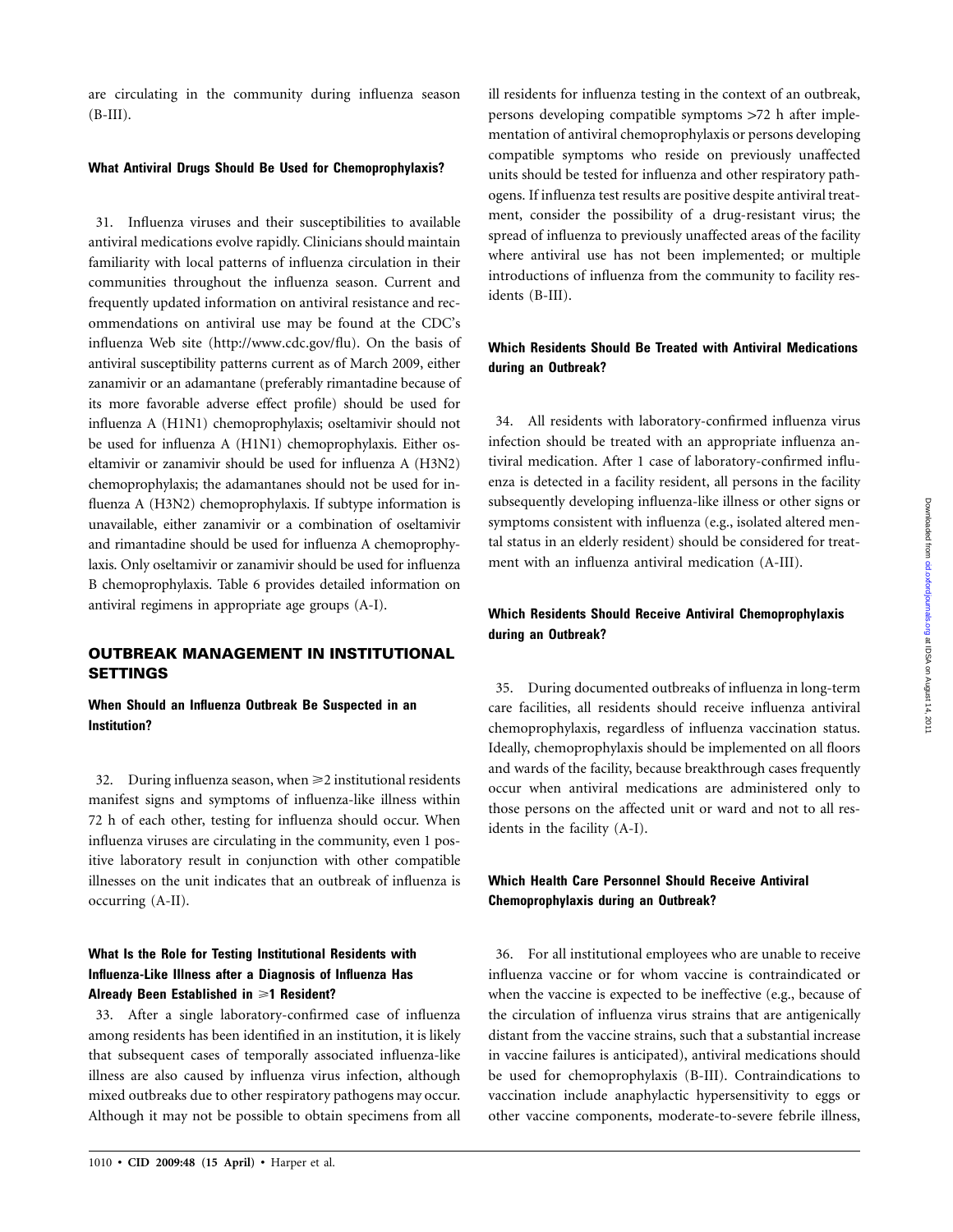are circulating in the community during influenza season  $(B-III)$ .

#### **What Antiviral Drugs Should Be Used for Chemoprophylaxis?**

31. Influenza viruses and their susceptibilities to available antiviral medications evolve rapidly. Clinicians should maintain familiarity with local patterns of influenza circulation in their communities throughout the influenza season. Current and frequently updated information on antiviral resistance and recommendations on antiviral use may be found at the CDC's influenza Web site (http://www.cdc.gov/flu). On the basis of antiviral susceptibility patterns current as of March 2009, either zanamivir or an adamantane (preferably rimantadine because of its more favorable adverse effect profile) should be used for influenza A (H1N1) chemoprophylaxis; oseltamivir should not be used for influenza A (H1N1) chemoprophylaxis. Either oseltamivir or zanamivir should be used for influenza A (H3N2) chemoprophylaxis; the adamantanes should not be used for influenza A (H3N2) chemoprophylaxis. If subtype information is unavailable, either zanamivir or a combination of oseltamivir and rimantadine should be used for influenza A chemoprophylaxis. Only oseltamivir or zanamivir should be used for influenza B chemoprophylaxis. Table 6 provides detailed information on antiviral regimens in appropriate age groups (A-I).

# **OUTBREAK MANAGEMENT IN INSTITUTIONAL SETTINGS**

## **When Should an Influenza Outbreak Be Suspected in an Institution?**

32. During influenza season, when  $\geq 2$  institutional residents manifest signs and symptoms of influenza-like illness within 72 h of each other, testing for influenza should occur. When influenza viruses are circulating in the community, even 1 positive laboratory result in conjunction with other compatible illnesses on the unit indicates that an outbreak of influenza is occurring (A-II).

# **What Is the Role for Testing Institutional Residents with Influenza-Like Illness after a Diagnosis of Influenza Has Already Been Established in 1 Resident?**

33. After a single laboratory-confirmed case of influenza among residents has been identified in an institution, it is likely that subsequent cases of temporally associated influenza-like illness are also caused by influenza virus infection, although mixed outbreaks due to other respiratory pathogens may occur. Although it may not be possible to obtain specimens from all ill residents for influenza testing in the context of an outbreak, persons developing compatible symptoms  $>72$  h after implementation of antiviral chemoprophylaxis or persons developing compatible symptoms who reside on previously unaffected units should be tested for influenza and other respiratory pathogens. If influenza test results are positive despite antiviral treatment, consider the possibility of a drug-resistant virus; the spread of influenza to previously unaffected areas of the facility where antiviral use has not been implemented; or multiple introductions of influenza from the community to facility residents (B-III).

# **Which Residents Should Be Treated with Antiviral Medications during an Outbreak?**

34. All residents with laboratory-confirmed influenza virus infection should be treated with an appropriate influenza antiviral medication. After 1 case of laboratory-confirmed influenza is detected in a facility resident, all persons in the facility subsequently developing influenza-like illness or other signs or symptoms consistent with influenza (e.g., isolated altered mental status in an elderly resident) should be considered for treatment with an influenza antiviral medication (A-III).

# **Which Residents Should Receive Antiviral Chemoprophylaxis during an Outbreak?**

35. During documented outbreaks of influenza in long-term care facilities, all residents should receive influenza antiviral chemoprophylaxis, regardless of influenza vaccination status. Ideally, chemoprophylaxis should be implemented on all floors and wards of the facility, because breakthrough cases frequently occur when antiviral medications are administered only to those persons on the affected unit or ward and not to all residents in the facility (A-I).

# **Which Health Care Personnel Should Receive Antiviral Chemoprophylaxis during an Outbreak?**

36. For all institutional employees who are unable to receive influenza vaccine or for whom vaccine is contraindicated or when the vaccine is expected to be ineffective (e.g., because of the circulation of influenza virus strains that are antigenically distant from the vaccine strains, such that a substantial increase in vaccine failures is anticipated), antiviral medications should be used for chemoprophylaxis (B-III). Contraindications to vaccination include anaphylactic hypersensitivity to eggs or other vaccine components, moderate-to-severe febrile illness,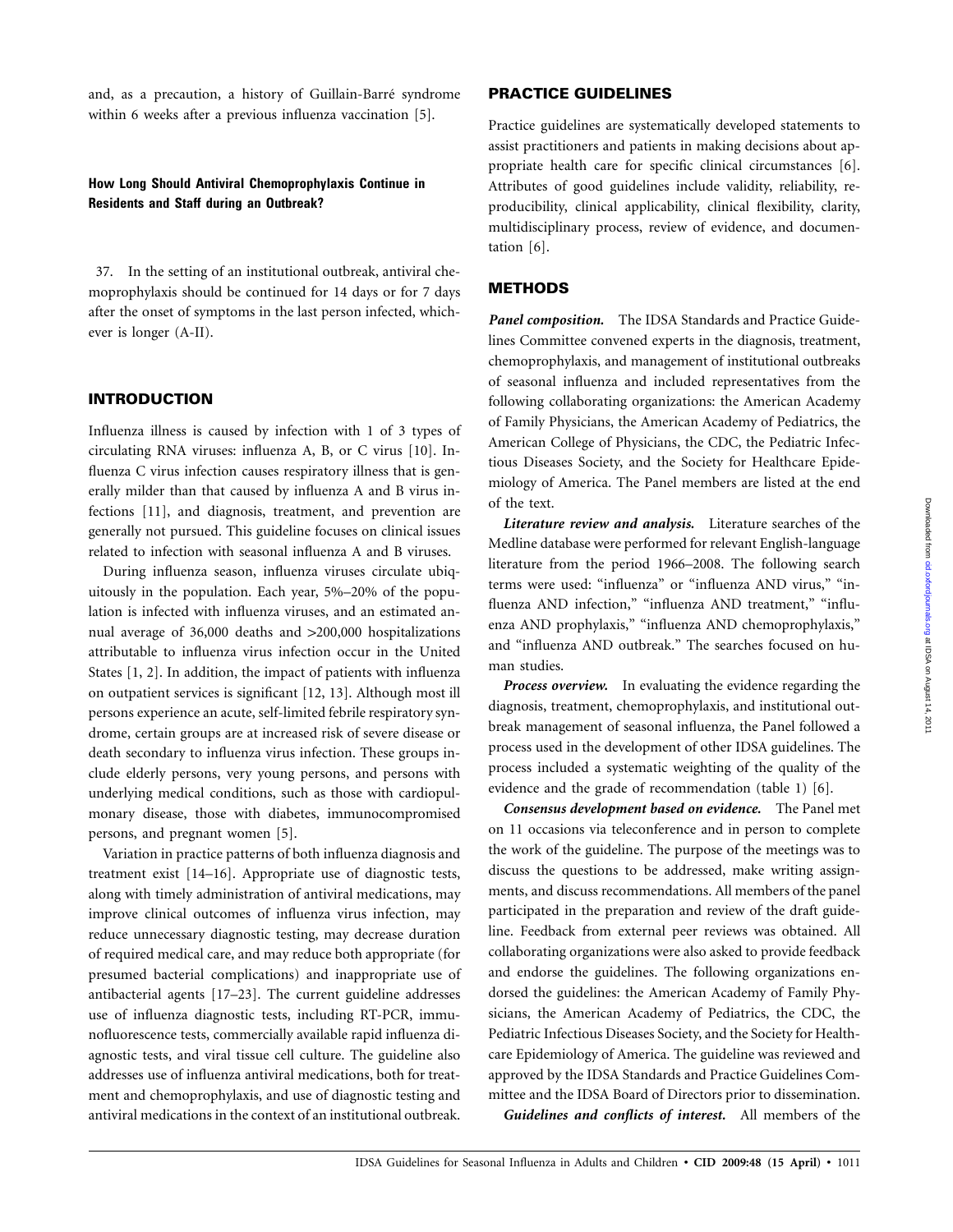and, as a precaution, a history of Guillain-Barre´ syndrome within 6 weeks after a previous influenza vaccination [5].

## **How Long Should Antiviral Chemoprophylaxis Continue in Residents and Staff during an Outbreak?**

37. In the setting of an institutional outbreak, antiviral chemoprophylaxis should be continued for 14 days or for 7 days after the onset of symptoms in the last person infected, whichever is longer (A-II).

## **INTRODUCTION**

Influenza illness is caused by infection with 1 of 3 types of circulating RNA viruses: influenza A, B, or C virus [10]. Influenza C virus infection causes respiratory illness that is generally milder than that caused by influenza A and B virus infections [11], and diagnosis, treatment, and prevention are generally not pursued. This guideline focuses on clinical issues related to infection with seasonal influenza A and B viruses.

During influenza season, influenza viruses circulate ubiquitously in the population. Each year, 5%–20% of the population is infected with influenza viruses, and an estimated annual average of  $36,000$  deaths and  $>200,000$  hospitalizations attributable to influenza virus infection occur in the United States [1, 2]. In addition, the impact of patients with influenza on outpatient services is significant [12, 13]. Although most ill persons experience an acute, self-limited febrile respiratory syndrome, certain groups are at increased risk of severe disease or death secondary to influenza virus infection. These groups include elderly persons, very young persons, and persons with underlying medical conditions, such as those with cardiopulmonary disease, those with diabetes, immunocompromised persons, and pregnant women [5].

Variation in practice patterns of both influenza diagnosis and treatment exist [14–16]. Appropriate use of diagnostic tests, along with timely administration of antiviral medications, may improve clinical outcomes of influenza virus infection, may reduce unnecessary diagnostic testing, may decrease duration of required medical care, and may reduce both appropriate (for presumed bacterial complications) and inappropriate use of antibacterial agents [17–23]. The current guideline addresses use of influenza diagnostic tests, including RT-PCR, immunofluorescence tests, commercially available rapid influenza diagnostic tests, and viral tissue cell culture. The guideline also addresses use of influenza antiviral medications, both for treatment and chemoprophylaxis, and use of diagnostic testing and antiviral medications in the context of an institutional outbreak.

## **PRACTICE GUIDELINES**

Practice guidelines are systematically developed statements to assist practitioners and patients in making decisions about appropriate health care for specific clinical circumstances [6]. Attributes of good guidelines include validity, reliability, reproducibility, clinical applicability, clinical flexibility, clarity, multidisciplinary process, review of evidence, and documentation [6].

#### **METHODS**

*Panel composition.* The IDSA Standards and Practice Guidelines Committee convened experts in the diagnosis, treatment, chemoprophylaxis, and management of institutional outbreaks of seasonal influenza and included representatives from the following collaborating organizations: the American Academy of Family Physicians, the American Academy of Pediatrics, the American College of Physicians, the CDC, the Pediatric Infectious Diseases Society, and the Society for Healthcare Epidemiology of America. The Panel members are listed at the end of the text.

*Literature review and analysis.* Literature searches of the Medline database were performed for relevant English-language literature from the period 1966–2008. The following search terms were used: "influenza" or "influenza AND virus," "influenza AND infection," "influenza AND treatment," "influenza AND prophylaxis," "influenza AND chemoprophylaxis," and "influenza AND outbreak." The searches focused on human studies.

*Process overview.* In evaluating the evidence regarding the diagnosis, treatment, chemoprophylaxis, and institutional outbreak management of seasonal influenza, the Panel followed a process used in the development of other IDSA guidelines. The process included a systematic weighting of the quality of the evidence and the grade of recommendation (table 1) [6].

*Consensus development based on evidence.* The Panel met on 11 occasions via teleconference and in person to complete the work of the guideline. The purpose of the meetings was to discuss the questions to be addressed, make writing assignments, and discuss recommendations. All members of the panel participated in the preparation and review of the draft guideline. Feedback from external peer reviews was obtained. All collaborating organizations were also asked to provide feedback and endorse the guidelines. The following organizations endorsed the guidelines: the American Academy of Family Physicians, the American Academy of Pediatrics, the CDC, the Pediatric Infectious Diseases Society, and the Society for Healthcare Epidemiology of America. The guideline was reviewed and approved by the IDSA Standards and Practice Guidelines Committee and the IDSA Board of Directors prior to dissemination.

*Guidelines and conflicts of interest.* All members of the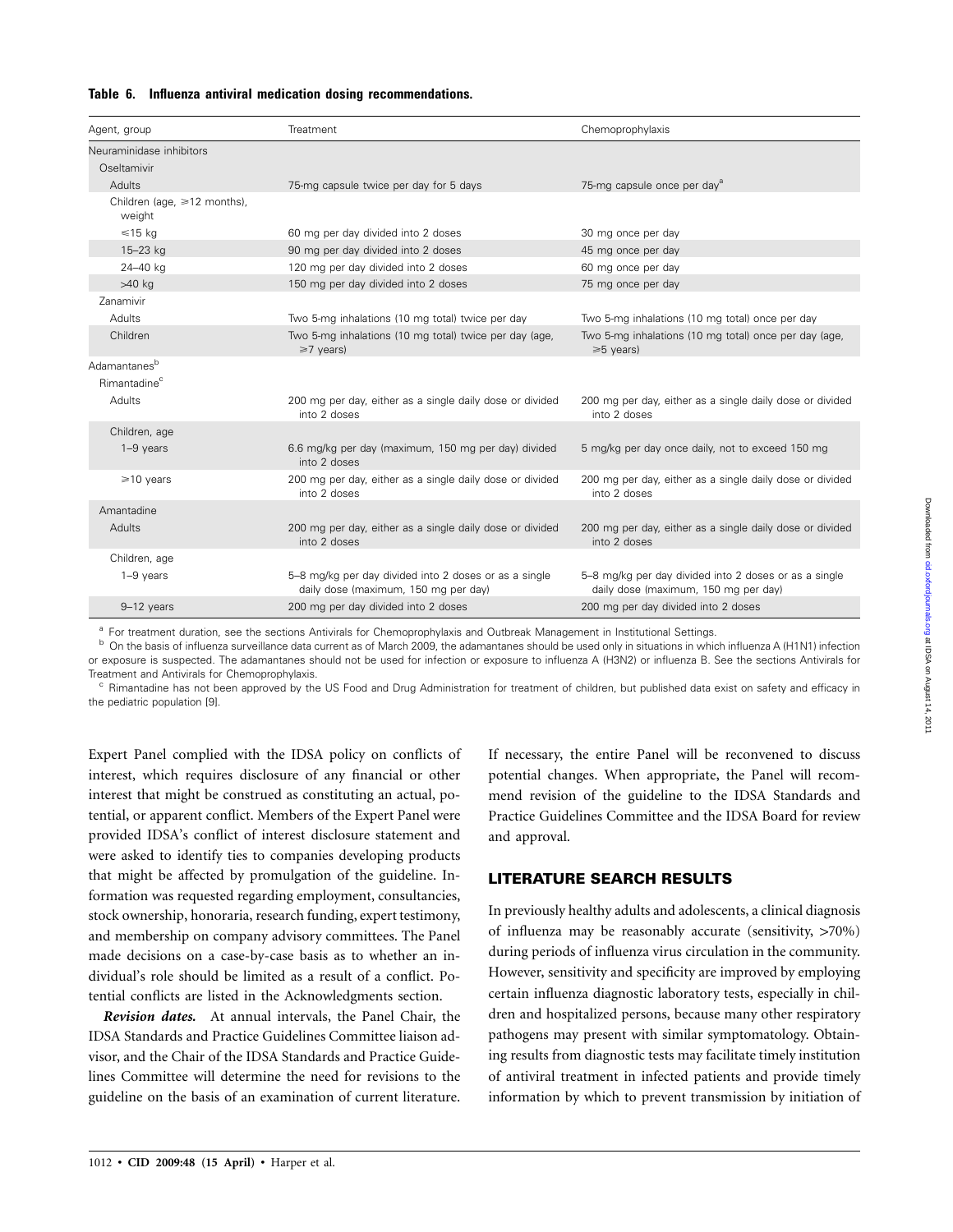#### **Table 6. Influenza antiviral medication dosing recommendations.**

| Agent, group                                | Treatment                                                                                     | Chemoprophylaxis                                                                              |
|---------------------------------------------|-----------------------------------------------------------------------------------------------|-----------------------------------------------------------------------------------------------|
| Neuraminidase inhibitors                    |                                                                                               |                                                                                               |
| Oseltamivir                                 |                                                                                               |                                                                                               |
| Adults                                      | 75-mg capsule twice per day for 5 days                                                        | 75-mg capsule once per day <sup>a</sup>                                                       |
| Children (age, $\geq 12$ months),<br>weight |                                                                                               |                                                                                               |
| ≤15 kg                                      | 60 mg per day divided into 2 doses                                                            | 30 mg once per day                                                                            |
| 15-23 kg                                    | 90 mg per day divided into 2 doses                                                            | 45 mg once per day                                                                            |
| 24-40 kg                                    | 120 mg per day divided into 2 doses                                                           | 60 mg once per day                                                                            |
| $>40$ kg                                    | 150 mg per day divided into 2 doses                                                           | 75 mg once per day                                                                            |
| Zanamivir                                   |                                                                                               |                                                                                               |
| Adults                                      | Two 5-mg inhalations (10 mg total) twice per day                                              | Two 5-mg inhalations (10 mg total) once per day                                               |
| Children                                    | Two 5-mg inhalations (10 mg total) twice per day (age,<br>$\geq 7$ years)                     | Two 5-mg inhalations (10 mg total) once per day (age,<br>$\geq 5$ years)                      |
| Adamantanes <sup>b</sup>                    |                                                                                               |                                                                                               |
| Rimantadine <sup>c</sup>                    |                                                                                               |                                                                                               |
| Adults                                      | 200 mg per day, either as a single daily dose or divided<br>into 2 doses                      | 200 mg per day, either as a single daily dose or divided<br>into 2 doses                      |
| Children, age                               |                                                                                               |                                                                                               |
| $1-9$ years                                 | 6.6 mg/kg per day (maximum, 150 mg per day) divided<br>into 2 doses                           | 5 mg/kg per day once daily, not to exceed 150 mg                                              |
| $\geq 10$ years                             | 200 mg per day, either as a single daily dose or divided<br>into 2 doses                      | 200 mg per day, either as a single daily dose or divided<br>into 2 doses                      |
| Amantadine                                  |                                                                                               |                                                                                               |
| Adults                                      | 200 mg per day, either as a single daily dose or divided<br>into 2 doses                      | 200 mg per day, either as a single daily dose or divided<br>into 2 doses                      |
| Children, age                               |                                                                                               |                                                                                               |
| $1-9$ years                                 | 5-8 mg/kg per day divided into 2 doses or as a single<br>daily dose (maximum, 150 mg per day) | 5-8 mg/kg per day divided into 2 doses or as a single<br>daily dose (maximum, 150 mg per day) |
| 9-12 years                                  | 200 mg per day divided into 2 doses                                                           | 200 mg per day divided into 2 doses                                                           |

 $^a$  For treatment duration, see the sections Antivirals for Chemoprophylaxis and Outbreak Management in Institutional Settings.<br>
<sup>b</sup> On the basis of influenza surveillance data current as of March 2009, the adamantanes s or exposure is suspected. The adamantanes should not be used for infection or exposure to influenza A (H3N2) or influenza B. See the sections Antivirals for<br>Treatment and Antivirals for Chemoprophylaxis.

 $\degree$  Rimantadine has not been approved by the US Food and Drug Administration for treatment of children, but published data exist on safety and efficacy in the pediatric population [9].

Expert Panel complied with the IDSA policy on conflicts of interest, which requires disclosure of any financial or other interest that might be construed as constituting an actual, potential, or apparent conflict. Members of the Expert Panel were provided IDSA's conflict of interest disclosure statement and were asked to identify ties to companies developing products that might be affected by promulgation of the guideline. Information was requested regarding employment, consultancies, stock ownership, honoraria, research funding, expert testimony, and membership on company advisory committees. The Panel made decisions on a case-by-case basis as to whether an individual's role should be limited as a result of a conflict. Potential conflicts are listed in the Acknowledgments section.

*Revision dates.* At annual intervals, the Panel Chair, the IDSA Standards and Practice Guidelines Committee liaison advisor, and the Chair of the IDSA Standards and Practice Guidelines Committee will determine the need for revisions to the guideline on the basis of an examination of current literature.

If necessary, the entire Panel will be reconvened to discuss potential changes. When appropriate, the Panel will recommend revision of the guideline to the IDSA Standards and Practice Guidelines Committee and the IDSA Board for review and approval.

## **LITERATURE SEARCH RESULTS**

In previously healthy adults and adolescents, a clinical diagnosis of influenza may be reasonably accurate (sensitivity, >70%) during periods of influenza virus circulation in the community. However, sensitivity and specificity are improved by employing certain influenza diagnostic laboratory tests, especially in children and hospitalized persons, because many other respiratory pathogens may present with similar symptomatology. Obtaining results from diagnostic tests may facilitate timely institution of antiviral treatment in infected patients and provide timely information by which to prevent transmission by initiation of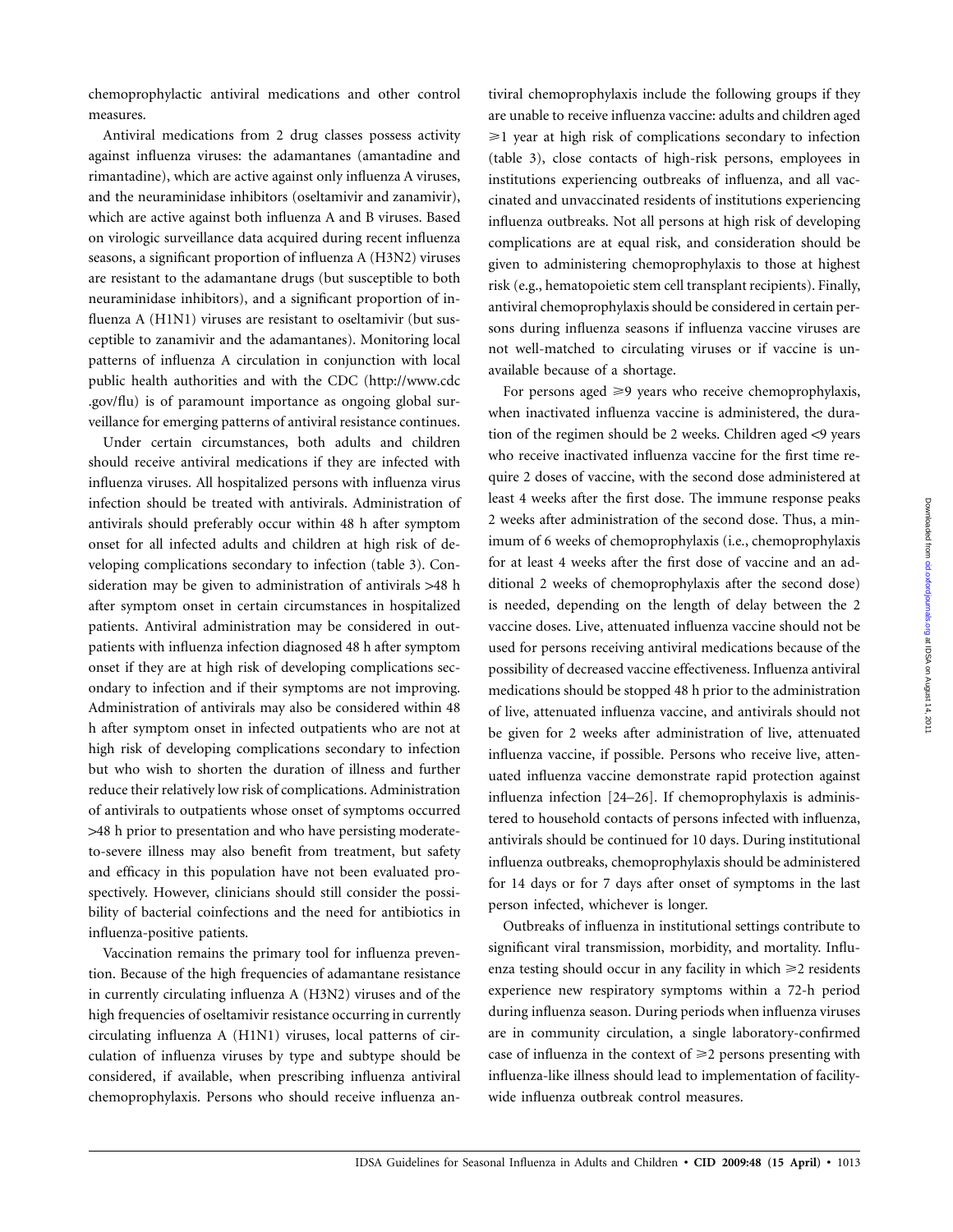chemoprophylactic antiviral medications and other control measures.

Antiviral medications from 2 drug classes possess activity against influenza viruses: the adamantanes (amantadine and rimantadine), which are active against only influenza A viruses, and the neuraminidase inhibitors (oseltamivir and zanamivir), which are active against both influenza A and B viruses. Based on virologic surveillance data acquired during recent influenza seasons, a significant proportion of influenza A (H3N2) viruses are resistant to the adamantane drugs (but susceptible to both neuraminidase inhibitors), and a significant proportion of influenza A (H1N1) viruses are resistant to oseltamivir (but susceptible to zanamivir and the adamantanes). Monitoring local patterns of influenza A circulation in conjunction with local public health authorities and with the CDC (http://www.cdc .gov/flu) is of paramount importance as ongoing global surveillance for emerging patterns of antiviral resistance continues.

Under certain circumstances, both adults and children should receive antiviral medications if they are infected with influenza viruses. All hospitalized persons with influenza virus infection should be treated with antivirals. Administration of antivirals should preferably occur within 48 h after symptom onset for all infected adults and children at high risk of developing complications secondary to infection (table 3). Consideration may be given to administration of antivirals  $>48$  h after symptom onset in certain circumstances in hospitalized patients. Antiviral administration may be considered in outpatients with influenza infection diagnosed 48 h after symptom onset if they are at high risk of developing complications secondary to infection and if their symptoms are not improving. Administration of antivirals may also be considered within 48 h after symptom onset in infected outpatients who are not at high risk of developing complications secondary to infection but who wish to shorten the duration of illness and further reduce their relatively low risk of complications. Administration of antivirals to outpatients whose onset of symptoms occurred >48 h prior to presentation and who have persisting moderateto-severe illness may also benefit from treatment, but safety and efficacy in this population have not been evaluated prospectively. However, clinicians should still consider the possibility of bacterial coinfections and the need for antibiotics in influenza-positive patients.

Vaccination remains the primary tool for influenza prevention. Because of the high frequencies of adamantane resistance in currently circulating influenza A (H3N2) viruses and of the high frequencies of oseltamivir resistance occurring in currently circulating influenza A (H1N1) viruses, local patterns of circulation of influenza viruses by type and subtype should be considered, if available, when prescribing influenza antiviral chemoprophylaxis. Persons who should receive influenza antiviral chemoprophylaxis include the following groups if they are unable to receive influenza vaccine: adults and children aged  $\geq 1$  year at high risk of complications secondary to infection (table 3), close contacts of high-risk persons, employees in institutions experiencing outbreaks of influenza, and all vaccinated and unvaccinated residents of institutions experiencing influenza outbreaks. Not all persons at high risk of developing complications are at equal risk, and consideration should be given to administering chemoprophylaxis to those at highest risk (e.g., hematopoietic stem cell transplant recipients). Finally, antiviral chemoprophylaxis should be considered in certain persons during influenza seasons if influenza vaccine viruses are not well-matched to circulating viruses or if vaccine is unavailable because of a shortage.

For persons aged  $\geq 9$  years who receive chemoprophylaxis, when inactivated influenza vaccine is administered, the duration of the regimen should be 2 weeks. Children aged <9 years who receive inactivated influenza vaccine for the first time require 2 doses of vaccine, with the second dose administered at least 4 weeks after the first dose. The immune response peaks 2 weeks after administration of the second dose. Thus, a minimum of 6 weeks of chemoprophylaxis (i.e., chemoprophylaxis for at least 4 weeks after the first dose of vaccine and an additional 2 weeks of chemoprophylaxis after the second dose) is needed, depending on the length of delay between the 2 vaccine doses. Live, attenuated influenza vaccine should not be used for persons receiving antiviral medications because of the possibility of decreased vaccine effectiveness. Influenza antiviral medications should be stopped 48 h prior to the administration of live, attenuated influenza vaccine, and antivirals should not be given for 2 weeks after administration of live, attenuated influenza vaccine, if possible. Persons who receive live, attenuated influenza vaccine demonstrate rapid protection against influenza infection [24–26]. If chemoprophylaxis is administered to household contacts of persons infected with influenza, antivirals should be continued for 10 days. During institutional influenza outbreaks, chemoprophylaxis should be administered for 14 days or for 7 days after onset of symptoms in the last person infected, whichever is longer.

Outbreaks of influenza in institutional settings contribute to significant viral transmission, morbidity, and mortality. Influenza testing should occur in any facility in which  $\geq 2$  residents experience new respiratory symptoms within a 72-h period during influenza season. During periods when influenza viruses are in community circulation, a single laboratory-confirmed case of influenza in the context of  $\geq 2$  persons presenting with influenza-like illness should lead to implementation of facilitywide influenza outbreak control measures.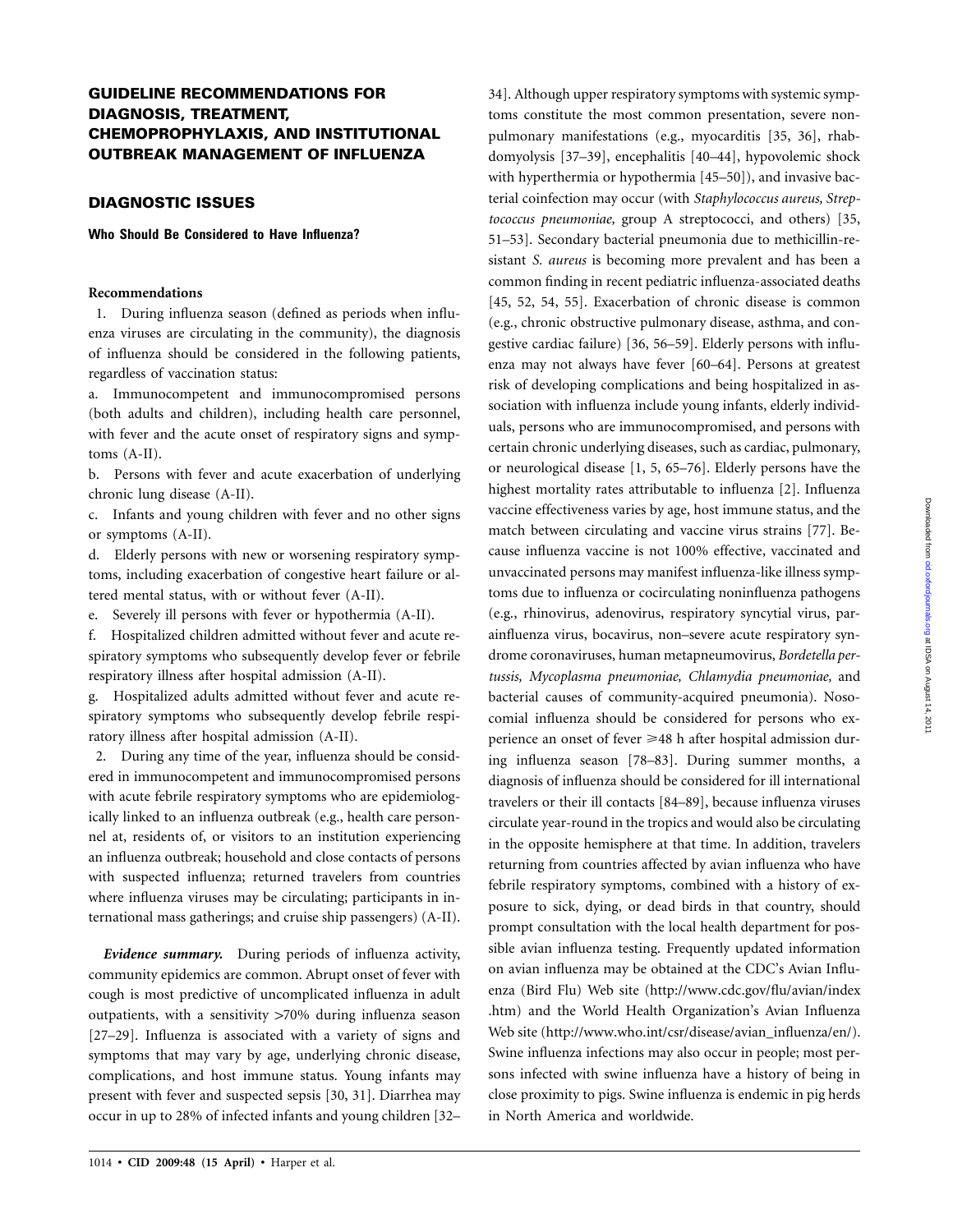# **GUIDELINE RECOMMENDATIONS FOR DIAGNOSIS, TREATMENT, CHEMOPROPHYLAXIS, AND INSTITUTIONAL OUTBREAK MANAGEMENT OF INFLUENZA**

## **DIAGNOSTIC ISSUES**

#### **Who Should Be Considered to Have Influenza?**

## **Recommendations**

1. During influenza season (defined as periods when influenza viruses are circulating in the community), the diagnosis of influenza should be considered in the following patients, regardless of vaccination status:

a. Immunocompetent and immunocompromised persons (both adults and children), including health care personnel, with fever and the acute onset of respiratory signs and symptoms (A-II).

b. Persons with fever and acute exacerbation of underlying chronic lung disease (A-II).

c. Infants and young children with fever and no other signs or symptoms (A-II).

d. Elderly persons with new or worsening respiratory symptoms, including exacerbation of congestive heart failure or altered mental status, with or without fever (A-II).

e. Severely ill persons with fever or hypothermia (A-II).

f. Hospitalized children admitted without fever and acute respiratory symptoms who subsequently develop fever or febrile respiratory illness after hospital admission (A-II).

g. Hospitalized adults admitted without fever and acute respiratory symptoms who subsequently develop febrile respiratory illness after hospital admission (A-II).

2. During any time of the year, influenza should be considered in immunocompetent and immunocompromised persons with acute febrile respiratory symptoms who are epidemiologically linked to an influenza outbreak (e.g., health care personnel at, residents of, or visitors to an institution experiencing an influenza outbreak; household and close contacts of persons with suspected influenza; returned travelers from countries where influenza viruses may be circulating; participants in international mass gatherings; and cruise ship passengers) (A-II).

*Evidence summary.* During periods of influenza activity, community epidemics are common. Abrupt onset of fever with cough is most predictive of uncomplicated influenza in adult outpatients, with a sensitivity >70% during influenza season [27–29]. Influenza is associated with a variety of signs and symptoms that may vary by age, underlying chronic disease, complications, and host immune status. Young infants may present with fever and suspected sepsis [30, 31]. Diarrhea may occur in up to 28% of infected infants and young children [32–

34]. Although upper respiratory symptoms with systemic symptoms constitute the most common presentation, severe nonpulmonary manifestations (e.g., myocarditis [35, 36], rhabdomyolysis [37–39], encephalitis [40–44], hypovolemic shock with hyperthermia or hypothermia [45–50]), and invasive bacterial coinfection may occur (with *Staphylococcus aureus, Streptococcus pneumoniae,* group A streptococci, and others) [35, 51–53]. Secondary bacterial pneumonia due to methicillin-resistant *S. aureus* is becoming more prevalent and has been a common finding in recent pediatric influenza-associated deaths [45, 52, 54, 55]. Exacerbation of chronic disease is common (e.g., chronic obstructive pulmonary disease, asthma, and congestive cardiac failure) [36, 56–59]. Elderly persons with influenza may not always have fever [60–64]. Persons at greatest risk of developing complications and being hospitalized in association with influenza include young infants, elderly individuals, persons who are immunocompromised, and persons with certain chronic underlying diseases, such as cardiac, pulmonary, or neurological disease [1, 5, 65–76]. Elderly persons have the highest mortality rates attributable to influenza [2]. Influenza vaccine effectiveness varies by age, host immune status, and the match between circulating and vaccine virus strains [77]. Because influenza vaccine is not 100% effective, vaccinated and unvaccinated persons may manifest influenza-like illness symptoms due to influenza or cocirculating noninfluenza pathogens (e.g., rhinovirus, adenovirus, respiratory syncytial virus, parainfluenza virus, bocavirus, non–severe acute respiratory syndrome coronaviruses, human metapneumovirus, *Bordetella pertussis, Mycoplasma pneumoniae, Chlamydia pneumoniae,* and bacterial causes of community-acquired pneumonia). Nosocomial influenza should be considered for persons who experience an onset of fever  $\geq 48$  h after hospital admission during influenza season [78–83]. During summer months, a diagnosis of influenza should be considered for ill international travelers or their ill contacts [84–89], because influenza viruses circulate year-round in the tropics and would also be circulating in the opposite hemisphere at that time. In addition, travelers returning from countries affected by avian influenza who have febrile respiratory symptoms, combined with a history of exposure to sick, dying, or dead birds in that country, should prompt consultation with the local health department for possible avian influenza testing. Frequently updated information on avian influenza may be obtained at the CDC's Avian Influenza (Bird Flu) Web site (http://www.cdc.gov/flu/avian/index .htm) and the World Health Organization's Avian Influenza Web site (http://www.who.int/csr/disease/avian\_influenza/en/). Swine influenza infections may also occur in people; most persons infected with swine influenza have a history of being in close proximity to pigs. Swine influenza is endemic in pig herds in North America and worldwide.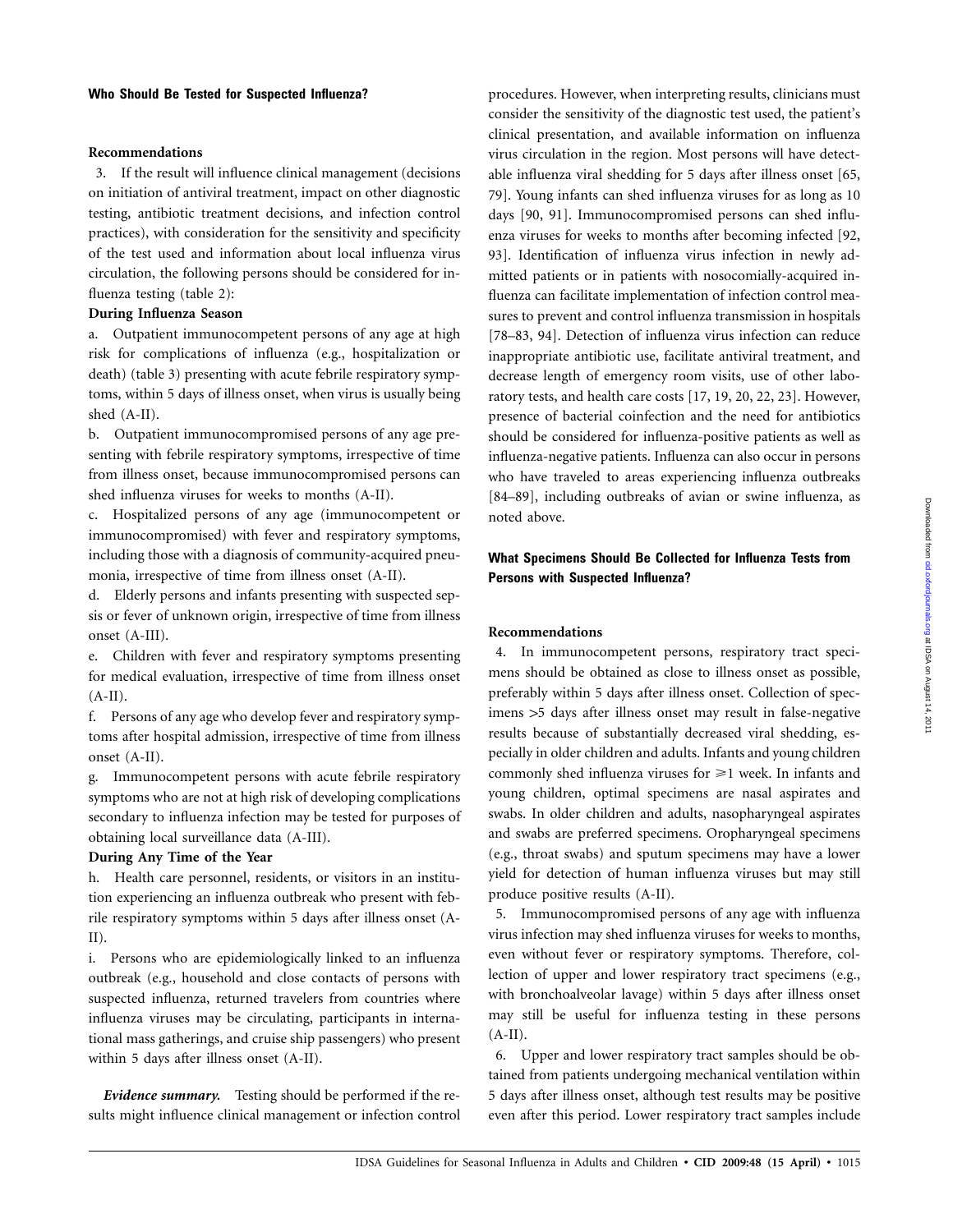## **Recommendations**

3. If the result will influence clinical management (decisions on initiation of antiviral treatment, impact on other diagnostic testing, antibiotic treatment decisions, and infection control practices), with consideration for the sensitivity and specificity of the test used and information about local influenza virus circulation, the following persons should be considered for influenza testing (table 2):

## **During Influenza Season**

a. Outpatient immunocompetent persons of any age at high risk for complications of influenza (e.g., hospitalization or death) (table 3) presenting with acute febrile respiratory symptoms, within 5 days of illness onset, when virus is usually being shed (A-II).

b. Outpatient immunocompromised persons of any age presenting with febrile respiratory symptoms, irrespective of time from illness onset, because immunocompromised persons can shed influenza viruses for weeks to months (A-II).

c. Hospitalized persons of any age (immunocompetent or immunocompromised) with fever and respiratory symptoms, including those with a diagnosis of community-acquired pneumonia, irrespective of time from illness onset (A-II).

d. Elderly persons and infants presenting with suspected sepsis or fever of unknown origin, irrespective of time from illness onset (A-III).

e. Children with fever and respiratory symptoms presenting for medical evaluation, irrespective of time from illness onset  $(A-II).$ 

f. Persons of any age who develop fever and respiratory symptoms after hospital admission, irrespective of time from illness onset (A-II).

g. Immunocompetent persons with acute febrile respiratory symptoms who are not at high risk of developing complications secondary to influenza infection may be tested for purposes of obtaining local surveillance data (A-III).

#### **During Any Time of the Year**

h. Health care personnel, residents, or visitors in an institution experiencing an influenza outbreak who present with febrile respiratory symptoms within 5 days after illness onset (A- $II$ ).

i. Persons who are epidemiologically linked to an influenza outbreak (e.g., household and close contacts of persons with suspected influenza, returned travelers from countries where influenza viruses may be circulating, participants in international mass gatherings, and cruise ship passengers) who present within 5 days after illness onset (A-II).

*Evidence summary.* Testing should be performed if the results might influence clinical management or infection control

procedures. However, when interpreting results, clinicians must consider the sensitivity of the diagnostic test used, the patient's clinical presentation, and available information on influenza virus circulation in the region. Most persons will have detectable influenza viral shedding for 5 days after illness onset [65, 79]. Young infants can shed influenza viruses for as long as 10 days [90, 91]. Immunocompromised persons can shed influenza viruses for weeks to months after becoming infected [92, 93]. Identification of influenza virus infection in newly admitted patients or in patients with nosocomially-acquired influenza can facilitate implementation of infection control measures to prevent and control influenza transmission in hospitals [78–83, 94]. Detection of influenza virus infection can reduce inappropriate antibiotic use, facilitate antiviral treatment, and decrease length of emergency room visits, use of other laboratory tests, and health care costs [17, 19, 20, 22, 23]. However, presence of bacterial coinfection and the need for antibiotics should be considered for influenza-positive patients as well as influenza-negative patients. Influenza can also occur in persons who have traveled to areas experiencing influenza outbreaks [84–89], including outbreaks of avian or swine influenza, as noted above.

# **What Specimens Should Be Collected for Influenza Tests from Persons with Suspected Influenza?**

## **Recommendations**

4. In immunocompetent persons, respiratory tract specimens should be obtained as close to illness onset as possible, preferably within 5 days after illness onset. Collection of specimens  $>5$  days after illness onset may result in false-negative results because of substantially decreased viral shedding, especially in older children and adults. Infants and young children commonly shed influenza viruses for  $\geq 1$  week. In infants and young children, optimal specimens are nasal aspirates and swabs. In older children and adults, nasopharyngeal aspirates and swabs are preferred specimens. Oropharyngeal specimens (e.g., throat swabs) and sputum specimens may have a lower yield for detection of human influenza viruses but may still produce positive results (A-II).

5. Immunocompromised persons of any age with influenza virus infection may shed influenza viruses for weeks to months, even without fever or respiratory symptoms. Therefore, collection of upper and lower respiratory tract specimens (e.g., with bronchoalveolar lavage) within 5 days after illness onset may still be useful for influenza testing in these persons  $(A-II).$ 

6. Upper and lower respiratory tract samples should be obtained from patients undergoing mechanical ventilation within 5 days after illness onset, although test results may be positive even after this period. Lower respiratory tract samples include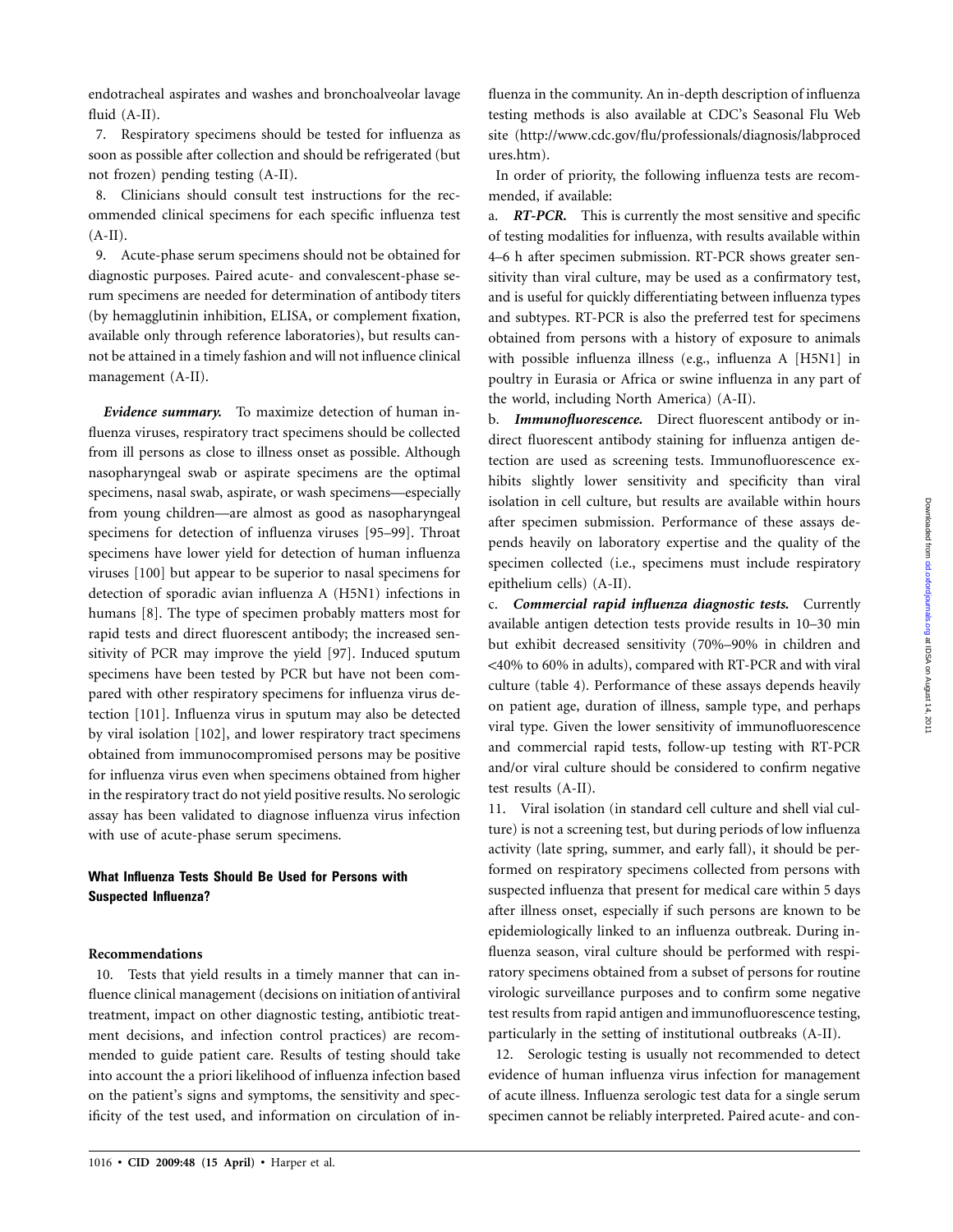endotracheal aspirates and washes and bronchoalveolar lavage fluid (A-II).

7. Respiratory specimens should be tested for influenza as soon as possible after collection and should be refrigerated (but not frozen) pending testing (A-II).

8. Clinicians should consult test instructions for the recommended clinical specimens for each specific influenza test  $(A-II).$ 

9. Acute-phase serum specimens should not be obtained for diagnostic purposes. Paired acute- and convalescent-phase serum specimens are needed for determination of antibody titers (by hemagglutinin inhibition, ELISA, or complement fixation, available only through reference laboratories), but results cannot be attained in a timely fashion and will not influence clinical management (A-II).

*Evidence summary.* To maximize detection of human influenza viruses, respiratory tract specimens should be collected from ill persons as close to illness onset as possible. Although nasopharyngeal swab or aspirate specimens are the optimal specimens, nasal swab, aspirate, or wash specimens—especially from young children—are almost as good as nasopharyngeal specimens for detection of influenza viruses [95–99]. Throat specimens have lower yield for detection of human influenza viruses [100] but appear to be superior to nasal specimens for detection of sporadic avian influenza A (H5N1) infections in humans [8]. The type of specimen probably matters most for rapid tests and direct fluorescent antibody; the increased sensitivity of PCR may improve the yield [97]. Induced sputum specimens have been tested by PCR but have not been compared with other respiratory specimens for influenza virus detection [101]. Influenza virus in sputum may also be detected by viral isolation [102], and lower respiratory tract specimens obtained from immunocompromised persons may be positive for influenza virus even when specimens obtained from higher in the respiratory tract do not yield positive results. No serologic assay has been validated to diagnose influenza virus infection with use of acute-phase serum specimens.

# **What Influenza Tests Should Be Used for Persons with Suspected Influenza?**

#### **Recommendations**

10. Tests that yield results in a timely manner that can influence clinical management (decisions on initiation of antiviral treatment, impact on other diagnostic testing, antibiotic treatment decisions, and infection control practices) are recommended to guide patient care. Results of testing should take into account the a priori likelihood of influenza infection based on the patient's signs and symptoms, the sensitivity and specificity of the test used, and information on circulation of influenza in the community. An in-depth description of influenza testing methods is also available at CDC's Seasonal Flu Web site (http://www.cdc.gov/flu/professionals/diagnosis/labproced ures.htm).

In order of priority, the following influenza tests are recommended, if available:

a. *RT-PCR.* This is currently the most sensitive and specific of testing modalities for influenza, with results available within 4–6 h after specimen submission. RT-PCR shows greater sensitivity than viral culture, may be used as a confirmatory test, and is useful for quickly differentiating between influenza types and subtypes. RT-PCR is also the preferred test for specimens obtained from persons with a history of exposure to animals with possible influenza illness (e.g., influenza A [H5N1] in poultry in Eurasia or Africa or swine influenza in any part of the world, including North America) (A-II).

b. *Immunofluorescence.* Direct fluorescent antibody or indirect fluorescent antibody staining for influenza antigen detection are used as screening tests. Immunofluorescence exhibits slightly lower sensitivity and specificity than viral isolation in cell culture, but results are available within hours after specimen submission. Performance of these assays depends heavily on laboratory expertise and the quality of the specimen collected (i.e., specimens must include respiratory epithelium cells) (A-II).

c. *Commercial rapid influenza diagnostic tests.* Currently available antigen detection tests provide results in 10–30 min but exhibit decreased sensitivity (70%–90% in children and !40% to 60% in adults), compared with RT-PCR and with viral culture (table 4). Performance of these assays depends heavily on patient age, duration of illness, sample type, and perhaps viral type. Given the lower sensitivity of immunofluorescence and commercial rapid tests, follow-up testing with RT-PCR and/or viral culture should be considered to confirm negative test results (A-II).

11. Viral isolation (in standard cell culture and shell vial culture) is not a screening test, but during periods of low influenza activity (late spring, summer, and early fall), it should be performed on respiratory specimens collected from persons with suspected influenza that present for medical care within 5 days after illness onset, especially if such persons are known to be epidemiologically linked to an influenza outbreak. During influenza season, viral culture should be performed with respiratory specimens obtained from a subset of persons for routine virologic surveillance purposes and to confirm some negative test results from rapid antigen and immunofluorescence testing, particularly in the setting of institutional outbreaks (A-II).

12. Serologic testing is usually not recommended to detect evidence of human influenza virus infection for management of acute illness. Influenza serologic test data for a single serum specimen cannot be reliably interpreted. Paired acute- and con-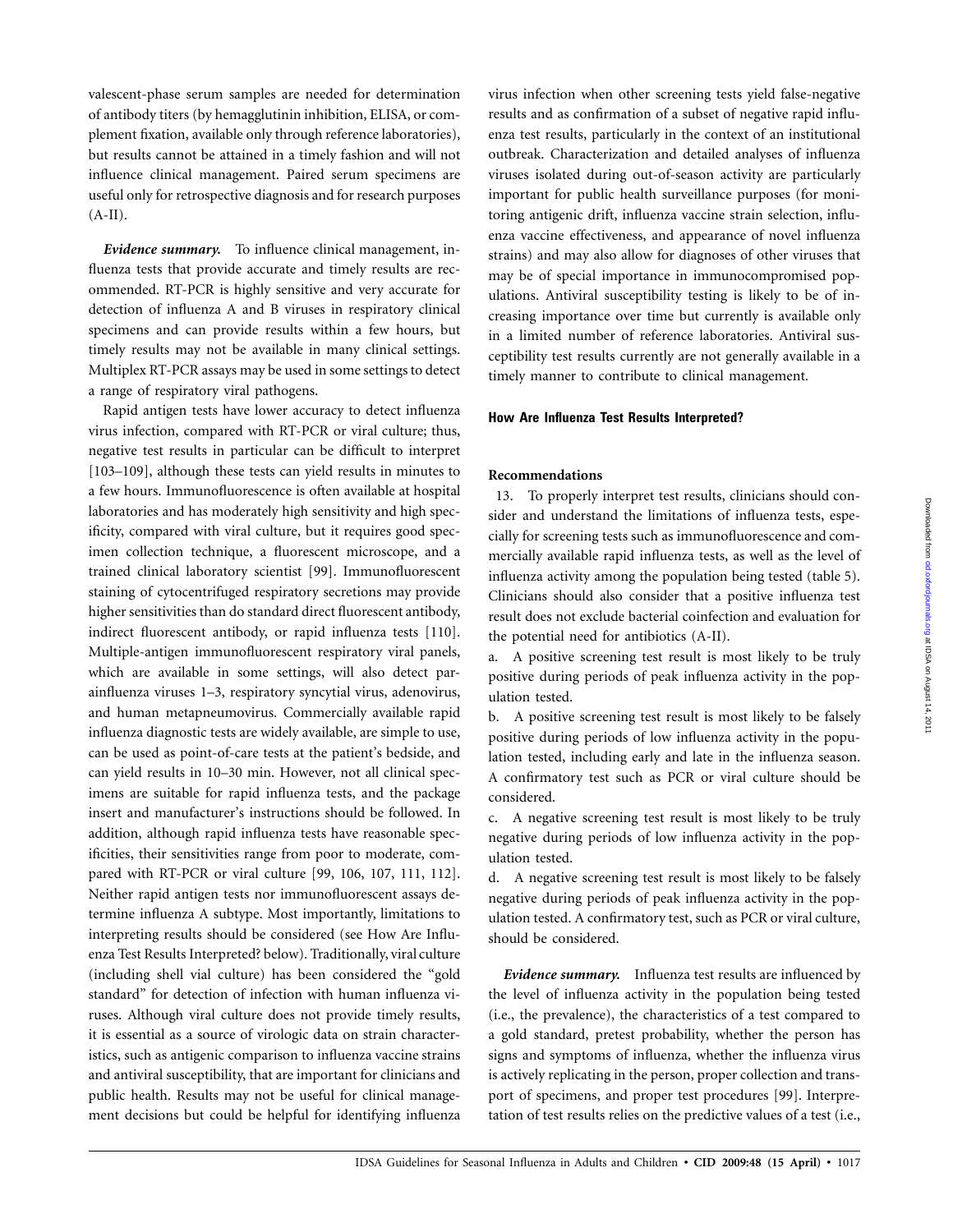valescent-phase serum samples are needed for determination of antibody titers (by hemagglutinin inhibition, ELISA, or complement fixation, available only through reference laboratories), but results cannot be attained in a timely fashion and will not influence clinical management. Paired serum specimens are useful only for retrospective diagnosis and for research purposes (A-II).

*Evidence summary.* To influence clinical management, influenza tests that provide accurate and timely results are recommended. RT-PCR is highly sensitive and very accurate for detection of influenza A and B viruses in respiratory clinical specimens and can provide results within a few hours, but timely results may not be available in many clinical settings. Multiplex RT-PCR assays may be used in some settings to detect a range of respiratory viral pathogens.

Rapid antigen tests have lower accuracy to detect influenza virus infection, compared with RT-PCR or viral culture; thus, negative test results in particular can be difficult to interpret [103–109], although these tests can yield results in minutes to a few hours. Immunofluorescence is often available at hospital laboratories and has moderately high sensitivity and high specificity, compared with viral culture, but it requires good specimen collection technique, a fluorescent microscope, and a trained clinical laboratory scientist [99]. Immunofluorescent staining of cytocentrifuged respiratory secretions may provide higher sensitivities than do standard direct fluorescent antibody, indirect fluorescent antibody, or rapid influenza tests [110]. Multiple-antigen immunofluorescent respiratory viral panels, which are available in some settings, will also detect parainfluenza viruses 1–3, respiratory syncytial virus, adenovirus, and human metapneumovirus. Commercially available rapid influenza diagnostic tests are widely available, are simple to use, can be used as point-of-care tests at the patient's bedside, and can yield results in 10–30 min. However, not all clinical specimens are suitable for rapid influenza tests, and the package insert and manufacturer's instructions should be followed. In addition, although rapid influenza tests have reasonable specificities, their sensitivities range from poor to moderate, compared with RT-PCR or viral culture [99, 106, 107, 111, 112]. Neither rapid antigen tests nor immunofluorescent assays determine influenza A subtype. Most importantly, limitations to interpreting results should be considered (see How Are Influenza Test Results Interpreted? below). Traditionally, viral culture (including shell vial culture) has been considered the "gold standard" for detection of infection with human influenza viruses. Although viral culture does not provide timely results, it is essential as a source of virologic data on strain characteristics, such as antigenic comparison to influenza vaccine strains and antiviral susceptibility, that are important for clinicians and public health. Results may not be useful for clinical management decisions but could be helpful for identifying influenza

virus infection when other screening tests yield false-negative results and as confirmation of a subset of negative rapid influenza test results, particularly in the context of an institutional outbreak. Characterization and detailed analyses of influenza viruses isolated during out-of-season activity are particularly important for public health surveillance purposes (for monitoring antigenic drift, influenza vaccine strain selection, influenza vaccine effectiveness, and appearance of novel influenza strains) and may also allow for diagnoses of other viruses that may be of special importance in immunocompromised populations. Antiviral susceptibility testing is likely to be of increasing importance over time but currently is available only in a limited number of reference laboratories. Antiviral susceptibility test results currently are not generally available in a timely manner to contribute to clinical management.

#### **How Are Influenza Test Results Interpreted?**

## **Recommendations**

13. To properly interpret test results, clinicians should consider and understand the limitations of influenza tests, especially for screening tests such as immunofluorescence and commercially available rapid influenza tests, as well as the level of influenza activity among the population being tested (table 5). Clinicians should also consider that a positive influenza test result does not exclude bacterial coinfection and evaluation for the potential need for antibiotics (A-II).

a. A positive screening test result is most likely to be truly positive during periods of peak influenza activity in the population tested.

b. A positive screening test result is most likely to be falsely positive during periods of low influenza activity in the population tested, including early and late in the influenza season. A confirmatory test such as PCR or viral culture should be considered.

c. A negative screening test result is most likely to be truly negative during periods of low influenza activity in the population tested.

d. A negative screening test result is most likely to be falsely negative during periods of peak influenza activity in the population tested. A confirmatory test, such as PCR or viral culture, should be considered.

*Evidence summary.* Influenza test results are influenced by the level of influenza activity in the population being tested (i.e., the prevalence), the characteristics of a test compared to a gold standard, pretest probability, whether the person has signs and symptoms of influenza, whether the influenza virus is actively replicating in the person, proper collection and transport of specimens, and proper test procedures [99]. Interpretation of test results relies on the predictive values of a test (i.e.,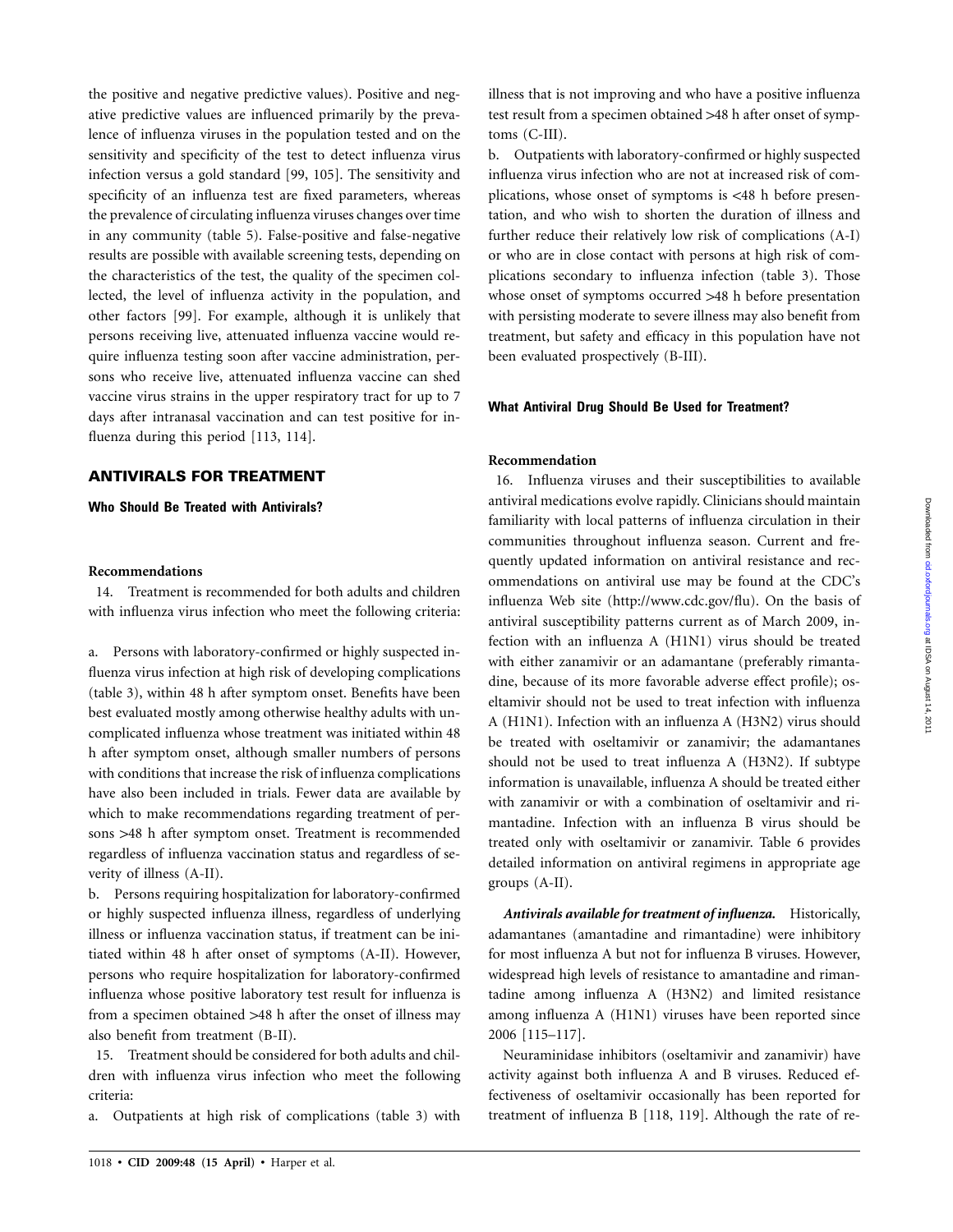the positive and negative predictive values). Positive and negative predictive values are influenced primarily by the prevalence of influenza viruses in the population tested and on the sensitivity and specificity of the test to detect influenza virus infection versus a gold standard [99, 105]. The sensitivity and specificity of an influenza test are fixed parameters, whereas the prevalence of circulating influenza viruses changes over time in any community (table 5). False-positive and false-negative results are possible with available screening tests, depending on the characteristics of the test, the quality of the specimen collected, the level of influenza activity in the population, and other factors [99]. For example, although it is unlikely that persons receiving live, attenuated influenza vaccine would require influenza testing soon after vaccine administration, persons who receive live, attenuated influenza vaccine can shed vaccine virus strains in the upper respiratory tract for up to 7 days after intranasal vaccination and can test positive for influenza during this period [113, 114].

## **ANTIVIRALS FOR TREATMENT**

**Who Should Be Treated with Antivirals?**

#### **Recommendations**

14. Treatment is recommended for both adults and children with influenza virus infection who meet the following criteria:

a. Persons with laboratory-confirmed or highly suspected influenza virus infection at high risk of developing complications (table 3), within 48 h after symptom onset. Benefits have been best evaluated mostly among otherwise healthy adults with uncomplicated influenza whose treatment was initiated within 48 h after symptom onset, although smaller numbers of persons with conditions that increase the risk of influenza complications have also been included in trials. Fewer data are available by which to make recommendations regarding treatment of persons >48 h after symptom onset. Treatment is recommended regardless of influenza vaccination status and regardless of severity of illness (A-II).

b. Persons requiring hospitalization for laboratory-confirmed or highly suspected influenza illness, regardless of underlying illness or influenza vaccination status, if treatment can be initiated within 48 h after onset of symptoms (A-II). However, persons who require hospitalization for laboratory-confirmed influenza whose positive laboratory test result for influenza is from a specimen obtained >48 h after the onset of illness may also benefit from treatment (B-II).

15. Treatment should be considered for both adults and children with influenza virus infection who meet the following criteria:

a. Outpatients at high risk of complications (table 3) with

illness that is not improving and who have a positive influenza test result from a specimen obtained >48 h after onset of symptoms (C-III).

b. Outpatients with laboratory-confirmed or highly suspected influenza virus infection who are not at increased risk of complications, whose onset of symptoms is  $<48$  h before presentation, and who wish to shorten the duration of illness and further reduce their relatively low risk of complications (A-I) or who are in close contact with persons at high risk of complications secondary to influenza infection (table 3). Those whose onset of symptoms occurred >48 h before presentation with persisting moderate to severe illness may also benefit from treatment, but safety and efficacy in this population have not been evaluated prospectively (B-III).

#### **What Antiviral Drug Should Be Used for Treatment?**

#### **Recommendation**

16. Influenza viruses and their susceptibilities to available antiviral medications evolve rapidly. Clinicians should maintain familiarity with local patterns of influenza circulation in their communities throughout influenza season. Current and frequently updated information on antiviral resistance and recommendations on antiviral use may be found at the CDC's influenza Web site (http://www.cdc.gov/flu). On the basis of antiviral susceptibility patterns current as of March 2009, infection with an influenza A (H1N1) virus should be treated with either zanamivir or an adamantane (preferably rimantadine, because of its more favorable adverse effect profile); oseltamivir should not be used to treat infection with influenza A (H1N1). Infection with an influenza A (H3N2) virus should be treated with oseltamivir or zanamivir; the adamantanes should not be used to treat influenza A (H3N2). If subtype information is unavailable, influenza A should be treated either with zanamivir or with a combination of oseltamivir and rimantadine. Infection with an influenza B virus should be treated only with oseltamivir or zanamivir. Table 6 provides detailed information on antiviral regimens in appropriate age groups (A-II).

*Antivirals available for treatment of influenza.* Historically, adamantanes (amantadine and rimantadine) were inhibitory for most influenza A but not for influenza B viruses. However, widespread high levels of resistance to amantadine and rimantadine among influenza A (H3N2) and limited resistance among influenza A (H1N1) viruses have been reported since 2006 [115–117].

Neuraminidase inhibitors (oseltamivir and zanamivir) have activity against both influenza A and B viruses. Reduced effectiveness of oseltamivir occasionally has been reported for treatment of influenza B [118, 119]. Although the rate of re-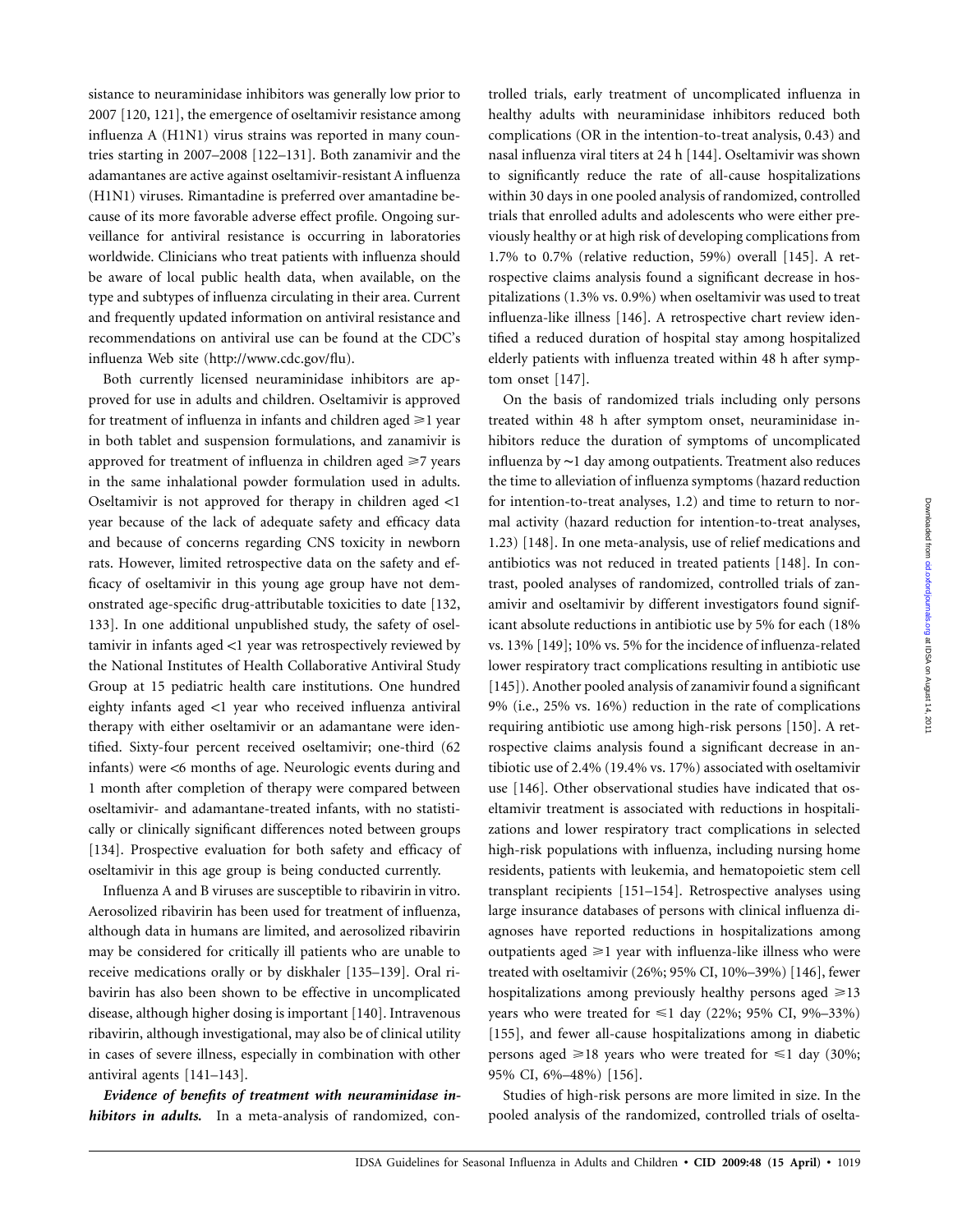sistance to neuraminidase inhibitors was generally low prior to 2007 [120, 121], the emergence of oseltamivir resistance among influenza A (H1N1) virus strains was reported in many countries starting in 2007–2008 [122–131]. Both zanamivir and the adamantanes are active against oseltamivir-resistant A influenza (H1N1) viruses. Rimantadine is preferred over amantadine because of its more favorable adverse effect profile. Ongoing surveillance for antiviral resistance is occurring in laboratories worldwide. Clinicians who treat patients with influenza should be aware of local public health data, when available, on the type and subtypes of influenza circulating in their area. Current and frequently updated information on antiviral resistance and recommendations on antiviral use can be found at the CDC's influenza Web site (http://www.cdc.gov/flu).

Both currently licensed neuraminidase inhibitors are approved for use in adults and children. Oseltamivir is approved for treatment of influenza in infants and children aged  $\geq 1$  year in both tablet and suspension formulations, and zanamivir is approved for treatment of influenza in children aged  $\geq 7$  years in the same inhalational powder formulation used in adults. Oseltamivir is not approved for therapy in children aged  $\langle 1 \rangle$ year because of the lack of adequate safety and efficacy data and because of concerns regarding CNS toxicity in newborn rats. However, limited retrospective data on the safety and efficacy of oseltamivir in this young age group have not demonstrated age-specific drug-attributable toxicities to date [132, 133]. In one additional unpublished study, the safety of osel $t$ amivir in infants aged  $<$ 1 year was retrospectively reviewed by the National Institutes of Health Collaborative Antiviral Study Group at 15 pediatric health care institutions. One hundred eighty infants aged  $<$ 1 year who received influenza antiviral therapy with either oseltamivir or an adamantane were identified. Sixty-four percent received oseltamivir; one-third (62 infants) were  $<$ 6 months of age. Neurologic events during and 1 month after completion of therapy were compared between oseltamivir- and adamantane-treated infants, with no statistically or clinically significant differences noted between groups [134]. Prospective evaluation for both safety and efficacy of oseltamivir in this age group is being conducted currently.

Influenza A and B viruses are susceptible to ribavirin in vitro. Aerosolized ribavirin has been used for treatment of influenza, although data in humans are limited, and aerosolized ribavirin may be considered for critically ill patients who are unable to receive medications orally or by diskhaler [135–139]. Oral ribavirin has also been shown to be effective in uncomplicated disease, although higher dosing is important [140]. Intravenous ribavirin, although investigational, may also be of clinical utility in cases of severe illness, especially in combination with other antiviral agents [141–143].

*Evidence of benefits of treatment with neuraminidase inhibitors in adults.* In a meta-analysis of randomized, controlled trials, early treatment of uncomplicated influenza in healthy adults with neuraminidase inhibitors reduced both complications (OR in the intention-to-treat analysis, 0.43) and nasal influenza viral titers at 24 h [144]. Oseltamivir was shown to significantly reduce the rate of all-cause hospitalizations within 30 days in one pooled analysis of randomized, controlled trials that enrolled adults and adolescents who were either previously healthy or at high risk of developing complications from 1.7% to 0.7% (relative reduction, 59%) overall [145]. A retrospective claims analysis found a significant decrease in hospitalizations (1.3% vs. 0.9%) when oseltamivir was used to treat influenza-like illness [146]. A retrospective chart review identified a reduced duration of hospital stay among hospitalized elderly patients with influenza treated within 48 h after symptom onset [147].

On the basis of randomized trials including only persons treated within 48 h after symptom onset, neuraminidase inhibitors reduce the duration of symptoms of uncomplicated influenza by ∼1 day among outpatients. Treatment also reduces the time to alleviation of influenza symptoms (hazard reduction for intention-to-treat analyses, 1.2) and time to return to normal activity (hazard reduction for intention-to-treat analyses, 1.23) [148]. In one meta-analysis, use of relief medications and antibiotics was not reduced in treated patients [148]. In contrast, pooled analyses of randomized, controlled trials of zanamivir and oseltamivir by different investigators found significant absolute reductions in antibiotic use by 5% for each (18% vs. 13% [149]; 10% vs. 5% for the incidence of influenza-related lower respiratory tract complications resulting in antibiotic use [145]). Another pooled analysis of zanamivir found a significant 9% (i.e., 25% vs. 16%) reduction in the rate of complications requiring antibiotic use among high-risk persons [150]. A retrospective claims analysis found a significant decrease in antibiotic use of 2.4% (19.4% vs. 17%) associated with oseltamivir use [146]. Other observational studies have indicated that oseltamivir treatment is associated with reductions in hospitalizations and lower respiratory tract complications in selected high-risk populations with influenza, including nursing home residents, patients with leukemia, and hematopoietic stem cell transplant recipients [151–154]. Retrospective analyses using large insurance databases of persons with clinical influenza diagnoses have reported reductions in hospitalizations among outpatients aged  $\geq 1$  year with influenza-like illness who were treated with oseltamivir (26%; 95% CI, 10%–39%) [146], fewer hospitalizations among previously healthy persons aged  $\geq 13$ years who were treated for  $\leq 1$  day (22%; 95% CI, 9%–33%) [155], and fewer all-cause hospitalizations among in diabetic persons aged  $\geq 18$  years who were treated for  $\leq 1$  day (30%; 95% CI, 6%–48%) [156].

Studies of high-risk persons are more limited in size. In the pooled analysis of the randomized, controlled trials of oselta-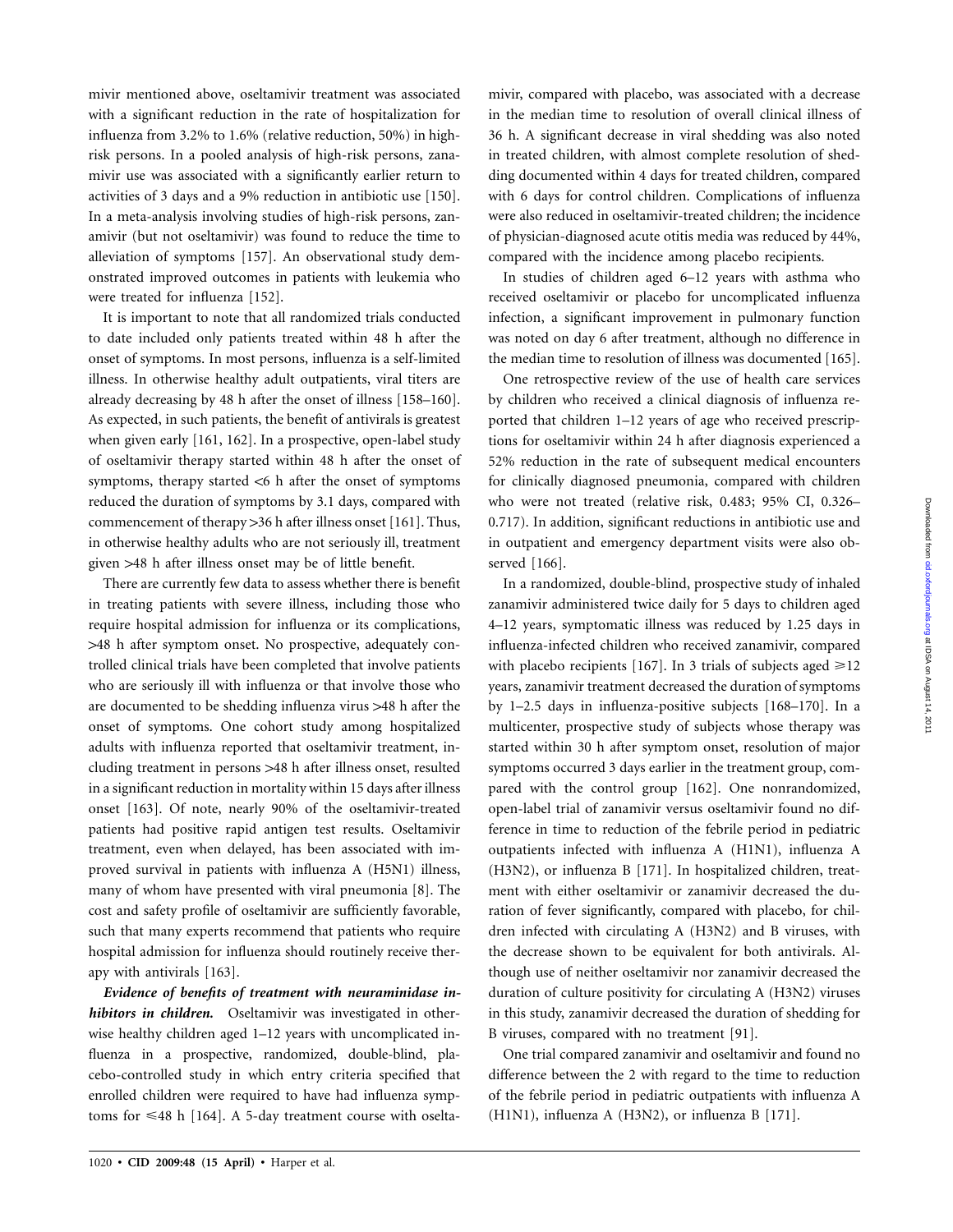mivir mentioned above, oseltamivir treatment was associated with a significant reduction in the rate of hospitalization for influenza from 3.2% to 1.6% (relative reduction, 50%) in highrisk persons. In a pooled analysis of high-risk persons, zanamivir use was associated with a significantly earlier return to activities of 3 days and a 9% reduction in antibiotic use [150]. In a meta-analysis involving studies of high-risk persons, zanamivir (but not oseltamivir) was found to reduce the time to alleviation of symptoms [157]. An observational study demonstrated improved outcomes in patients with leukemia who were treated for influenza [152].

It is important to note that all randomized trials conducted to date included only patients treated within 48 h after the onset of symptoms. In most persons, influenza is a self-limited illness. In otherwise healthy adult outpatients, viral titers are already decreasing by 48 h after the onset of illness [158–160]. As expected, in such patients, the benefit of antivirals is greatest when given early [161, 162]. In a prospective, open-label study of oseltamivir therapy started within 48 h after the onset of symptoms, therapy started  $< 6$  h after the onset of symptoms reduced the duration of symptoms by 3.1 days, compared with commencement of therapy > 36 h after illness onset [161]. Thus, in otherwise healthy adults who are not seriously ill, treatment given 148 h after illness onset may be of little benefit.

There are currently few data to assess whether there is benefit in treating patients with severe illness, including those who require hospital admission for influenza or its complications, 148 h after symptom onset. No prospective, adequately controlled clinical trials have been completed that involve patients who are seriously ill with influenza or that involve those who are documented to be shedding influenza virus >48 h after the onset of symptoms. One cohort study among hospitalized adults with influenza reported that oseltamivir treatment, including treatment in persons >48 h after illness onset, resulted in a significant reduction in mortality within 15 days after illness onset [163]. Of note, nearly 90% of the oseltamivir-treated patients had positive rapid antigen test results. Oseltamivir treatment, even when delayed, has been associated with improved survival in patients with influenza A (H5N1) illness, many of whom have presented with viral pneumonia [8]. The cost and safety profile of oseltamivir are sufficiently favorable, such that many experts recommend that patients who require hospital admission for influenza should routinely receive therapy with antivirals [163].

*Evidence of benefits of treatment with neuraminidase inhibitors in children.* Oseltamivir was investigated in otherwise healthy children aged 1–12 years with uncomplicated influenza in a prospective, randomized, double-blind, placebo-controlled study in which entry criteria specified that enrolled children were required to have had influenza symptoms for  $\leq 48$  h [164]. A 5-day treatment course with oseltamivir, compared with placebo, was associated with a decrease in the median time to resolution of overall clinical illness of 36 h. A significant decrease in viral shedding was also noted in treated children, with almost complete resolution of shedding documented within 4 days for treated children, compared with 6 days for control children. Complications of influenza were also reduced in oseltamivir-treated children; the incidence of physician-diagnosed acute otitis media was reduced by 44%, compared with the incidence among placebo recipients.

In studies of children aged 6–12 years with asthma who received oseltamivir or placebo for uncomplicated influenza infection, a significant improvement in pulmonary function was noted on day 6 after treatment, although no difference in the median time to resolution of illness was documented [165].

One retrospective review of the use of health care services by children who received a clinical diagnosis of influenza reported that children 1–12 years of age who received prescriptions for oseltamivir within 24 h after diagnosis experienced a 52% reduction in the rate of subsequent medical encounters for clinically diagnosed pneumonia, compared with children who were not treated (relative risk, 0.483; 95% CI, 0.326– 0.717). In addition, significant reductions in antibiotic use and in outpatient and emergency department visits were also observed [166].

In a randomized, double-blind, prospective study of inhaled zanamivir administered twice daily for 5 days to children aged 4–12 years, symptomatic illness was reduced by 1.25 days in influenza-infected children who received zanamivir, compared with placebo recipients [167]. In 3 trials of subjects aged  $\geq 12$ years, zanamivir treatment decreased the duration of symptoms by 1–2.5 days in influenza-positive subjects [168–170]. In a multicenter, prospective study of subjects whose therapy was started within 30 h after symptom onset, resolution of major symptoms occurred 3 days earlier in the treatment group, compared with the control group [162]. One nonrandomized, open-label trial of zanamivir versus oseltamivir found no difference in time to reduction of the febrile period in pediatric outpatients infected with influenza A (H1N1), influenza A (H3N2), or influenza B [171]. In hospitalized children, treatment with either oseltamivir or zanamivir decreased the duration of fever significantly, compared with placebo, for children infected with circulating A (H3N2) and B viruses, with the decrease shown to be equivalent for both antivirals. Although use of neither oseltamivir nor zanamivir decreased the duration of culture positivity for circulating A (H3N2) viruses in this study, zanamivir decreased the duration of shedding for B viruses, compared with no treatment [91].

One trial compared zanamivir and oseltamivir and found no difference between the 2 with regard to the time to reduction of the febrile period in pediatric outpatients with influenza A (H1N1), influenza A (H3N2), or influenza B [171].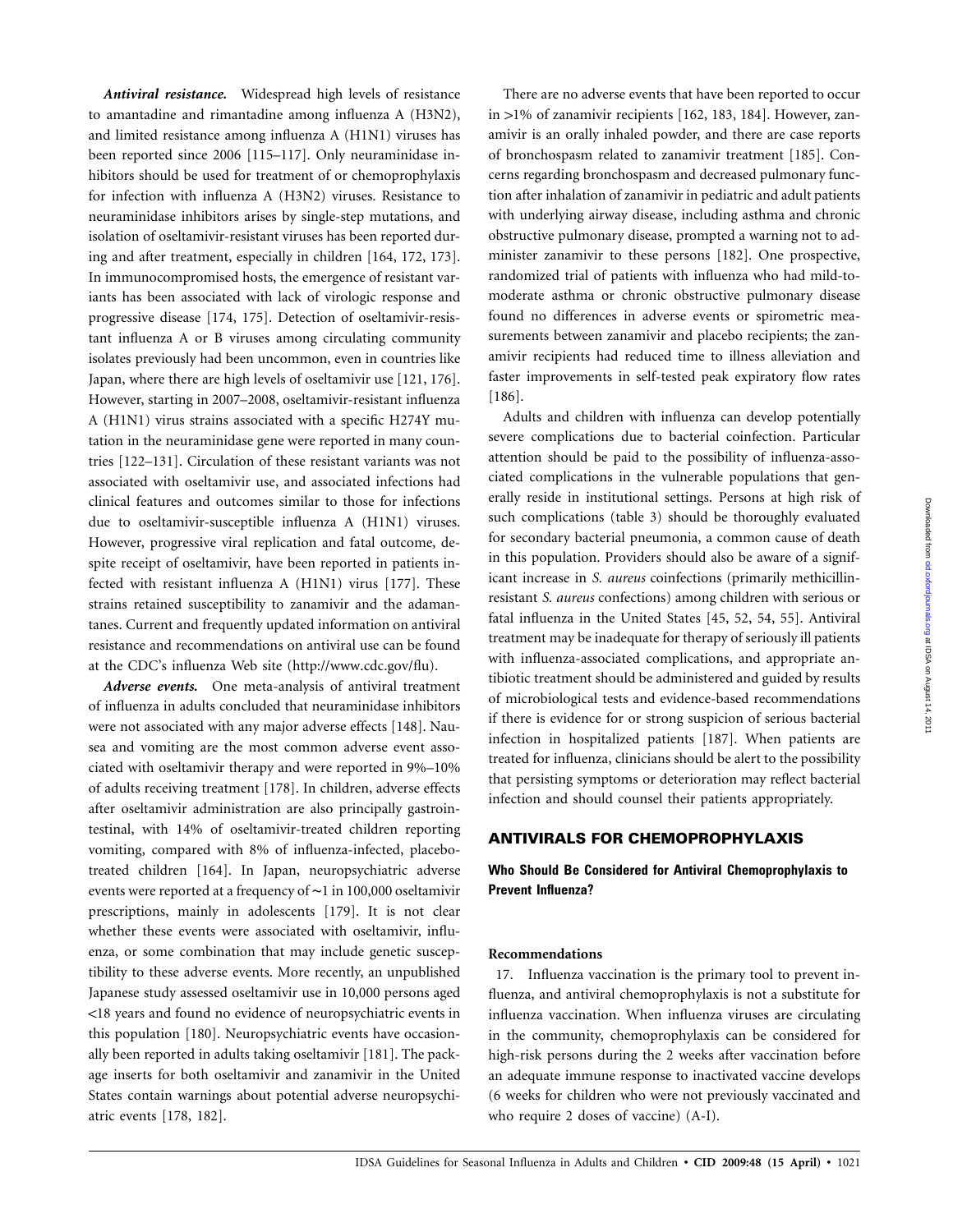*Antiviral resistance.* Widespread high levels of resistance to amantadine and rimantadine among influenza A (H3N2), and limited resistance among influenza A (H1N1) viruses has been reported since 2006 [115–117]. Only neuraminidase inhibitors should be used for treatment of or chemoprophylaxis for infection with influenza A (H3N2) viruses. Resistance to neuraminidase inhibitors arises by single-step mutations, and isolation of oseltamivir-resistant viruses has been reported during and after treatment, especially in children [164, 172, 173]. In immunocompromised hosts, the emergence of resistant variants has been associated with lack of virologic response and progressive disease [174, 175]. Detection of oseltamivir-resistant influenza A or B viruses among circulating community isolates previously had been uncommon, even in countries like Japan, where there are high levels of oseltamivir use [121, 176]. However, starting in 2007–2008, oseltamivir-resistant influenza A (H1N1) virus strains associated with a specific H274Y mutation in the neuraminidase gene were reported in many countries [122–131]. Circulation of these resistant variants was not associated with oseltamivir use, and associated infections had clinical features and outcomes similar to those for infections due to oseltamivir-susceptible influenza A (H1N1) viruses. However, progressive viral replication and fatal outcome, despite receipt of oseltamivir, have been reported in patients infected with resistant influenza A (H1N1) virus [177]. These strains retained susceptibility to zanamivir and the adamantanes. Current and frequently updated information on antiviral resistance and recommendations on antiviral use can be found at the CDC's influenza Web site (http://www.cdc.gov/flu).

*Adverse events.* One meta-analysis of antiviral treatment of influenza in adults concluded that neuraminidase inhibitors were not associated with any major adverse effects [148]. Nausea and vomiting are the most common adverse event associated with oseltamivir therapy and were reported in 9%–10% of adults receiving treatment [178]. In children, adverse effects after oseltamivir administration are also principally gastrointestinal, with 14% of oseltamivir-treated children reporting vomiting, compared with 8% of influenza-infected, placebotreated children [164]. In Japan, neuropsychiatric adverse events were reported at a frequency of ∼1 in 100,000 oseltamivir prescriptions, mainly in adolescents [179]. It is not clear whether these events were associated with oseltamivir, influenza, or some combination that may include genetic susceptibility to these adverse events. More recently, an unpublished Japanese study assessed oseltamivir use in 10,000 persons aged !18 years and found no evidence of neuropsychiatric events in this population [180]. Neuropsychiatric events have occasionally been reported in adults taking oseltamivir [181]. The package inserts for both oseltamivir and zanamivir in the United States contain warnings about potential adverse neuropsychiatric events [178, 182].

There are no adverse events that have been reported to occur in  $>1\%$  of zanamivir recipients [162, 183, 184]. However, zanamivir is an orally inhaled powder, and there are case reports of bronchospasm related to zanamivir treatment [185]. Concerns regarding bronchospasm and decreased pulmonary function after inhalation of zanamivir in pediatric and adult patients with underlying airway disease, including asthma and chronic obstructive pulmonary disease, prompted a warning not to administer zanamivir to these persons [182]. One prospective, randomized trial of patients with influenza who had mild-tomoderate asthma or chronic obstructive pulmonary disease found no differences in adverse events or spirometric measurements between zanamivir and placebo recipients; the zanamivir recipients had reduced time to illness alleviation and faster improvements in self-tested peak expiratory flow rates [186].

Adults and children with influenza can develop potentially severe complications due to bacterial coinfection. Particular attention should be paid to the possibility of influenza-associated complications in the vulnerable populations that generally reside in institutional settings. Persons at high risk of such complications (table 3) should be thoroughly evaluated for secondary bacterial pneumonia, a common cause of death in this population. Providers should also be aware of a significant increase in *S. aureus* coinfections (primarily methicillinresistant *S. aureus* confections) among children with serious or fatal influenza in the United States [45, 52, 54, 55]. Antiviral treatment may be inadequate for therapy of seriously ill patients with influenza-associated complications, and appropriate antibiotic treatment should be administered and guided by results of microbiological tests and evidence-based recommendations if there is evidence for or strong suspicion of serious bacterial infection in hospitalized patients [187]. When patients are treated for influenza, clinicians should be alert to the possibility that persisting symptoms or deterioration may reflect bacterial infection and should counsel their patients appropriately.

## **ANTIVIRALS FOR CHEMOPROPHYLAXIS**

**Who Should Be Considered for Antiviral Chemoprophylaxis to Prevent Influenza?**

#### **Recommendations**

17. Influenza vaccination is the primary tool to prevent influenza, and antiviral chemoprophylaxis is not a substitute for influenza vaccination. When influenza viruses are circulating in the community, chemoprophylaxis can be considered for high-risk persons during the 2 weeks after vaccination before an adequate immune response to inactivated vaccine develops (6 weeks for children who were not previously vaccinated and who require 2 doses of vaccine) (A-I).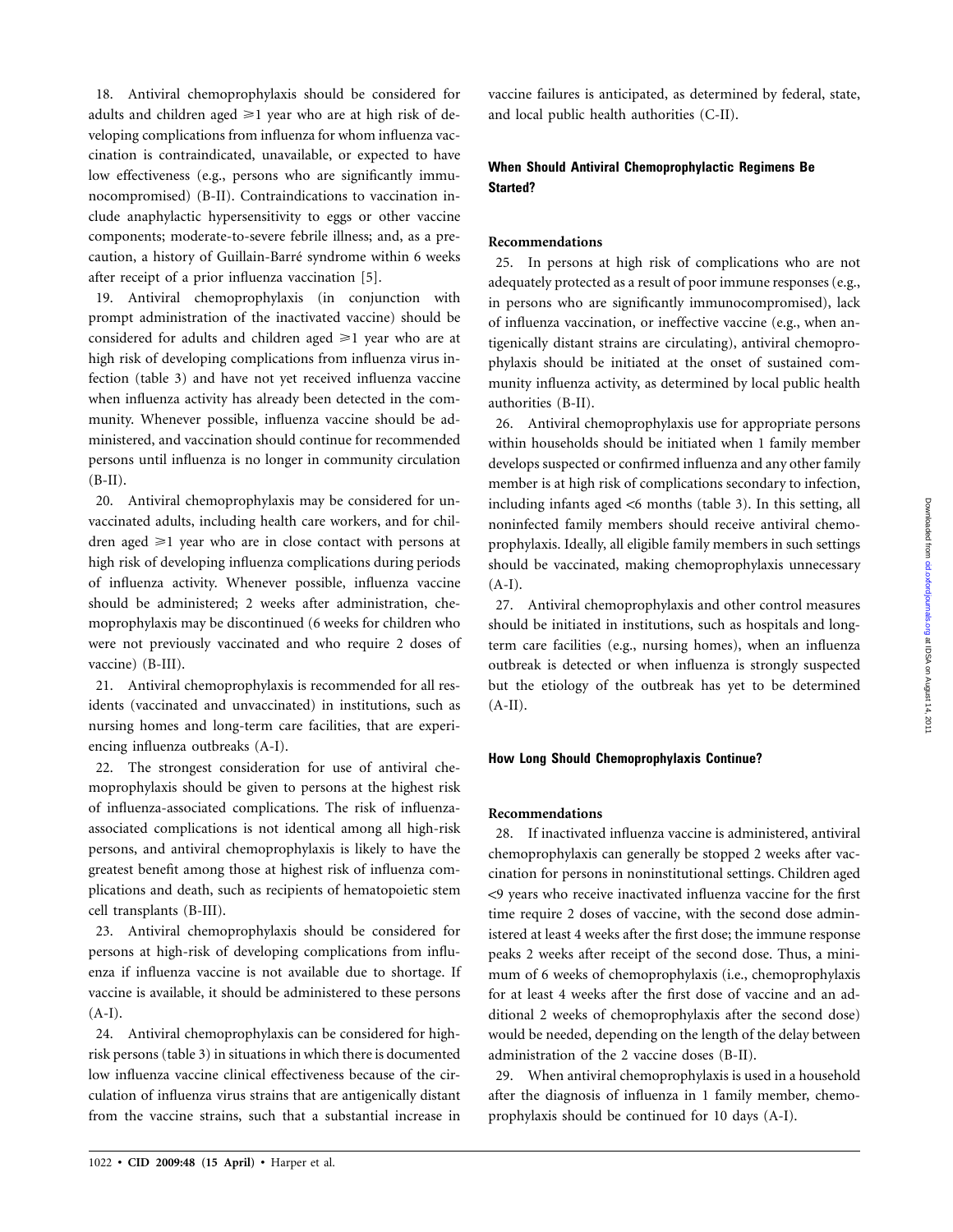18. Antiviral chemoprophylaxis should be considered for adults and children aged  $\geq 1$  year who are at high risk of developing complications from influenza for whom influenza vaccination is contraindicated, unavailable, or expected to have low effectiveness (e.g., persons who are significantly immunocompromised) (B-II). Contraindications to vaccination include anaphylactic hypersensitivity to eggs or other vaccine components; moderate-to-severe febrile illness; and, as a precaution, a history of Guillain-Barré syndrome within 6 weeks after receipt of a prior influenza vaccination [5].

19. Antiviral chemoprophylaxis (in conjunction with prompt administration of the inactivated vaccine) should be considered for adults and children aged  $\geq 1$  year who are at high risk of developing complications from influenza virus infection (table 3) and have not yet received influenza vaccine when influenza activity has already been detected in the community. Whenever possible, influenza vaccine should be administered, and vaccination should continue for recommended persons until influenza is no longer in community circulation  $(B-II).$ 

20. Antiviral chemoprophylaxis may be considered for unvaccinated adults, including health care workers, and for children aged  $\geq 1$  year who are in close contact with persons at high risk of developing influenza complications during periods of influenza activity. Whenever possible, influenza vaccine should be administered; 2 weeks after administration, chemoprophylaxis may be discontinued (6 weeks for children who were not previously vaccinated and who require 2 doses of vaccine) (B-III).

21. Antiviral chemoprophylaxis is recommended for all residents (vaccinated and unvaccinated) in institutions, such as nursing homes and long-term care facilities, that are experiencing influenza outbreaks (A-I).

22. The strongest consideration for use of antiviral chemoprophylaxis should be given to persons at the highest risk of influenza-associated complications. The risk of influenzaassociated complications is not identical among all high-risk persons, and antiviral chemoprophylaxis is likely to have the greatest benefit among those at highest risk of influenza complications and death, such as recipients of hematopoietic stem cell transplants (B-III).

23. Antiviral chemoprophylaxis should be considered for persons at high-risk of developing complications from influenza if influenza vaccine is not available due to shortage. If vaccine is available, it should be administered to these persons  $(A-I).$ 

24. Antiviral chemoprophylaxis can be considered for highrisk persons (table 3) in situations in which there is documented low influenza vaccine clinical effectiveness because of the circulation of influenza virus strains that are antigenically distant from the vaccine strains, such that a substantial increase in vaccine failures is anticipated, as determined by federal, state, and local public health authorities (C-II).

## **When Should Antiviral Chemoprophylactic Regimens Be Started?**

## **Recommendations**

25. In persons at high risk of complications who are not adequately protected as a result of poor immune responses (e.g., in persons who are significantly immunocompromised), lack of influenza vaccination, or ineffective vaccine (e.g., when antigenically distant strains are circulating), antiviral chemoprophylaxis should be initiated at the onset of sustained community influenza activity, as determined by local public health authorities (B-II).

26. Antiviral chemoprophylaxis use for appropriate persons within households should be initiated when 1 family member develops suspected or confirmed influenza and any other family member is at high risk of complications secondary to infection, including infants aged  $<$ 6 months (table 3). In this setting, all noninfected family members should receive antiviral chemoprophylaxis. Ideally, all eligible family members in such settings should be vaccinated, making chemoprophylaxis unnecessary  $(A-I).$ 

27. Antiviral chemoprophylaxis and other control measures should be initiated in institutions, such as hospitals and longterm care facilities (e.g., nursing homes), when an influenza outbreak is detected or when influenza is strongly suspected but the etiology of the outbreak has yet to be determined  $(A-II).$ 

#### **How Long Should Chemoprophylaxis Continue?**

#### **Recommendations**

28. If inactivated influenza vaccine is administered, antiviral chemoprophylaxis can generally be stopped 2 weeks after vaccination for persons in noninstitutional settings. Children aged !9 years who receive inactivated influenza vaccine for the first time require 2 doses of vaccine, with the second dose administered at least 4 weeks after the first dose; the immune response peaks 2 weeks after receipt of the second dose. Thus, a minimum of 6 weeks of chemoprophylaxis (i.e., chemoprophylaxis for at least 4 weeks after the first dose of vaccine and an additional 2 weeks of chemoprophylaxis after the second dose) would be needed, depending on the length of the delay between administration of the 2 vaccine doses (B-II).

29. When antiviral chemoprophylaxis is used in a household after the diagnosis of influenza in 1 family member, chemoprophylaxis should be continued for 10 days (A-I).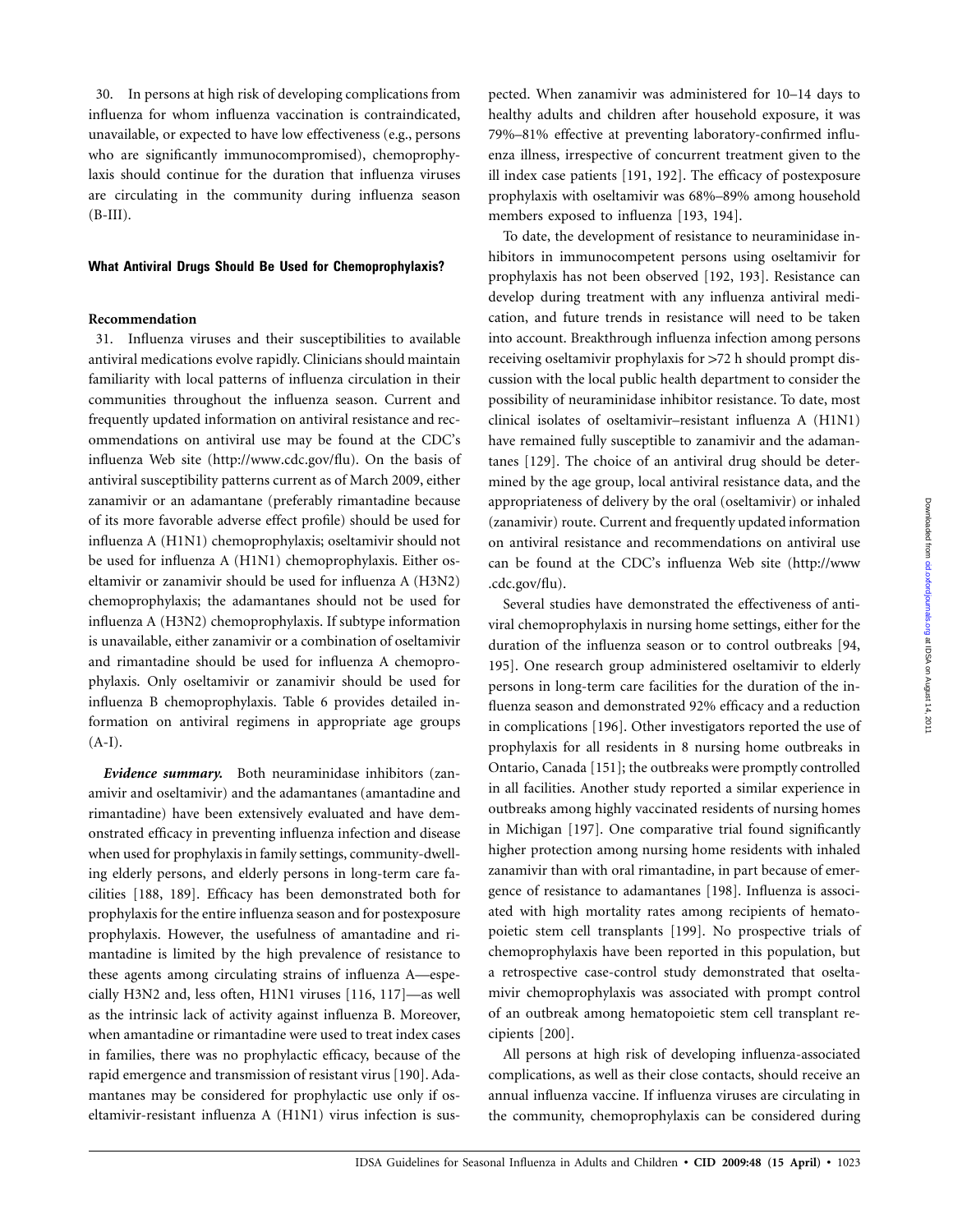30. In persons at high risk of developing complications from influenza for whom influenza vaccination is contraindicated, unavailable, or expected to have low effectiveness (e.g., persons who are significantly immunocompromised), chemoprophylaxis should continue for the duration that influenza viruses are circulating in the community during influenza season (B-III).

#### **What Antiviral Drugs Should Be Used for Chemoprophylaxis?**

#### **Recommendation**

31. Influenza viruses and their susceptibilities to available antiviral medications evolve rapidly. Clinicians should maintain familiarity with local patterns of influenza circulation in their communities throughout the influenza season. Current and frequently updated information on antiviral resistance and recommendations on antiviral use may be found at the CDC's influenza Web site (http://www.cdc.gov/flu). On the basis of antiviral susceptibility patterns current as of March 2009, either zanamivir or an adamantane (preferably rimantadine because of its more favorable adverse effect profile) should be used for influenza A (H1N1) chemoprophylaxis; oseltamivir should not be used for influenza A (H1N1) chemoprophylaxis. Either oseltamivir or zanamivir should be used for influenza A (H3N2) chemoprophylaxis; the adamantanes should not be used for influenza A (H3N2) chemoprophylaxis. If subtype information is unavailable, either zanamivir or a combination of oseltamivir and rimantadine should be used for influenza A chemoprophylaxis. Only oseltamivir or zanamivir should be used for influenza B chemoprophylaxis. Table 6 provides detailed information on antiviral regimens in appropriate age groups  $(A-I).$ 

*Evidence summary.* Both neuraminidase inhibitors (zanamivir and oseltamivir) and the adamantanes (amantadine and rimantadine) have been extensively evaluated and have demonstrated efficacy in preventing influenza infection and disease when used for prophylaxis in family settings, community-dwelling elderly persons, and elderly persons in long-term care facilities [188, 189]. Efficacy has been demonstrated both for prophylaxis for the entire influenza season and for postexposure prophylaxis. However, the usefulness of amantadine and rimantadine is limited by the high prevalence of resistance to these agents among circulating strains of influenza A—especially H3N2 and, less often, H1N1 viruses [116, 117]—as well as the intrinsic lack of activity against influenza B. Moreover, when amantadine or rimantadine were used to treat index cases in families, there was no prophylactic efficacy, because of the rapid emergence and transmission of resistant virus [190]. Adamantanes may be considered for prophylactic use only if oseltamivir-resistant influenza A (H1N1) virus infection is suspected. When zanamivir was administered for 10–14 days to healthy adults and children after household exposure, it was 79%–81% effective at preventing laboratory-confirmed influenza illness, irrespective of concurrent treatment given to the ill index case patients [191, 192]. The efficacy of postexposure prophylaxis with oseltamivir was 68%–89% among household members exposed to influenza [193, 194].

To date, the development of resistance to neuraminidase inhibitors in immunocompetent persons using oseltamivir for prophylaxis has not been observed [192, 193]. Resistance can develop during treatment with any influenza antiviral medication, and future trends in resistance will need to be taken into account. Breakthrough influenza infection among persons receiving oseltamivir prophylaxis for >72 h should prompt discussion with the local public health department to consider the possibility of neuraminidase inhibitor resistance. To date, most clinical isolates of oseltamivir–resistant influenza A (H1N1) have remained fully susceptible to zanamivir and the adamantanes [129]. The choice of an antiviral drug should be determined by the age group, local antiviral resistance data, and the appropriateness of delivery by the oral (oseltamivir) or inhaled (zanamivir) route. Current and frequently updated information on antiviral resistance and recommendations on antiviral use can be found at the CDC's influenza Web site (http://www .cdc.gov/flu).

Several studies have demonstrated the effectiveness of antiviral chemoprophylaxis in nursing home settings, either for the duration of the influenza season or to control outbreaks [94, 195]. One research group administered oseltamivir to elderly persons in long-term care facilities for the duration of the influenza season and demonstrated 92% efficacy and a reduction in complications [196]. Other investigators reported the use of prophylaxis for all residents in 8 nursing home outbreaks in Ontario, Canada [151]; the outbreaks were promptly controlled in all facilities. Another study reported a similar experience in outbreaks among highly vaccinated residents of nursing homes in Michigan [197]. One comparative trial found significantly higher protection among nursing home residents with inhaled zanamivir than with oral rimantadine, in part because of emergence of resistance to adamantanes [198]. Influenza is associated with high mortality rates among recipients of hematopoietic stem cell transplants [199]. No prospective trials of chemoprophylaxis have been reported in this population, but a retrospective case-control study demonstrated that oseltamivir chemoprophylaxis was associated with prompt control of an outbreak among hematopoietic stem cell transplant recipients [200].

All persons at high risk of developing influenza-associated complications, as well as their close contacts, should receive an annual influenza vaccine. If influenza viruses are circulating in the community, chemoprophylaxis can be considered during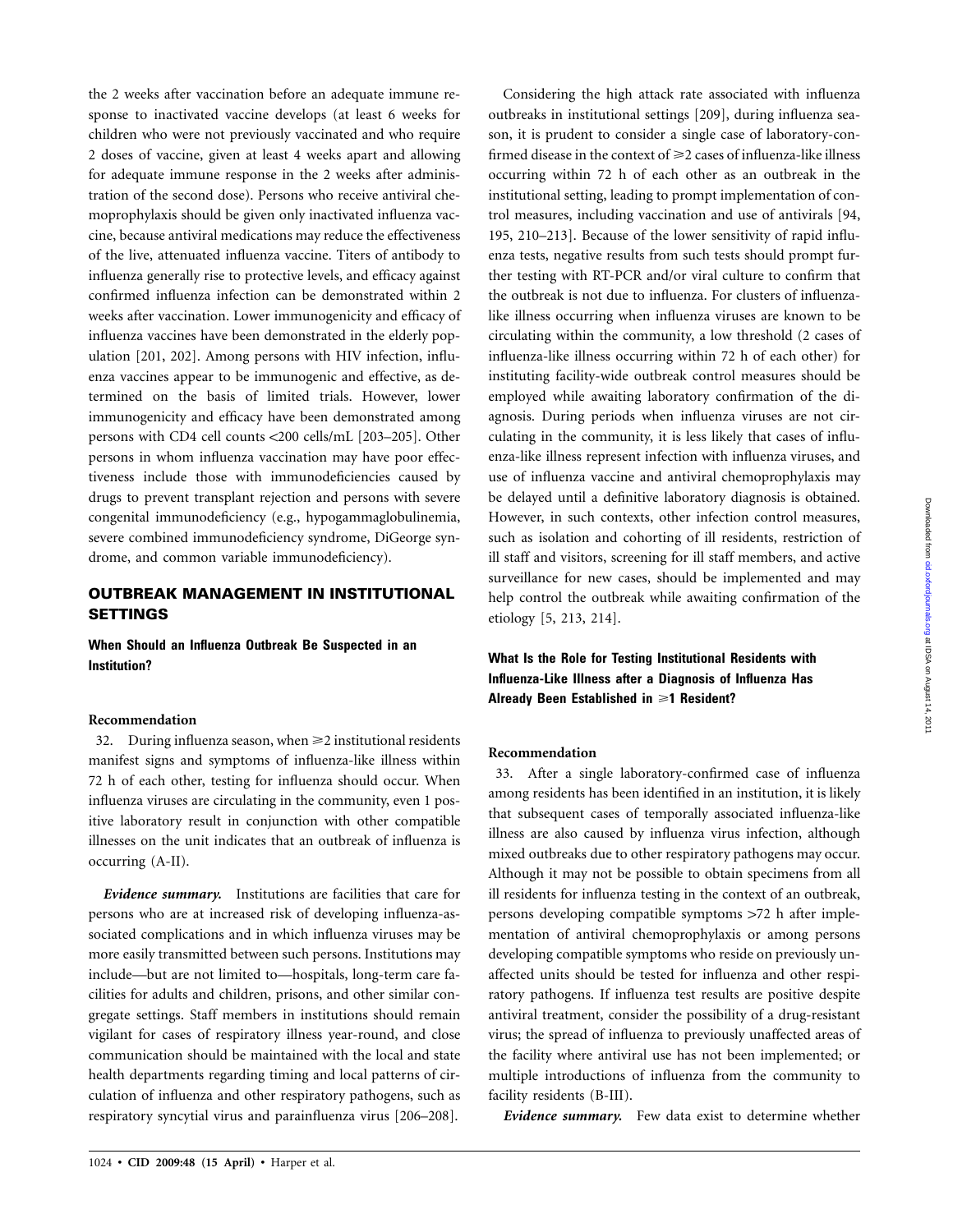the 2 weeks after vaccination before an adequate immune response to inactivated vaccine develops (at least 6 weeks for children who were not previously vaccinated and who require 2 doses of vaccine, given at least 4 weeks apart and allowing for adequate immune response in the 2 weeks after administration of the second dose). Persons who receive antiviral chemoprophylaxis should be given only inactivated influenza vaccine, because antiviral medications may reduce the effectiveness of the live, attenuated influenza vaccine. Titers of antibody to influenza generally rise to protective levels, and efficacy against confirmed influenza infection can be demonstrated within 2 weeks after vaccination. Lower immunogenicity and efficacy of influenza vaccines have been demonstrated in the elderly population [201, 202]. Among persons with HIV infection, influenza vaccines appear to be immunogenic and effective, as determined on the basis of limited trials. However, lower immunogenicity and efficacy have been demonstrated among persons with CD4 cell counts <200 cells/mL [203-205]. Other persons in whom influenza vaccination may have poor effectiveness include those with immunodeficiencies caused by drugs to prevent transplant rejection and persons with severe congenital immunodeficiency (e.g., hypogammaglobulinemia, severe combined immunodeficiency syndrome, DiGeorge syndrome, and common variable immunodeficiency).

# **OUTBREAK MANAGEMENT IN INSTITUTIONAL SETTINGS**

**When Should an Influenza Outbreak Be Suspected in an Institution?**

## **Recommendation**

32. During influenza season, when  $\geq 2$  institutional residents manifest signs and symptoms of influenza-like illness within 72 h of each other, testing for influenza should occur. When influenza viruses are circulating in the community, even 1 positive laboratory result in conjunction with other compatible illnesses on the unit indicates that an outbreak of influenza is occurring (A-II).

*Evidence summary.* Institutions are facilities that care for persons who are at increased risk of developing influenza-associated complications and in which influenza viruses may be more easily transmitted between such persons. Institutions may include—but are not limited to—hospitals, long-term care facilities for adults and children, prisons, and other similar congregate settings. Staff members in institutions should remain vigilant for cases of respiratory illness year-round, and close communication should be maintained with the local and state health departments regarding timing and local patterns of circulation of influenza and other respiratory pathogens, such as respiratory syncytial virus and parainfluenza virus [206–208].

outbreaks in institutional settings [209], during influenza season, it is prudent to consider a single case of laboratory-confirmed disease in the context of  $\geq 2$  cases of influenza-like illness occurring within 72 h of each other as an outbreak in the institutional setting, leading to prompt implementation of control measures, including vaccination and use of antivirals [94, 195, 210–213]. Because of the lower sensitivity of rapid influenza tests, negative results from such tests should prompt further testing with RT-PCR and/or viral culture to confirm that the outbreak is not due to influenza. For clusters of influenzalike illness occurring when influenza viruses are known to be circulating within the community, a low threshold (2 cases of influenza-like illness occurring within 72 h of each other) for instituting facility-wide outbreak control measures should be employed while awaiting laboratory confirmation of the diagnosis. During periods when influenza viruses are not circulating in the community, it is less likely that cases of influenza-like illness represent infection with influenza viruses, and use of influenza vaccine and antiviral chemoprophylaxis may be delayed until a definitive laboratory diagnosis is obtained. However, in such contexts, other infection control measures, such as isolation and cohorting of ill residents, restriction of ill staff and visitors, screening for ill staff members, and active surveillance for new cases, should be implemented and may help control the outbreak while awaiting confirmation of the etiology [5, 213, 214].

Considering the high attack rate associated with influenza

# **What Is the Role for Testing Institutional Residents with Influenza-Like Illness after a Diagnosis of Influenza Has Already Been Established in 1 Resident?**

#### **Recommendation**

33. After a single laboratory-confirmed case of influenza among residents has been identified in an institution, it is likely that subsequent cases of temporally associated influenza-like illness are also caused by influenza virus infection, although mixed outbreaks due to other respiratory pathogens may occur. Although it may not be possible to obtain specimens from all ill residents for influenza testing in the context of an outbreak, persons developing compatible symptoms >72 h after implementation of antiviral chemoprophylaxis or among persons developing compatible symptoms who reside on previously unaffected units should be tested for influenza and other respiratory pathogens. If influenza test results are positive despite antiviral treatment, consider the possibility of a drug-resistant virus; the spread of influenza to previously unaffected areas of the facility where antiviral use has not been implemented; or multiple introductions of influenza from the community to facility residents (B-III).

*Evidence summary.* Few data exist to determine whether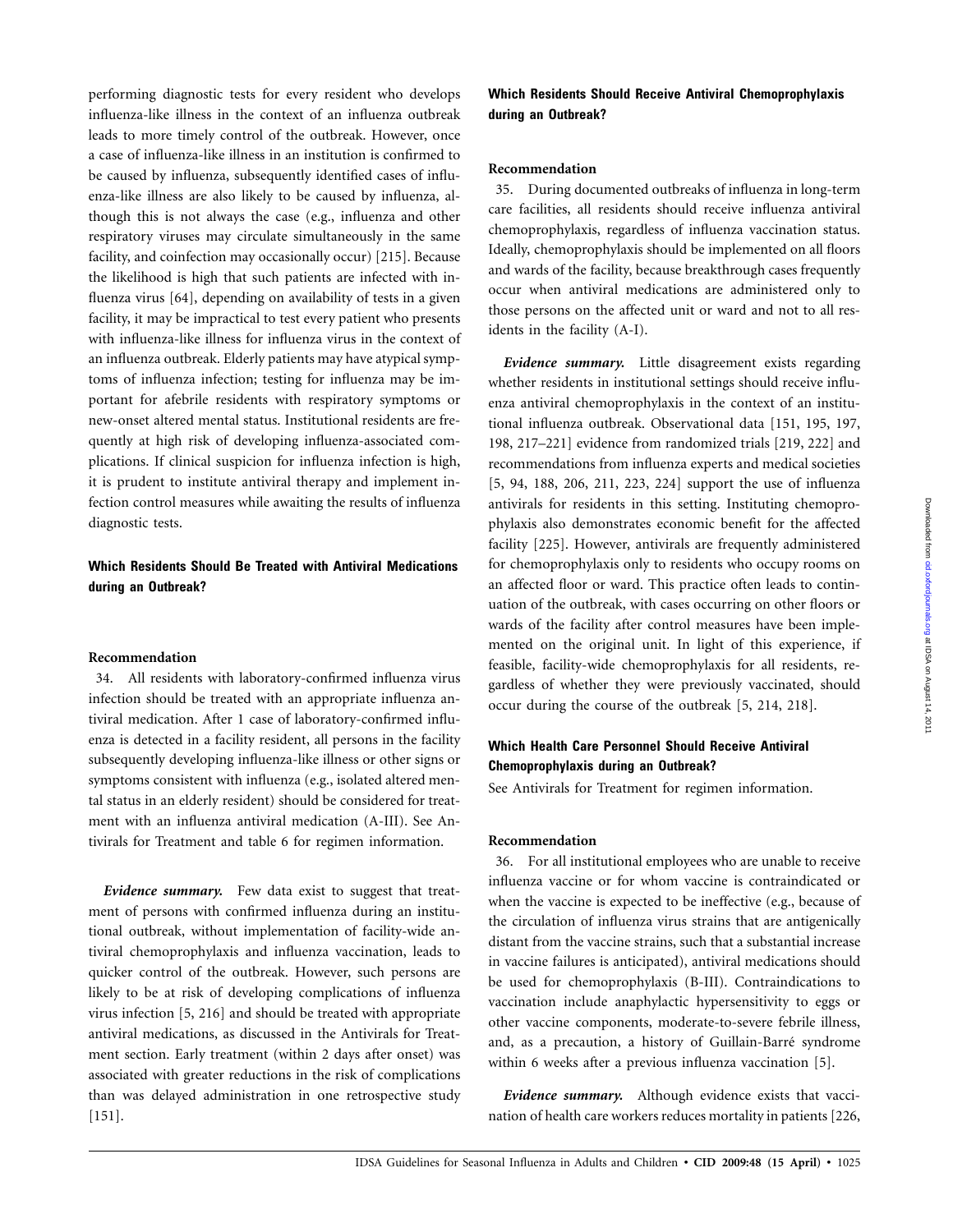performing diagnostic tests for every resident who develops influenza-like illness in the context of an influenza outbreak leads to more timely control of the outbreak. However, once a case of influenza-like illness in an institution is confirmed to be caused by influenza, subsequently identified cases of influenza-like illness are also likely to be caused by influenza, although this is not always the case (e.g., influenza and other respiratory viruses may circulate simultaneously in the same facility, and coinfection may occasionally occur) [215]. Because the likelihood is high that such patients are infected with influenza virus [64], depending on availability of tests in a given facility, it may be impractical to test every patient who presents with influenza-like illness for influenza virus in the context of an influenza outbreak. Elderly patients may have atypical symptoms of influenza infection; testing for influenza may be important for afebrile residents with respiratory symptoms or new-onset altered mental status. Institutional residents are frequently at high risk of developing influenza-associated complications. If clinical suspicion for influenza infection is high, it is prudent to institute antiviral therapy and implement infection control measures while awaiting the results of influenza diagnostic tests.

## **Which Residents Should Be Treated with Antiviral Medications during an Outbreak?**

#### **Recommendation**

34. All residents with laboratory-confirmed influenza virus infection should be treated with an appropriate influenza antiviral medication. After 1 case of laboratory-confirmed influenza is detected in a facility resident, all persons in the facility subsequently developing influenza-like illness or other signs or symptoms consistent with influenza (e.g., isolated altered mental status in an elderly resident) should be considered for treatment with an influenza antiviral medication (A-III). See Antivirals for Treatment and table 6 for regimen information.

*Evidence summary.* Few data exist to suggest that treatment of persons with confirmed influenza during an institutional outbreak, without implementation of facility-wide antiviral chemoprophylaxis and influenza vaccination, leads to quicker control of the outbreak. However, such persons are likely to be at risk of developing complications of influenza virus infection [5, 216] and should be treated with appropriate antiviral medications, as discussed in the Antivirals for Treatment section. Early treatment (within 2 days after onset) was associated with greater reductions in the risk of complications than was delayed administration in one retrospective study [151].

#### **Recommendation**

35. During documented outbreaks of influenza in long-term care facilities, all residents should receive influenza antiviral chemoprophylaxis, regardless of influenza vaccination status. Ideally, chemoprophylaxis should be implemented on all floors and wards of the facility, because breakthrough cases frequently occur when antiviral medications are administered only to those persons on the affected unit or ward and not to all residents in the facility (A-I).

*Evidence summary.* Little disagreement exists regarding whether residents in institutional settings should receive influenza antiviral chemoprophylaxis in the context of an institutional influenza outbreak. Observational data [151, 195, 197, 198, 217–221] evidence from randomized trials [219, 222] and recommendations from influenza experts and medical societies [5, 94, 188, 206, 211, 223, 224] support the use of influenza antivirals for residents in this setting. Instituting chemoprophylaxis also demonstrates economic benefit for the affected facility [225]. However, antivirals are frequently administered for chemoprophylaxis only to residents who occupy rooms on an affected floor or ward. This practice often leads to continuation of the outbreak, with cases occurring on other floors or wards of the facility after control measures have been implemented on the original unit. In light of this experience, if feasible, facility-wide chemoprophylaxis for all residents, regardless of whether they were previously vaccinated, should occur during the course of the outbreak [5, 214, 218].

## **Which Health Care Personnel Should Receive Antiviral Chemoprophylaxis during an Outbreak?**

See Antivirals for Treatment for regimen information.

#### **Recommendation**

36. For all institutional employees who are unable to receive influenza vaccine or for whom vaccine is contraindicated or when the vaccine is expected to be ineffective (e.g., because of the circulation of influenza virus strains that are antigenically distant from the vaccine strains, such that a substantial increase in vaccine failures is anticipated), antiviral medications should be used for chemoprophylaxis (B-III). Contraindications to vaccination include anaphylactic hypersensitivity to eggs or other vaccine components, moderate-to-severe febrile illness, and, as a precaution, a history of Guillain-Barré syndrome within 6 weeks after a previous influenza vaccination [5].

*Evidence summary.* Although evidence exists that vaccination of health care workers reduces mortality in patients [226,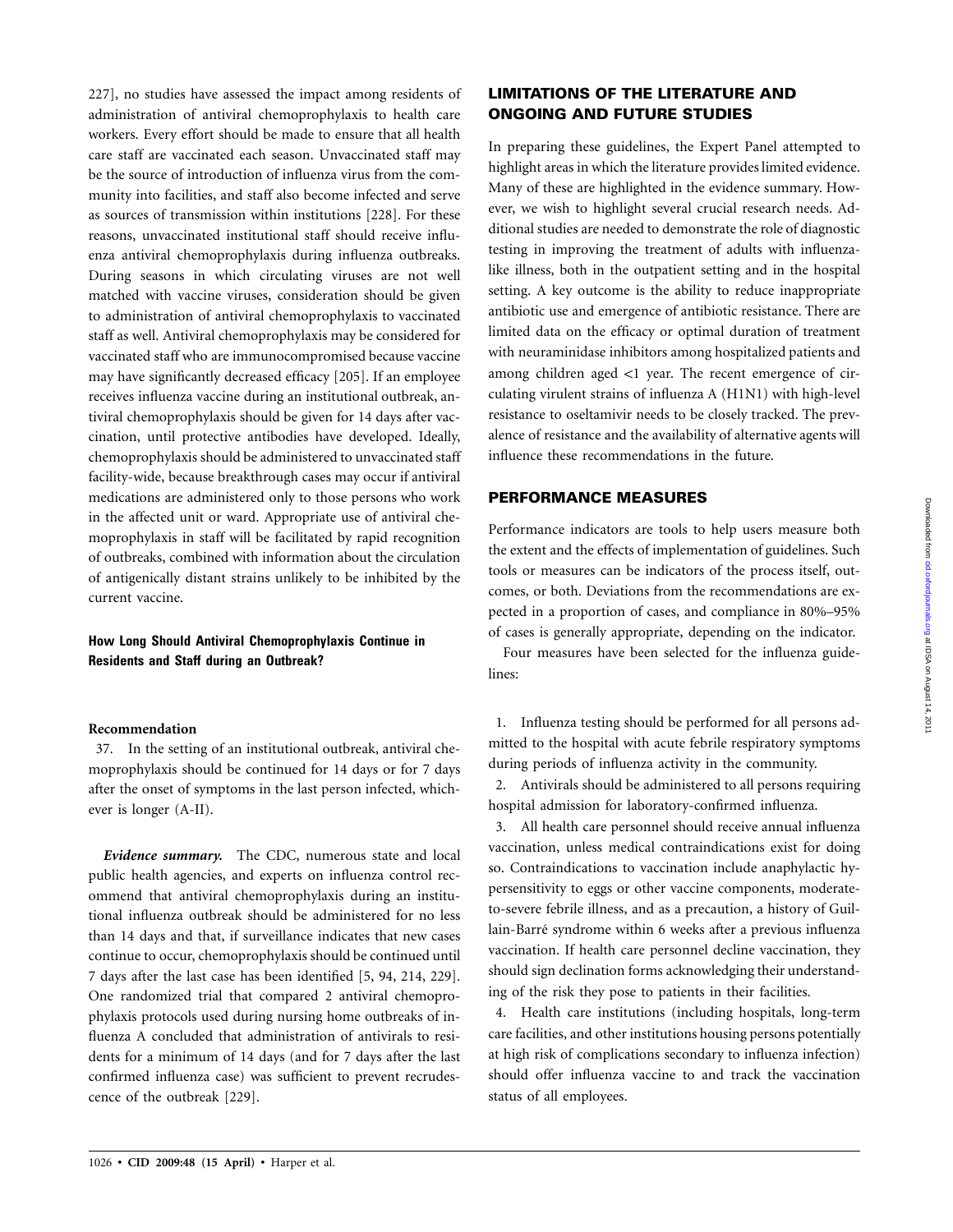227], no studies have assessed the impact among residents of administration of antiviral chemoprophylaxis to health care workers. Every effort should be made to ensure that all health care staff are vaccinated each season. Unvaccinated staff may be the source of introduction of influenza virus from the community into facilities, and staff also become infected and serve as sources of transmission within institutions [228]. For these reasons, unvaccinated institutional staff should receive influenza antiviral chemoprophylaxis during influenza outbreaks. During seasons in which circulating viruses are not well matched with vaccine viruses, consideration should be given to administration of antiviral chemoprophylaxis to vaccinated staff as well. Antiviral chemoprophylaxis may be considered for vaccinated staff who are immunocompromised because vaccine may have significantly decreased efficacy [205]. If an employee receives influenza vaccine during an institutional outbreak, antiviral chemoprophylaxis should be given for 14 days after vaccination, until protective antibodies have developed. Ideally, chemoprophylaxis should be administered to unvaccinated staff facility-wide, because breakthrough cases may occur if antiviral medications are administered only to those persons who work in the affected unit or ward. Appropriate use of antiviral chemoprophylaxis in staff will be facilitated by rapid recognition of outbreaks, combined with information about the circulation of antigenically distant strains unlikely to be inhibited by the current vaccine.

# **How Long Should Antiviral Chemoprophylaxis Continue in Residents and Staff during an Outbreak?**

## **Recommendation**

37. In the setting of an institutional outbreak, antiviral chemoprophylaxis should be continued for 14 days or for 7 days after the onset of symptoms in the last person infected, whichever is longer (A-II).

*Evidence summary.* The CDC, numerous state and local public health agencies, and experts on influenza control recommend that antiviral chemoprophylaxis during an institutional influenza outbreak should be administered for no less than 14 days and that, if surveillance indicates that new cases continue to occur, chemoprophylaxis should be continued until 7 days after the last case has been identified [5, 94, 214, 229]. One randomized trial that compared 2 antiviral chemoprophylaxis protocols used during nursing home outbreaks of influenza A concluded that administration of antivirals to residents for a minimum of 14 days (and for 7 days after the last confirmed influenza case) was sufficient to prevent recrudescence of the outbreak [229].

# **LIMITATIONS OF THE LITERATURE AND ONGOING AND FUTURE STUDIES**

In preparing these guidelines, the Expert Panel attempted to highlight areas in which the literature provides limited evidence. Many of these are highlighted in the evidence summary. However, we wish to highlight several crucial research needs. Additional studies are needed to demonstrate the role of diagnostic testing in improving the treatment of adults with influenzalike illness, both in the outpatient setting and in the hospital setting. A key outcome is the ability to reduce inappropriate antibiotic use and emergence of antibiotic resistance. There are limited data on the efficacy or optimal duration of treatment with neuraminidase inhibitors among hospitalized patients and among children aged  $<$ 1 year. The recent emergence of circulating virulent strains of influenza A (H1N1) with high-level resistance to oseltamivir needs to be closely tracked. The prevalence of resistance and the availability of alternative agents will influence these recommendations in the future.

# **PERFORMANCE MEASURES**

Performance indicators are tools to help users measure both the extent and the effects of implementation of guidelines. Such tools or measures can be indicators of the process itself, outcomes, or both. Deviations from the recommendations are expected in a proportion of cases, and compliance in 80%–95% of cases is generally appropriate, depending on the indicator.

Four measures have been selected for the influenza guidelines:

1. Influenza testing should be performed for all persons admitted to the hospital with acute febrile respiratory symptoms during periods of influenza activity in the community.

2. Antivirals should be administered to all persons requiring hospital admission for laboratory-confirmed influenza.

3. All health care personnel should receive annual influenza vaccination, unless medical contraindications exist for doing so. Contraindications to vaccination include anaphylactic hypersensitivity to eggs or other vaccine components, moderateto-severe febrile illness, and as a precaution, a history of Guillain-Barré syndrome within 6 weeks after a previous influenza vaccination. If health care personnel decline vaccination, they should sign declination forms acknowledging their understanding of the risk they pose to patients in their facilities.

4. Health care institutions (including hospitals, long-term care facilities, and other institutions housing persons potentially at high risk of complications secondary to influenza infection) should offer influenza vaccine to and track the vaccination status of all employees.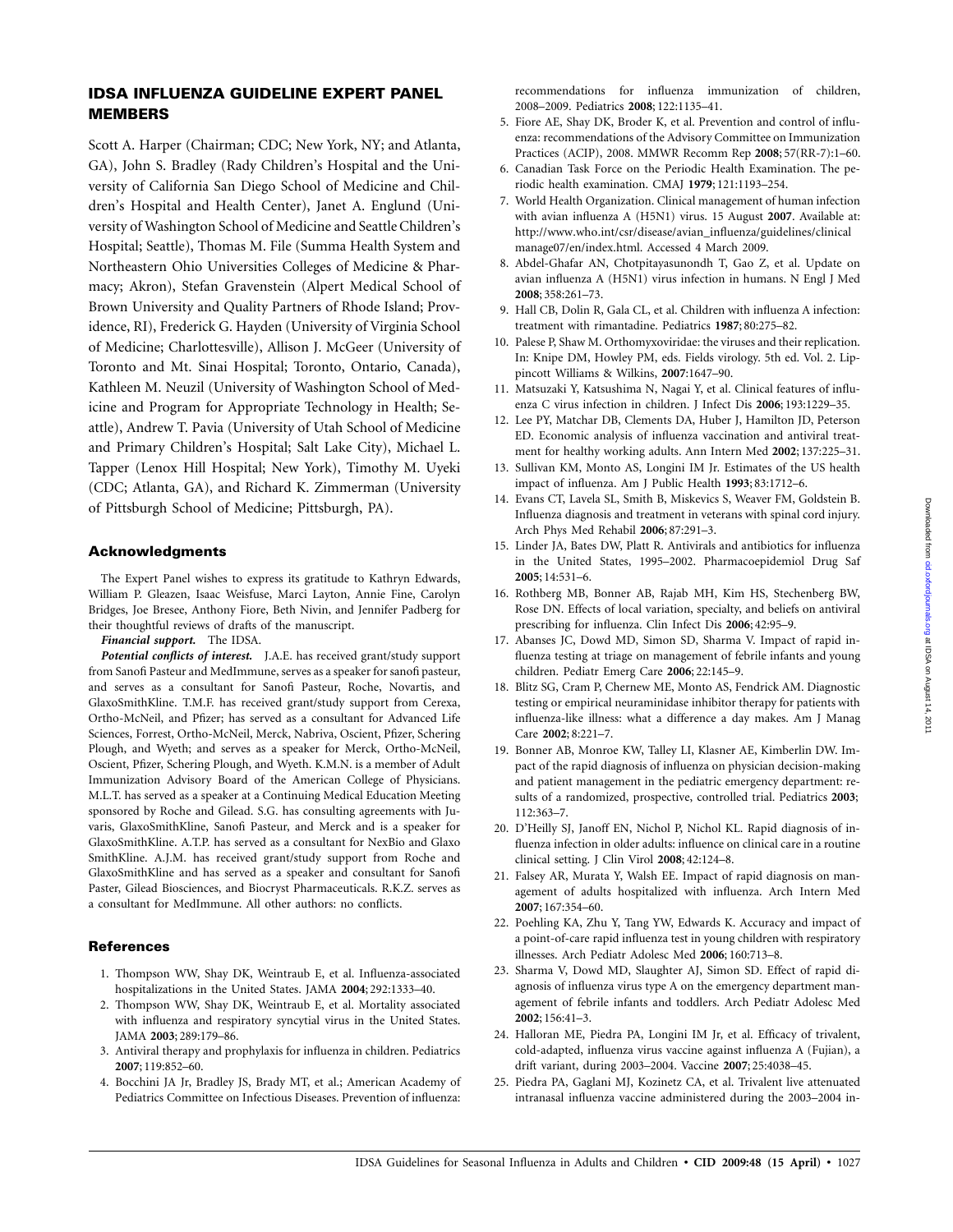## **IDSA INFLUENZA GUIDELINE EXPERT PANEL MEMBERS**

Scott A. Harper (Chairman; CDC; New York, NY; and Atlanta, GA), John S. Bradley (Rady Children's Hospital and the University of California San Diego School of Medicine and Children's Hospital and Health Center), Janet A. Englund (University of Washington School of Medicine and Seattle Children's Hospital; Seattle), Thomas M. File (Summa Health System and Northeastern Ohio Universities Colleges of Medicine & Pharmacy; Akron), Stefan Gravenstein (Alpert Medical School of Brown University and Quality Partners of Rhode Island; Providence, RI), Frederick G. Hayden (University of Virginia School of Medicine; Charlottesville), Allison J. McGeer (University of Toronto and Mt. Sinai Hospital; Toronto, Ontario, Canada), Kathleen M. Neuzil (University of Washington School of Medicine and Program for Appropriate Technology in Health; Seattle), Andrew T. Pavia (University of Utah School of Medicine and Primary Children's Hospital; Salt Lake City), Michael L. Tapper (Lenox Hill Hospital; New York), Timothy M. Uyeki (CDC; Atlanta, GA), and Richard K. Zimmerman (University of Pittsburgh School of Medicine; Pittsburgh, PA).

#### **Acknowledgments**

The Expert Panel wishes to express its gratitude to Kathryn Edwards, William P. Gleazen, Isaac Weisfuse, Marci Layton, Annie Fine, Carolyn Bridges, Joe Bresee, Anthony Fiore, Beth Nivin, and Jennifer Padberg for their thoughtful reviews of drafts of the manuscript.

*Financial support.* The IDSA.

*Potential conflicts of interest.* J.A.E. has received grant/study support from Sanofi Pasteur and MedImmune, serves as a speaker for sanofi pasteur, and serves as a consultant for Sanofi Pasteur, Roche, Novartis, and GlaxoSmithKline. T.M.F. has received grant/study support from Cerexa, Ortho-McNeil, and Pfizer; has served as a consultant for Advanced Life Sciences, Forrest, Ortho-McNeil, Merck, Nabriva, Oscient, Pfizer, Schering Plough, and Wyeth; and serves as a speaker for Merck, Ortho-McNeil, Oscient, Pfizer, Schering Plough, and Wyeth. K.M.N. is a member of Adult Immunization Advisory Board of the American College of Physicians. M.L.T. has served as a speaker at a Continuing Medical Education Meeting sponsored by Roche and Gilead. S.G. has consulting agreements with Juvaris, GlaxoSmithKline, Sanofi Pasteur, and Merck and is a speaker for GlaxoSmithKline. A.T.P. has served as a consultant for NexBio and Glaxo SmithKline. A.J.M. has received grant/study support from Roche and GlaxoSmithKline and has served as a speaker and consultant for Sanofi Paster, Gilead Biosciences, and Biocryst Pharmaceuticals. R.K.Z. serves as a consultant for MedImmune. All other authors: no conflicts.

## **References**

- 1. Thompson WW, Shay DK, Weintraub E, et al. Influenza-associated hospitalizations in the United States. JAMA **2004**; 292:1333–40.
- 2. Thompson WW, Shay DK, Weintraub E, et al. Mortality associated with influenza and respiratory syncytial virus in the United States. JAMA **2003**; 289:179–86.
- 3. Antiviral therapy and prophylaxis for influenza in children. Pediatrics **2007**; 119:852–60.
- 4. Bocchini JA Jr, Bradley JS, Brady MT, et al.; American Academy of Pediatrics Committee on Infectious Diseases. Prevention of influenza:

recommendations for influenza immunization of children, 2008–2009. Pediatrics **2008**; 122:1135–41.

- 5. Fiore AE, Shay DK, Broder K, et al. Prevention and control of influenza: recommendations of the Advisory Committee on Immunization Practices (ACIP), 2008. MMWR Recomm Rep **2008**; 57(RR-7):1–60.
- 6. Canadian Task Force on the Periodic Health Examination. The periodic health examination. CMAJ **1979**; 121:1193–254.
- 7. World Health Organization. Clinical management of human infection with avian influenza A (H5N1) virus. 15 August **2007**. Available at: http://www.who.int/csr/disease/avian\_influenza/guidelines/clinical manage07/en/index.html. Accessed 4 March 2009.
- 8. Abdel-Ghafar AN, Chotpitayasunondh T, Gao Z, et al. Update on avian influenza A (H5N1) virus infection in humans. N Engl J Med **2008**; 358:261–73.
- 9. Hall CB, Dolin R, Gala CL, et al. Children with influenza A infection: treatment with rimantadine. Pediatrics **1987**; 80:275–82.
- 10. Palese P, Shaw M. Orthomyxoviridae: the viruses and their replication. In: Knipe DM, Howley PM, eds. Fields virology. 5th ed. Vol. 2. Lippincott Williams & Wilkins, **2007**:1647–90.
- 11. Matsuzaki Y, Katsushima N, Nagai Y, et al. Clinical features of influenza C virus infection in children. J Infect Dis **2006**; 193:1229–35.
- 12. Lee PY, Matchar DB, Clements DA, Huber J, Hamilton JD, Peterson ED. Economic analysis of influenza vaccination and antiviral treatment for healthy working adults. Ann Intern Med **2002**; 137:225–31.
- 13. Sullivan KM, Monto AS, Longini IM Jr. Estimates of the US health impact of influenza. Am J Public Health **1993**; 83:1712–6.
- 14. Evans CT, Lavela SL, Smith B, Miskevics S, Weaver FM, Goldstein B. Influenza diagnosis and treatment in veterans with spinal cord injury. Arch Phys Med Rehabil **2006**; 87:291–3.
- 15. Linder JA, Bates DW, Platt R. Antivirals and antibiotics for influenza in the United States, 1995–2002. Pharmacoepidemiol Drug Saf **2005**; 14:531–6.
- 16. Rothberg MB, Bonner AB, Rajab MH, Kim HS, Stechenberg BW, Rose DN. Effects of local variation, specialty, and beliefs on antiviral prescribing for influenza. Clin Infect Dis **2006**; 42:95–9.
- 17. Abanses JC, Dowd MD, Simon SD, Sharma V. Impact of rapid influenza testing at triage on management of febrile infants and young children. Pediatr Emerg Care **2006**; 22:145–9.
- 18. Blitz SG, Cram P, Chernew ME, Monto AS, Fendrick AM. Diagnostic testing or empirical neuraminidase inhibitor therapy for patients with influenza-like illness: what a difference a day makes. Am J Manag Care **2002**; 8:221–7.
- 19. Bonner AB, Monroe KW, Talley LI, Klasner AE, Kimberlin DW. Impact of the rapid diagnosis of influenza on physician decision-making and patient management in the pediatric emergency department: results of a randomized, prospective, controlled trial. Pediatrics **2003**; 112:363–7.
- 20. D'Heilly SJ, Janoff EN, Nichol P, Nichol KL. Rapid diagnosis of influenza infection in older adults: influence on clinical care in a routine clinical setting. J Clin Virol **2008**; 42:124–8.
- 21. Falsey AR, Murata Y, Walsh EE. Impact of rapid diagnosis on management of adults hospitalized with influenza. Arch Intern Med **2007**; 167:354–60.
- 22. Poehling KA, Zhu Y, Tang YW, Edwards K. Accuracy and impact of a point-of-care rapid influenza test in young children with respiratory illnesses. Arch Pediatr Adolesc Med **2006**; 160:713–8.
- 23. Sharma V, Dowd MD, Slaughter AJ, Simon SD. Effect of rapid diagnosis of influenza virus type A on the emergency department management of febrile infants and toddlers. Arch Pediatr Adolesc Med **2002**; 156:41–3.
- 24. Halloran ME, Piedra PA, Longini IM Jr, et al. Efficacy of trivalent, cold-adapted, influenza virus vaccine against influenza A (Fujian), a drift variant, during 2003–2004. Vaccine **2007**; 25:4038–45.
- 25. Piedra PA, Gaglani MJ, Kozinetz CA, et al. Trivalent live attenuated intranasal influenza vaccine administered during the 2003–2004 in-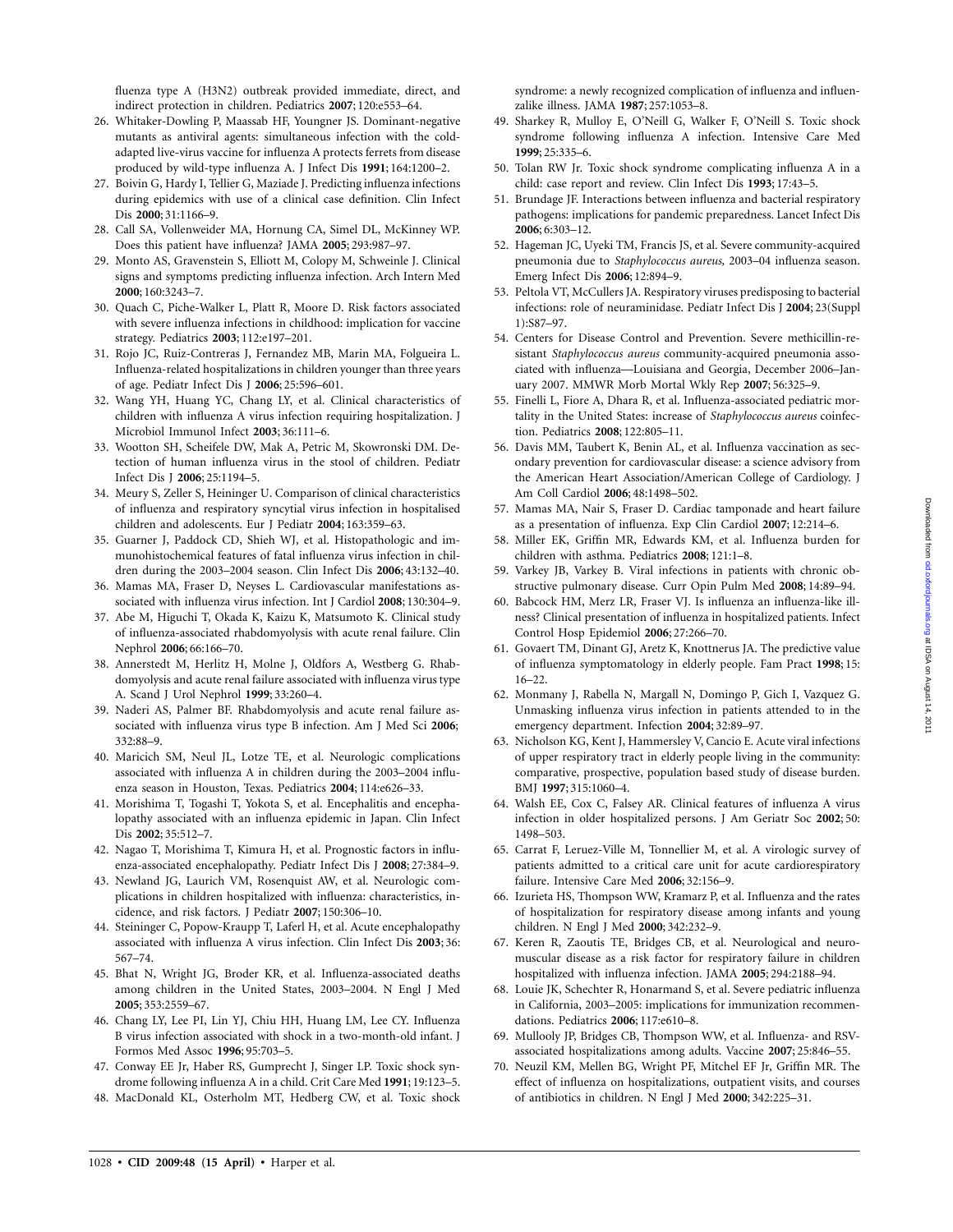fluenza type A (H3N2) outbreak provided immediate, direct, and indirect protection in children. Pediatrics **2007**; 120:e553–64.

- 26. Whitaker-Dowling P, Maassab HF, Youngner JS. Dominant-negative mutants as antiviral agents: simultaneous infection with the coldadapted live-virus vaccine for influenza A protects ferrets from disease produced by wild-type influenza A. J Infect Dis **1991**; 164:1200–2.
- 27. Boivin G, Hardy I, Tellier G, Maziade J. Predicting influenza infections during epidemics with use of a clinical case definition. Clin Infect Dis **2000**; 31:1166–9.
- 28. Call SA, Vollenweider MA, Hornung CA, Simel DL, McKinney WP. Does this patient have influenza? JAMA **2005**; 293:987–97.
- 29. Monto AS, Gravenstein S, Elliott M, Colopy M, Schweinle J. Clinical signs and symptoms predicting influenza infection. Arch Intern Med **2000**; 160:3243–7.
- 30. Quach C, Piche-Walker L, Platt R, Moore D. Risk factors associated with severe influenza infections in childhood: implication for vaccine strategy. Pediatrics **2003**; 112:e197–201.
- 31. Rojo JC, Ruiz-Contreras J, Fernandez MB, Marin MA, Folgueira L. Influenza-related hospitalizations in children younger than three years of age. Pediatr Infect Dis J **2006**; 25:596–601.
- 32. Wang YH, Huang YC, Chang LY, et al. Clinical characteristics of children with influenza A virus infection requiring hospitalization. J Microbiol Immunol Infect **2003**; 36:111–6.
- 33. Wootton SH, Scheifele DW, Mak A, Petric M, Skowronski DM. Detection of human influenza virus in the stool of children. Pediatr Infect Dis J **2006**; 25:1194–5.
- 34. Meury S, Zeller S, Heininger U. Comparison of clinical characteristics of influenza and respiratory syncytial virus infection in hospitalised children and adolescents. Eur J Pediatr **2004**; 163:359–63.
- 35. Guarner J, Paddock CD, Shieh WJ, et al. Histopathologic and immunohistochemical features of fatal influenza virus infection in children during the 2003–2004 season. Clin Infect Dis **2006**; 43:132–40.
- 36. Mamas MA, Fraser D, Neyses L. Cardiovascular manifestations associated with influenza virus infection. Int J Cardiol **2008**; 130:304–9.
- 37. Abe M, Higuchi T, Okada K, Kaizu K, Matsumoto K. Clinical study of influenza-associated rhabdomyolysis with acute renal failure. Clin Nephrol **2006**; 66:166–70.
- 38. Annerstedt M, Herlitz H, Molne J, Oldfors A, Westberg G. Rhabdomyolysis and acute renal failure associated with influenza virus type A. Scand J Urol Nephrol **1999**; 33:260–4.
- 39. Naderi AS, Palmer BF. Rhabdomyolysis and acute renal failure associated with influenza virus type B infection. Am J Med Sci **2006**; 332:88–9.
- 40. Maricich SM, Neul JL, Lotze TE, et al. Neurologic complications associated with influenza A in children during the 2003–2004 influenza season in Houston, Texas. Pediatrics **2004**; 114:e626–33.
- 41. Morishima T, Togashi T, Yokota S, et al. Encephalitis and encephalopathy associated with an influenza epidemic in Japan. Clin Infect Dis **2002**; 35:512–7.
- 42. Nagao T, Morishima T, Kimura H, et al. Prognostic factors in influenza-associated encephalopathy. Pediatr Infect Dis J **2008**; 27:384–9.
- 43. Newland JG, Laurich VM, Rosenquist AW, et al. Neurologic complications in children hospitalized with influenza: characteristics, incidence, and risk factors. J Pediatr **2007**; 150:306–10.
- 44. Steininger C, Popow-Kraupp T, Laferl H, et al. Acute encephalopathy associated with influenza A virus infection. Clin Infect Dis **2003**; 36: 567–74.
- 45. Bhat N, Wright JG, Broder KR, et al. Influenza-associated deaths among children in the United States, 2003–2004. N Engl J Med **2005**; 353:2559–67.
- 46. Chang LY, Lee PI, Lin YJ, Chiu HH, Huang LM, Lee CY. Influenza B virus infection associated with shock in a two-month-old infant. J Formos Med Assoc **1996**; 95:703–5.
- 47. Conway EE Jr, Haber RS, Gumprecht J, Singer LP. Toxic shock syndrome following influenza A in a child. Crit Care Med **1991**; 19:123–5.
- 48. MacDonald KL, Osterholm MT, Hedberg CW, et al. Toxic shock

syndrome: a newly recognized complication of influenza and influenzalike illness. JAMA **1987**; 257:1053–8.

- 49. Sharkey R, Mulloy E, O'Neill G, Walker F, O'Neill S. Toxic shock syndrome following influenza A infection. Intensive Care Med **1999**; 25:335–6.
- 50. Tolan RW Jr. Toxic shock syndrome complicating influenza A in a child: case report and review. Clin Infect Dis **1993**; 17:43–5.
- 51. Brundage JF. Interactions between influenza and bacterial respiratory pathogens: implications for pandemic preparedness. Lancet Infect Dis **2006**; 6:303–12.
- 52. Hageman JC, Uyeki TM, Francis JS, et al. Severe community-acquired pneumonia due to *Staphylococcus aureus,* 2003–04 influenza season. Emerg Infect Dis **2006**; 12:894–9.
- 53. Peltola VT, McCullers JA. Respiratory viruses predisposing to bacterial infections: role of neuraminidase. Pediatr Infect Dis J **2004**; 23(Suppl 1):S87–97.
- 54. Centers for Disease Control and Prevention. Severe methicillin-resistant *Staphylococcus aureus* community-acquired pneumonia associated with influenza—Louisiana and Georgia, December 2006–January 2007. MMWR Morb Mortal Wkly Rep **2007**; 56:325–9.
- 55. Finelli L, Fiore A, Dhara R, et al. Influenza-associated pediatric mortality in the United States: increase of *Staphylococcus aureus* coinfection. Pediatrics **2008**; 122:805–11.
- 56. Davis MM, Taubert K, Benin AL, et al. Influenza vaccination as secondary prevention for cardiovascular disease: a science advisory from the American Heart Association/American College of Cardiology. J Am Coll Cardiol **2006**; 48:1498–502.
- 57. Mamas MA, Nair S, Fraser D. Cardiac tamponade and heart failure as a presentation of influenza. Exp Clin Cardiol **2007**; 12:214–6.
- 58. Miller EK, Griffin MR, Edwards KM, et al. Influenza burden for children with asthma. Pediatrics **2008**; 121:1–8.
- 59. Varkey JB, Varkey B. Viral infections in patients with chronic obstructive pulmonary disease. Curr Opin Pulm Med **2008**; 14:89–94.
- 60. Babcock HM, Merz LR, Fraser VJ. Is influenza an influenza-like illness? Clinical presentation of influenza in hospitalized patients. Infect Control Hosp Epidemiol **2006**; 27:266–70.
- 61. Govaert TM, Dinant GJ, Aretz K, Knottnerus JA. The predictive value of influenza symptomatology in elderly people. Fam Pract **1998**; 15: 16–22.
- 62. Monmany J, Rabella N, Margall N, Domingo P, Gich I, Vazquez G. Unmasking influenza virus infection in patients attended to in the emergency department. Infection **2004**; 32:89–97.
- 63. Nicholson KG, Kent J, Hammersley V, Cancio E. Acute viral infections of upper respiratory tract in elderly people living in the community: comparative, prospective, population based study of disease burden. BMJ **1997**; 315:1060–4.
- 64. Walsh EE, Cox C, Falsey AR. Clinical features of influenza A virus infection in older hospitalized persons. J Am Geriatr Soc **2002**; 50: 1498–503.
- 65. Carrat F, Leruez-Ville M, Tonnellier M, et al. A virologic survey of patients admitted to a critical care unit for acute cardiorespiratory failure. Intensive Care Med **2006**; 32:156–9.
- 66. Izurieta HS, Thompson WW, Kramarz P, et al. Influenza and the rates of hospitalization for respiratory disease among infants and young children. N Engl J Med **2000**; 342:232–9.
- 67. Keren R, Zaoutis TE, Bridges CB, et al. Neurological and neuromuscular disease as a risk factor for respiratory failure in children hospitalized with influenza infection. JAMA **2005**; 294:2188–94.
- 68. Louie JK, Schechter R, Honarmand S, et al. Severe pediatric influenza in California, 2003–2005: implications for immunization recommendations. Pediatrics **2006**; 117:e610–8.
- 69. Mullooly JP, Bridges CB, Thompson WW, et al. Influenza- and RSVassociated hospitalizations among adults. Vaccine **2007**; 25:846–55.
- 70. Neuzil KM, Mellen BG, Wright PF, Mitchel EF Jr, Griffin MR. The effect of influenza on hospitalizations, outpatient visits, and courses of antibiotics in children. N Engl J Med **2000**; 342:225–31.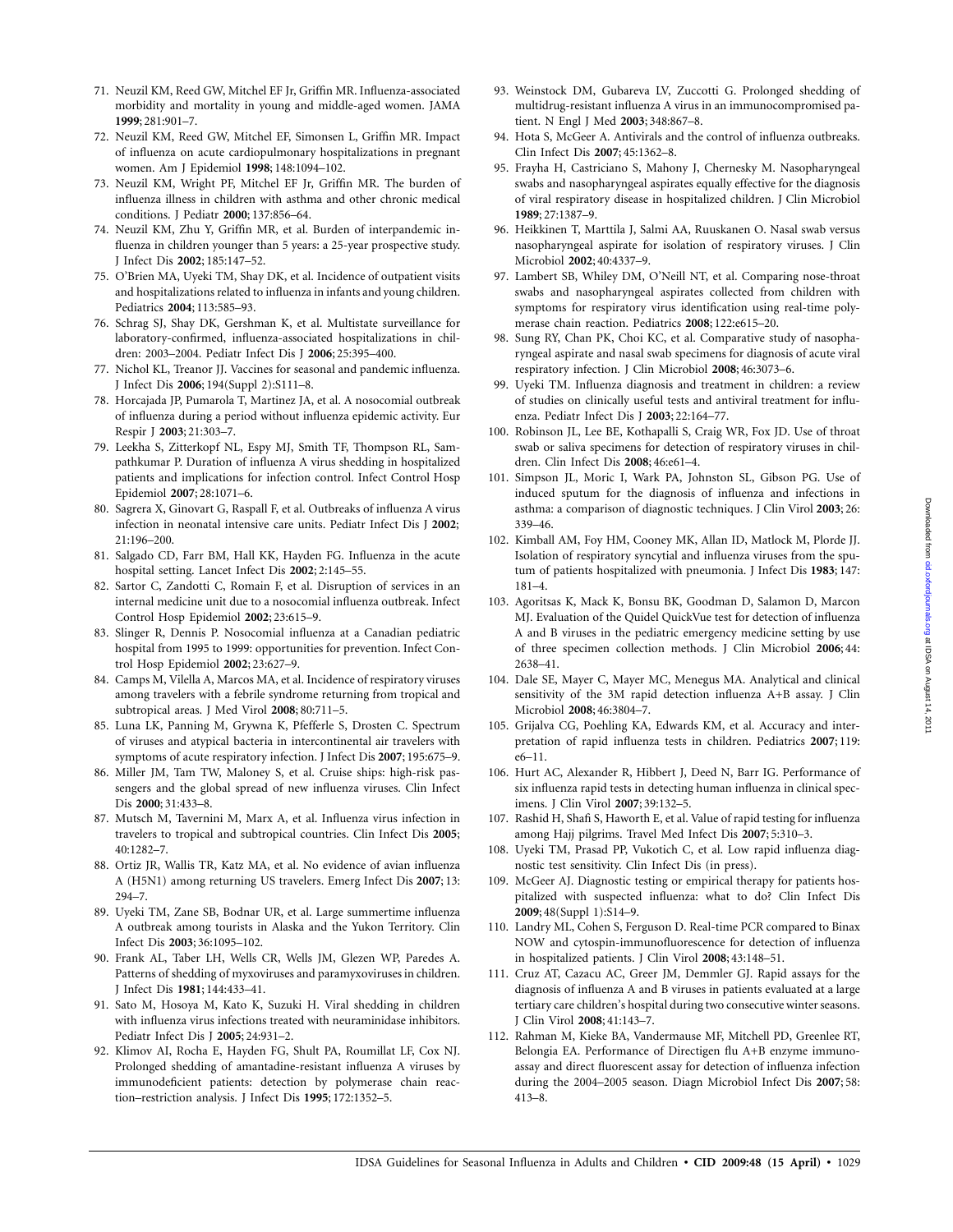- 71. Neuzil KM, Reed GW, Mitchel EF Jr, Griffin MR. Influenza-associated morbidity and mortality in young and middle-aged women. JAMA **1999**; 281:901–7.
- 72. Neuzil KM, Reed GW, Mitchel EF, Simonsen L, Griffin MR. Impact of influenza on acute cardiopulmonary hospitalizations in pregnant women. Am J Epidemiol **1998**; 148:1094–102.
- 73. Neuzil KM, Wright PF, Mitchel EF Jr, Griffin MR. The burden of influenza illness in children with asthma and other chronic medical conditions. J Pediatr **2000**; 137:856–64.
- 74. Neuzil KM, Zhu Y, Griffin MR, et al. Burden of interpandemic influenza in children younger than 5 years: a 25-year prospective study. J Infect Dis **2002**; 185:147–52.
- 75. O'Brien MA, Uyeki TM, Shay DK, et al. Incidence of outpatient visits and hospitalizations related to influenza in infants and young children. Pediatrics **2004**; 113:585–93.
- 76. Schrag SJ, Shay DK, Gershman K, et al. Multistate surveillance for laboratory-confirmed, influenza-associated hospitalizations in children: 2003–2004. Pediatr Infect Dis J **2006**; 25:395–400.
- 77. Nichol KL, Treanor JJ. Vaccines for seasonal and pandemic influenza. J Infect Dis **2006**; 194(Suppl 2):S111–8.
- 78. Horcajada JP, Pumarola T, Martinez JA, et al. A nosocomial outbreak of influenza during a period without influenza epidemic activity. Eur Respir J **2003**; 21:303–7.
- 79. Leekha S, Zitterkopf NL, Espy MJ, Smith TF, Thompson RL, Sampathkumar P. Duration of influenza A virus shedding in hospitalized patients and implications for infection control. Infect Control Hosp Epidemiol **2007**; 28:1071–6.
- 80. Sagrera X, Ginovart G, Raspall F, et al. Outbreaks of influenza A virus infection in neonatal intensive care units. Pediatr Infect Dis J **2002**; 21:196–200.
- 81. Salgado CD, Farr BM, Hall KK, Hayden FG. Influenza in the acute hospital setting. Lancet Infect Dis **2002**; 2:145–55.
- 82. Sartor C, Zandotti C, Romain F, et al. Disruption of services in an internal medicine unit due to a nosocomial influenza outbreak. Infect Control Hosp Epidemiol **2002**; 23:615–9.
- 83. Slinger R, Dennis P. Nosocomial influenza at a Canadian pediatric hospital from 1995 to 1999: opportunities for prevention. Infect Control Hosp Epidemiol **2002**; 23:627–9.
- 84. Camps M, Vilella A, Marcos MA, et al. Incidence of respiratory viruses among travelers with a febrile syndrome returning from tropical and subtropical areas. J Med Virol **2008**; 80:711–5.
- 85. Luna LK, Panning M, Grywna K, Pfefferle S, Drosten C. Spectrum of viruses and atypical bacteria in intercontinental air travelers with symptoms of acute respiratory infection. J Infect Dis **2007**; 195:675–9.
- 86. Miller JM, Tam TW, Maloney S, et al. Cruise ships: high-risk passengers and the global spread of new influenza viruses. Clin Infect Dis **2000**; 31:433–8.
- 87. Mutsch M, Tavernini M, Marx A, et al. Influenza virus infection in travelers to tropical and subtropical countries. Clin Infect Dis **2005**; 40:1282–7.
- 88. Ortiz JR, Wallis TR, Katz MA, et al. No evidence of avian influenza A (H5N1) among returning US travelers. Emerg Infect Dis **2007**; 13: 294–7.
- 89. Uyeki TM, Zane SB, Bodnar UR, et al. Large summertime influenza A outbreak among tourists in Alaska and the Yukon Territory. Clin Infect Dis **2003**; 36:1095–102.
- 90. Frank AL, Taber LH, Wells CR, Wells JM, Glezen WP, Paredes A. Patterns of shedding of myxoviruses and paramyxoviruses in children. J Infect Dis **1981**; 144:433–41.
- 91. Sato M, Hosoya M, Kato K, Suzuki H. Viral shedding in children with influenza virus infections treated with neuraminidase inhibitors. Pediatr Infect Dis J **2005**; 24:931–2.
- 92. Klimov AI, Rocha E, Hayden FG, Shult PA, Roumillat LF, Cox NJ. Prolonged shedding of amantadine-resistant influenza A viruses by immunodeficient patients: detection by polymerase chain reaction–restriction analysis. J Infect Dis **1995**; 172:1352–5.
- 93. Weinstock DM, Gubareva LV, Zuccotti G. Prolonged shedding of multidrug-resistant influenza A virus in an immunocompromised patient. N Engl J Med **2003**; 348:867–8.
- 94. Hota S, McGeer A. Antivirals and the control of influenza outbreaks. Clin Infect Dis **2007**; 45:1362–8.
- 95. Frayha H, Castriciano S, Mahony J, Chernesky M. Nasopharyngeal swabs and nasopharyngeal aspirates equally effective for the diagnosis of viral respiratory disease in hospitalized children. J Clin Microbiol **1989**; 27:1387–9.
- 96. Heikkinen T, Marttila J, Salmi AA, Ruuskanen O. Nasal swab versus nasopharyngeal aspirate for isolation of respiratory viruses. J Clin Microbiol **2002**; 40:4337–9.
- 97. Lambert SB, Whiley DM, O'Neill NT, et al. Comparing nose-throat swabs and nasopharyngeal aspirates collected from children with symptoms for respiratory virus identification using real-time polymerase chain reaction. Pediatrics **2008**; 122:e615–20.
- 98. Sung RY, Chan PK, Choi KC, et al. Comparative study of nasopharyngeal aspirate and nasal swab specimens for diagnosis of acute viral respiratory infection. J Clin Microbiol **2008**; 46:3073–6.
- 99. Uyeki TM. Influenza diagnosis and treatment in children: a review of studies on clinically useful tests and antiviral treatment for influenza. Pediatr Infect Dis J **2003**; 22:164–77.
- 100. Robinson JL, Lee BE, Kothapalli S, Craig WR, Fox JD. Use of throat swab or saliva specimens for detection of respiratory viruses in children. Clin Infect Dis **2008**; 46:e61–4.
- 101. Simpson JL, Moric I, Wark PA, Johnston SL, Gibson PG. Use of induced sputum for the diagnosis of influenza and infections in asthma: a comparison of diagnostic techniques. J Clin Virol **2003**; 26: 339–46.
- 102. Kimball AM, Foy HM, Cooney MK, Allan ID, Matlock M, Plorde JJ. Isolation of respiratory syncytial and influenza viruses from the sputum of patients hospitalized with pneumonia. J Infect Dis **1983**; 147: 181–4.
- 103. Agoritsas K, Mack K, Bonsu BK, Goodman D, Salamon D, Marcon MJ. Evaluation of the Quidel QuickVue test for detection of influenza A and B viruses in the pediatric emergency medicine setting by use of three specimen collection methods. J Clin Microbiol **2006**; 44: 2638–41.
- 104. Dale SE, Mayer C, Mayer MC, Menegus MA. Analytical and clinical sensitivity of the 3M rapid detection influenza A+B assay. J Clin Microbiol **2008**; 46:3804–7.
- 105. Grijalva CG, Poehling KA, Edwards KM, et al. Accuracy and interpretation of rapid influenza tests in children. Pediatrics **2007**; 119: e6–11.
- 106. Hurt AC, Alexander R, Hibbert J, Deed N, Barr IG. Performance of six influenza rapid tests in detecting human influenza in clinical specimens. J Clin Virol **2007**; 39:132–5.
- 107. Rashid H, Shafi S, Haworth E, et al. Value of rapid testing for influenza among Hajj pilgrims. Travel Med Infect Dis **2007**; 5:310–3.
- 108. Uyeki TM, Prasad PP, Vukotich C, et al. Low rapid influenza diagnostic test sensitivity. Clin Infect Dis (in press).
- 109. McGeer AJ. Diagnostic testing or empirical therapy for patients hospitalized with suspected influenza: what to do? Clin Infect Dis **2009**; 48(Suppl 1):S14–9.
- 110. Landry ML, Cohen S, Ferguson D. Real-time PCR compared to Binax NOW and cytospin-immunofluorescence for detection of influenza in hospitalized patients. J Clin Virol **2008**; 43:148–51.
- 111. Cruz AT, Cazacu AC, Greer JM, Demmler GJ. Rapid assays for the diagnosis of influenza A and B viruses in patients evaluated at a large tertiary care children's hospital during two consecutive winter seasons. J Clin Virol **2008**; 41:143–7.
- 112. Rahman M, Kieke BA, Vandermause MF, Mitchell PD, Greenlee RT, Belongia EA. Performance of Directigen flu A+B enzyme immunoassay and direct fluorescent assay for detection of influenza infection during the 2004–2005 season. Diagn Microbiol Infect Dis **2007**; 58: 413–8.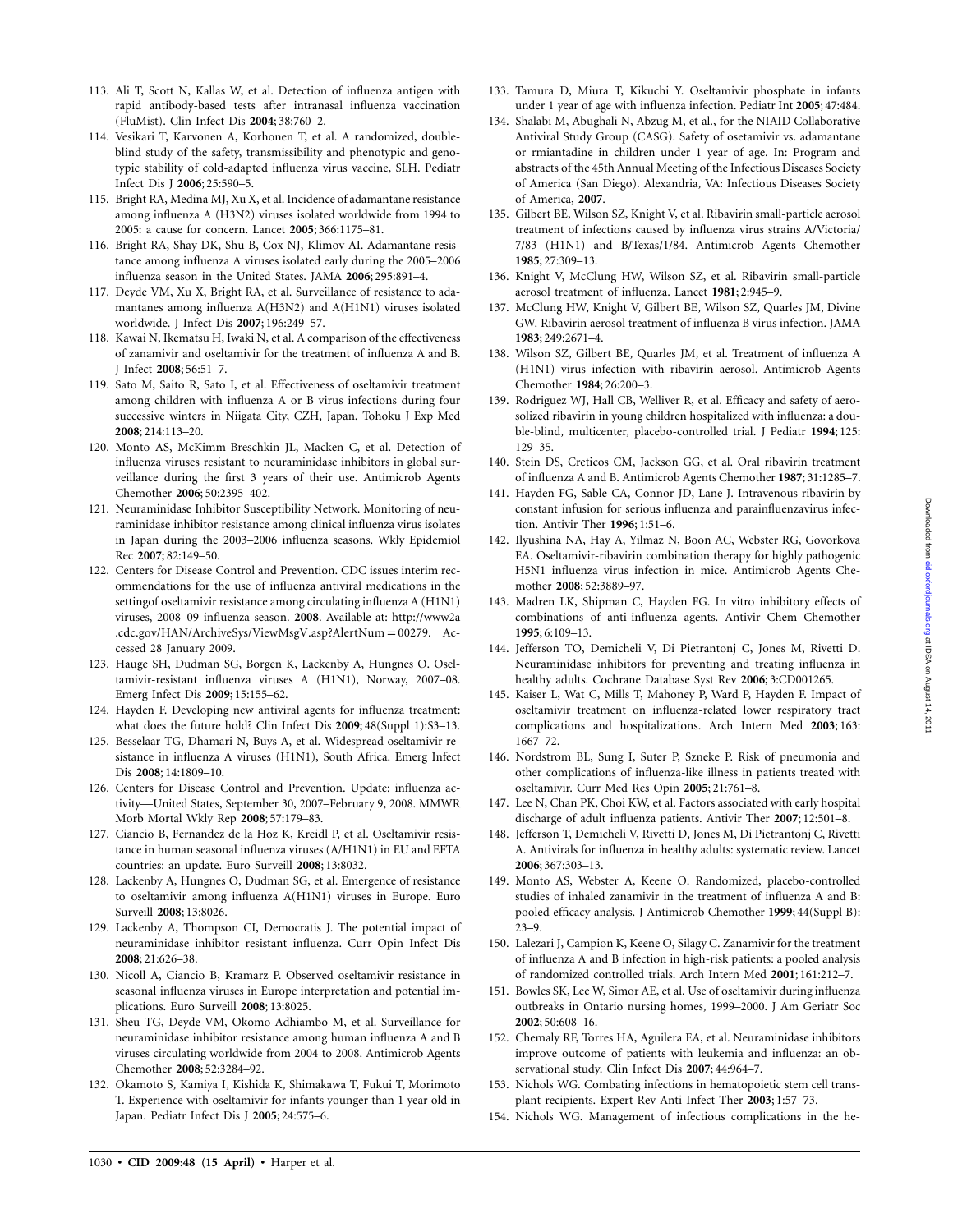- 113. Ali T, Scott N, Kallas W, et al. Detection of influenza antigen with rapid antibody-based tests after intranasal influenza vaccination (FluMist). Clin Infect Dis **2004**; 38:760–2.
- 114. Vesikari T, Karvonen A, Korhonen T, et al. A randomized, doubleblind study of the safety, transmissibility and phenotypic and genotypic stability of cold-adapted influenza virus vaccine, SLH. Pediatr Infect Dis J **2006**; 25:590–5.
- 115. Bright RA, Medina MJ, Xu X, et al. Incidence of adamantane resistance among influenza A (H3N2) viruses isolated worldwide from 1994 to 2005: a cause for concern. Lancet **2005**; 366:1175–81.
- 116. Bright RA, Shay DK, Shu B, Cox NJ, Klimov AI. Adamantane resistance among influenza A viruses isolated early during the 2005–2006 influenza season in the United States. JAMA **2006**; 295:891–4.
- 117. Deyde VM, Xu X, Bright RA, et al. Surveillance of resistance to adamantanes among influenza A(H3N2) and A(H1N1) viruses isolated worldwide. J Infect Dis **2007**; 196:249–57.
- 118. Kawai N, Ikematsu H, Iwaki N, et al. A comparison of the effectiveness of zanamivir and oseltamivir for the treatment of influenza A and B. J Infect **2008**; 56:51–7.
- 119. Sato M, Saito R, Sato I, et al. Effectiveness of oseltamivir treatment among children with influenza A or B virus infections during four successive winters in Niigata City, CZH, Japan. Tohoku J Exp Med **2008**; 214:113–20.
- 120. Monto AS, McKimm-Breschkin JL, Macken C, et al. Detection of influenza viruses resistant to neuraminidase inhibitors in global surveillance during the first 3 years of their use. Antimicrob Agents Chemother **2006**; 50:2395–402.
- 121. Neuraminidase Inhibitor Susceptibility Network. Monitoring of neuraminidase inhibitor resistance among clinical influenza virus isolates in Japan during the 2003–2006 influenza seasons. Wkly Epidemiol Rec **2007**; 82:149–50.
- 122. Centers for Disease Control and Prevention. CDC issues interim recommendations for the use of influenza antiviral medications in the settingof oseltamivir resistance among circulating influenza A (H1N1) viruses, 2008–09 influenza season. **2008**. Available at: http://www2a .cdc.gov/HAN/ArchiveSys/ViewMsgV.asp?AlertNum = 00279. Accessed 28 January 2009.
- 123. Hauge SH, Dudman SG, Borgen K, Lackenby A, Hungnes O. Oseltamivir-resistant influenza viruses A (H1N1), Norway, 2007–08. Emerg Infect Dis **2009**; 15:155–62.
- 124. Hayden F. Developing new antiviral agents for influenza treatment: what does the future hold? Clin Infect Dis **2009**; 48(Suppl 1):S3–13.
- 125. Besselaar TG, Dhamari N, Buys A, et al. Widespread oseltamivir resistance in influenza A viruses (H1N1), South Africa. Emerg Infect Dis **2008**; 14:1809–10.
- 126. Centers for Disease Control and Prevention. Update: influenza activity—United States, September 30, 2007–February 9, 2008. MMWR Morb Mortal Wkly Rep **2008**; 57:179–83.
- 127. Ciancio B, Fernandez de la Hoz K, Kreidl P, et al. Oseltamivir resistance in human seasonal influenza viruses (A/H1N1) in EU and EFTA countries: an update. Euro Surveill **2008**; 13:8032.
- 128. Lackenby A, Hungnes O, Dudman SG, et al. Emergence of resistance to oseltamivir among influenza A(H1N1) viruses in Europe. Euro Surveill **2008**; 13:8026.
- 129. Lackenby A, Thompson CI, Democratis J. The potential impact of neuraminidase inhibitor resistant influenza. Curr Opin Infect Dis **2008**; 21:626–38.
- 130. Nicoll A, Ciancio B, Kramarz P. Observed oseltamivir resistance in seasonal influenza viruses in Europe interpretation and potential implications. Euro Surveill **2008**; 13:8025.
- 131. Sheu TG, Deyde VM, Okomo-Adhiambo M, et al. Surveillance for neuraminidase inhibitor resistance among human influenza A and B viruses circulating worldwide from 2004 to 2008. Antimicrob Agents Chemother **2008**; 52:3284–92.
- 132. Okamoto S, Kamiya I, Kishida K, Shimakawa T, Fukui T, Morimoto T. Experience with oseltamivir for infants younger than 1 year old in Japan. Pediatr Infect Dis J **2005**; 24:575–6.
- 133. Tamura D, Miura T, Kikuchi Y. Oseltamivir phosphate in infants under 1 year of age with influenza infection. Pediatr Int **2005**; 47:484.
- 134. Shalabi M, Abughali N, Abzug M, et al., for the NIAID Collaborative Antiviral Study Group (CASG). Safety of osetamivir vs. adamantane or rmiantadine in children under 1 year of age. In: Program and abstracts of the 45th Annual Meeting of the Infectious Diseases Society of America (San Diego). Alexandria, VA: Infectious Diseases Society of America, **2007**.
- 135. Gilbert BE, Wilson SZ, Knight V, et al. Ribavirin small-particle aerosol treatment of infections caused by influenza virus strains A/Victoria/ 7/83 (H1N1) and B/Texas/1/84. Antimicrob Agents Chemother **1985**; 27:309–13.
- 136. Knight V, McClung HW, Wilson SZ, et al. Ribavirin small-particle aerosol treatment of influenza. Lancet **1981**; 2:945–9.
- 137. McClung HW, Knight V, Gilbert BE, Wilson SZ, Quarles JM, Divine GW. Ribavirin aerosol treatment of influenza B virus infection. JAMA **1983**; 249:2671–4.
- 138. Wilson SZ, Gilbert BE, Quarles JM, et al. Treatment of influenza A (H1N1) virus infection with ribavirin aerosol. Antimicrob Agents Chemother **1984**; 26:200–3.
- 139. Rodriguez WJ, Hall CB, Welliver R, et al. Efficacy and safety of aerosolized ribavirin in young children hospitalized with influenza: a double-blind, multicenter, placebo-controlled trial. J Pediatr **1994**; 125: 129–35.
- 140. Stein DS, Creticos CM, Jackson GG, et al. Oral ribavirin treatment of influenza A and B. Antimicrob Agents Chemother **1987**; 31:1285–7.
- 141. Hayden FG, Sable CA, Connor JD, Lane J. Intravenous ribavirin by constant infusion for serious influenza and parainfluenzavirus infection. Antivir Ther **1996**; 1:51–6.
- 142. Ilyushina NA, Hay A, Yilmaz N, Boon AC, Webster RG, Govorkova EA. Oseltamivir-ribavirin combination therapy for highly pathogenic H5N1 influenza virus infection in mice. Antimicrob Agents Chemother **2008**; 52:3889–97.
- 143. Madren LK, Shipman C, Hayden FG. In vitro inhibitory effects of combinations of anti-influenza agents. Antivir Chem Chemother **1995**; 6:109–13.
- 144. Jefferson TO, Demicheli V, Di Pietrantonj C, Jones M, Rivetti D. Neuraminidase inhibitors for preventing and treating influenza in healthy adults. Cochrane Database Syst Rev **2006**; 3:CD001265.
- 145. Kaiser L, Wat C, Mills T, Mahoney P, Ward P, Hayden F. Impact of oseltamivir treatment on influenza-related lower respiratory tract complications and hospitalizations. Arch Intern Med **2003**; 163: 1667–72.
- 146. Nordstrom BL, Sung I, Suter P, Szneke P. Risk of pneumonia and other complications of influenza-like illness in patients treated with oseltamivir. Curr Med Res Opin **2005**; 21:761–8.
- 147. Lee N, Chan PK, Choi KW, et al. Factors associated with early hospital discharge of adult influenza patients. Antivir Ther **2007**; 12:501–8.
- 148. Jefferson T, Demicheli V, Rivetti D, Jones M, Di Pietrantonj C, Rivetti A. Antivirals for influenza in healthy adults: systematic review. Lancet **2006**; 367:303–13.
- 149. Monto AS, Webster A, Keene O. Randomized, placebo-controlled studies of inhaled zanamivir in the treatment of influenza A and B: pooled efficacy analysis. J Antimicrob Chemother **1999**; 44(Suppl B): 23–9.
- 150. Lalezari J, Campion K, Keene O, Silagy C. Zanamivir for the treatment of influenza A and B infection in high-risk patients: a pooled analysis of randomized controlled trials. Arch Intern Med **2001**; 161:212–7.
- 151. Bowles SK, Lee W, Simor AE, et al. Use of oseltamivir during influenza outbreaks in Ontario nursing homes, 1999–2000. J Am Geriatr Soc **2002**; 50:608–16.
- 152. Chemaly RF, Torres HA, Aguilera EA, et al. Neuraminidase inhibitors improve outcome of patients with leukemia and influenza: an observational study. Clin Infect Dis **2007**; 44:964–7.
- 153. Nichols WG. Combating infections in hematopoietic stem cell transplant recipients. Expert Rev Anti Infect Ther **2003**; 1:57–73.
- 154. Nichols WG. Management of infectious complications in the he-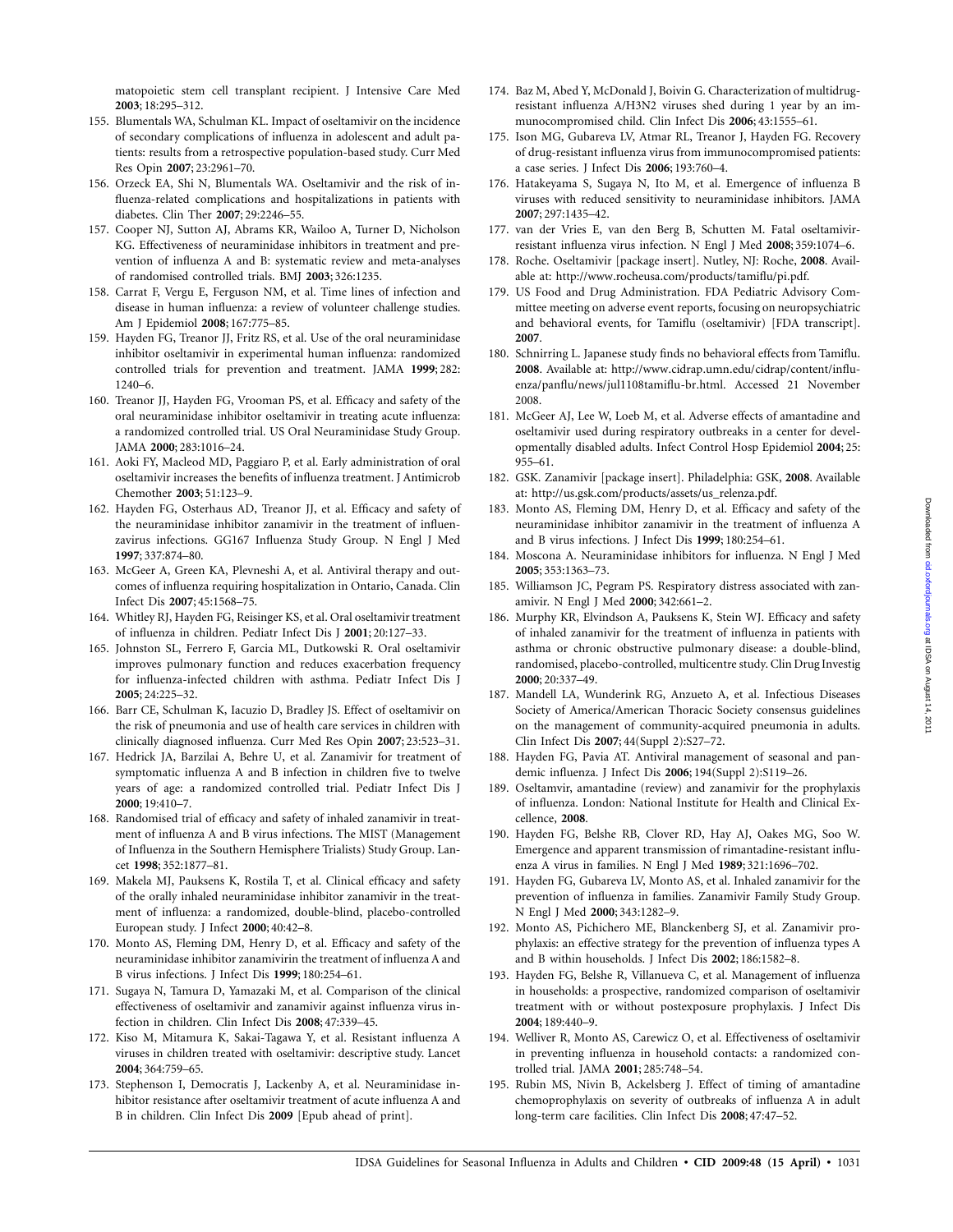- 155. Blumentals WA, Schulman KL. Impact of oseltamivir on the incidence of secondary complications of influenza in adolescent and adult patients: results from a retrospective population-based study. Curr Med Res Opin **2007**; 23:2961–70.
- 156. Orzeck EA, Shi N, Blumentals WA. Oseltamivir and the risk of influenza-related complications and hospitalizations in patients with diabetes. Clin Ther **2007**; 29:2246–55.
- 157. Cooper NJ, Sutton AJ, Abrams KR, Wailoo A, Turner D, Nicholson KG. Effectiveness of neuraminidase inhibitors in treatment and prevention of influenza A and B: systematic review and meta-analyses of randomised controlled trials. BMJ **2003**; 326:1235.
- 158. Carrat F, Vergu E, Ferguson NM, et al. Time lines of infection and disease in human influenza: a review of volunteer challenge studies. Am J Epidemiol **2008**; 167:775–85.
- 159. Hayden FG, Treanor JJ, Fritz RS, et al. Use of the oral neuraminidase inhibitor oseltamivir in experimental human influenza: randomized controlled trials for prevention and treatment. JAMA **1999**; 282: 1240–6.
- 160. Treanor JJ, Hayden FG, Vrooman PS, et al. Efficacy and safety of the oral neuraminidase inhibitor oseltamivir in treating acute influenza: a randomized controlled trial. US Oral Neuraminidase Study Group. JAMA **2000**; 283:1016–24.
- 161. Aoki FY, Macleod MD, Paggiaro P, et al. Early administration of oral oseltamivir increases the benefits of influenza treatment. J Antimicrob Chemother **2003**; 51:123–9.
- 162. Hayden FG, Osterhaus AD, Treanor JJ, et al. Efficacy and safety of the neuraminidase inhibitor zanamivir in the treatment of influenzavirus infections. GG167 Influenza Study Group. N Engl J Med **1997**; 337:874–80.
- 163. McGeer A, Green KA, Plevneshi A, et al. Antiviral therapy and outcomes of influenza requiring hospitalization in Ontario, Canada. Clin Infect Dis **2007**; 45:1568–75.
- 164. Whitley RJ, Hayden FG, Reisinger KS, et al. Oral oseltamivir treatment of influenza in children. Pediatr Infect Dis J **2001**; 20:127–33.
- 165. Johnston SL, Ferrero F, Garcia ML, Dutkowski R. Oral oseltamivir improves pulmonary function and reduces exacerbation frequency for influenza-infected children with asthma. Pediatr Infect Dis J **2005**; 24:225–32.
- 166. Barr CE, Schulman K, Iacuzio D, Bradley JS. Effect of oseltamivir on the risk of pneumonia and use of health care services in children with clinically diagnosed influenza. Curr Med Res Opin **2007**; 23:523–31.
- 167. Hedrick JA, Barzilai A, Behre U, et al. Zanamivir for treatment of symptomatic influenza A and B infection in children five to twelve years of age: a randomized controlled trial. Pediatr Infect Dis J **2000**; 19:410–7.
- 168. Randomised trial of efficacy and safety of inhaled zanamivir in treatment of influenza A and B virus infections. The MIST (Management of Influenza in the Southern Hemisphere Trialists) Study Group. Lancet **1998**; 352:1877–81.
- 169. Makela MJ, Pauksens K, Rostila T, et al. Clinical efficacy and safety of the orally inhaled neuraminidase inhibitor zanamivir in the treatment of influenza: a randomized, double-blind, placebo-controlled European study. J Infect **2000**; 40:42–8.
- 170. Monto AS, Fleming DM, Henry D, et al. Efficacy and safety of the neuraminidase inhibitor zanamivirin the treatment of influenza A and B virus infections. J Infect Dis **1999**; 180:254–61.
- 171. Sugaya N, Tamura D, Yamazaki M, et al. Comparison of the clinical effectiveness of oseltamivir and zanamivir against influenza virus infection in children. Clin Infect Dis **2008**; 47:339–45.
- 172. Kiso M, Mitamura K, Sakai-Tagawa Y, et al. Resistant influenza A viruses in children treated with oseltamivir: descriptive study. Lancet **2004**; 364:759–65.
- 173. Stephenson I, Democratis J, Lackenby A, et al. Neuraminidase inhibitor resistance after oseltamivir treatment of acute influenza A and B in children. Clin Infect Dis **2009** [Epub ahead of print].
- 174. Baz M, Abed Y, McDonald J, Boivin G. Characterization of multidrugresistant influenza A/H3N2 viruses shed during 1 year by an immunocompromised child. Clin Infect Dis **2006**; 43:1555–61.
- 175. Ison MG, Gubareva LV, Atmar RL, Treanor J, Hayden FG. Recovery of drug-resistant influenza virus from immunocompromised patients: a case series. J Infect Dis **2006**; 193:760–4.
- 176. Hatakeyama S, Sugaya N, Ito M, et al. Emergence of influenza B viruses with reduced sensitivity to neuraminidase inhibitors. JAMA **2007**; 297:1435–42.
- 177. van der Vries E, van den Berg B, Schutten M. Fatal oseltamivirresistant influenza virus infection. N Engl J Med **2008**; 359:1074–6.
- 178. Roche. Oseltamivir [package insert]. Nutley, NJ: Roche, **2008**. Available at: http://www.rocheusa.com/products/tamiflu/pi.pdf.
- 179. US Food and Drug Administration. FDA Pediatric Advisory Committee meeting on adverse event reports, focusing on neuropsychiatric and behavioral events, for Tamiflu (oseltamivir) [FDA transcript]. **2007**.
- 180. Schnirring L. Japanese study finds no behavioral effects from Tamiflu. **2008**. Available at: http://www.cidrap.umn.edu/cidrap/content/influenza/panflu/news/jul1108tamiflu-br.html. Accessed 21 November 2008.
- 181. McGeer AJ, Lee W, Loeb M, et al. Adverse effects of amantadine and oseltamivir used during respiratory outbreaks in a center for developmentally disabled adults. Infect Control Hosp Epidemiol **2004**; 25: 955–61.
- 182. GSK. Zanamivir [package insert]. Philadelphia: GSK, **2008**. Available at: http://us.gsk.com/products/assets/us\_relenza.pdf.
- 183. Monto AS, Fleming DM, Henry D, et al. Efficacy and safety of the neuraminidase inhibitor zanamivir in the treatment of influenza A and B virus infections. J Infect Dis **1999**; 180:254–61.
- 184. Moscona A. Neuraminidase inhibitors for influenza. N Engl J Med **2005**; 353:1363–73.
- 185. Williamson JC, Pegram PS. Respiratory distress associated with zanamivir. N Engl J Med **2000**; 342:661–2.
- 186. Murphy KR, Elvindson A, Pauksens K, Stein WJ. Efficacy and safety of inhaled zanamivir for the treatment of influenza in patients with asthma or chronic obstructive pulmonary disease: a double-blind, randomised, placebo-controlled, multicentre study. Clin Drug Investig **2000**; 20:337–49.
- 187. Mandell LA, Wunderink RG, Anzueto A, et al. Infectious Diseases Society of America/American Thoracic Society consensus guidelines on the management of community-acquired pneumonia in adults. Clin Infect Dis **2007**; 44(Suppl 2):S27–72.
- 188. Hayden FG, Pavia AT. Antiviral management of seasonal and pandemic influenza. J Infect Dis **2006**; 194(Suppl 2):S119–26.
- 189. Oseltamvir, amantadine (review) and zanamivir for the prophylaxis of influenza. London: National Institute for Health and Clinical Excellence, **2008**.
- 190. Hayden FG, Belshe RB, Clover RD, Hay AJ, Oakes MG, Soo W. Emergence and apparent transmission of rimantadine-resistant influenza A virus in families. N Engl J Med **1989**; 321:1696–702.
- 191. Hayden FG, Gubareva LV, Monto AS, et al. Inhaled zanamivir for the prevention of influenza in families. Zanamivir Family Study Group. N Engl J Med **2000**; 343:1282–9.
- 192. Monto AS, Pichichero ME, Blanckenberg SJ, et al. Zanamivir prophylaxis: an effective strategy for the prevention of influenza types A and B within households. J Infect Dis **2002**; 186:1582–8.
- 193. Hayden FG, Belshe R, Villanueva C, et al. Management of influenza in households: a prospective, randomized comparison of oseltamivir treatment with or without postexposure prophylaxis. J Infect Dis **2004**; 189:440–9.
- 194. Welliver R, Monto AS, Carewicz O, et al. Effectiveness of oseltamivir in preventing influenza in household contacts: a randomized controlled trial. JAMA **2001**; 285:748–54.
- 195. Rubin MS, Nivin B, Ackelsberg J. Effect of timing of amantadine chemoprophylaxis on severity of outbreaks of influenza A in adult long-term care facilities. Clin Infect Dis **2008**; 47:47–52.